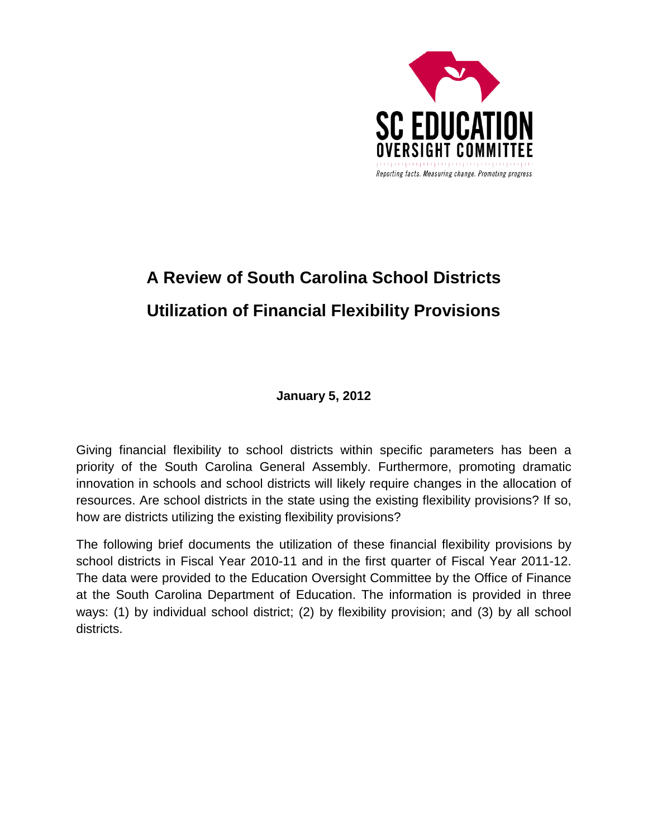

## **A Review of South Carolina School Districts Utilization of Financial Flexibility Provisions**

**January 5, 2012**

Giving financial flexibility to school districts within specific parameters has been a priority of the South Carolina General Assembly. Furthermore, promoting dramatic innovation in schools and school districts will likely require changes in the allocation of resources. Are school districts in the state using the existing flexibility provisions? If so, how are districts utilizing the existing flexibility provisions?

The following brief documents the utilization of these financial flexibility provisions by school districts in Fiscal Year 2010-11 and in the first quarter of Fiscal Year 2011-12. The data were provided to the Education Oversight Committee by the Office of Finance at the South Carolina Department of Education. The information is provided in three ways: (1) by individual school district; (2) by flexibility provision; and (3) by all school districts.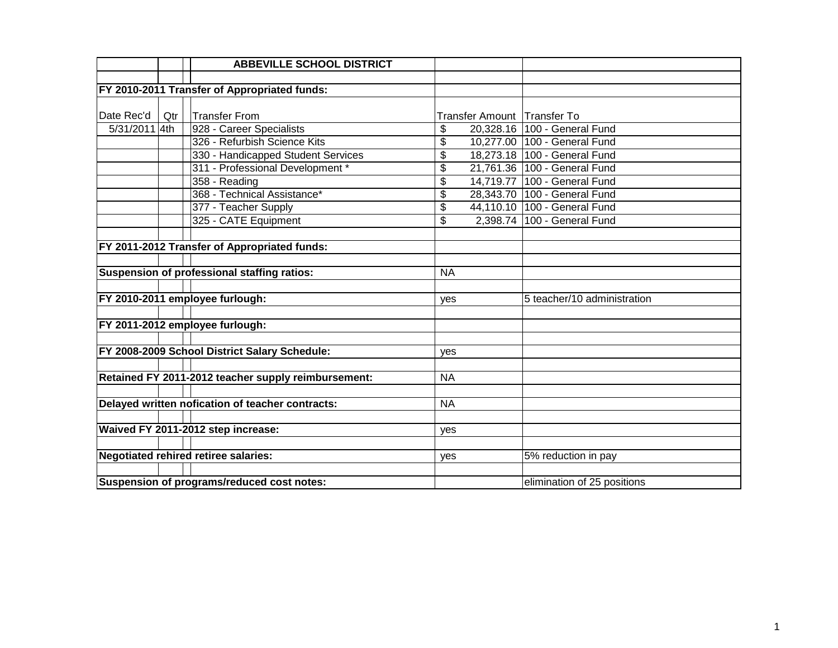|               |     | <b>ABBEVILLE SCHOOL DISTRICT</b>                    |                 |                             |                              |
|---------------|-----|-----------------------------------------------------|-----------------|-----------------------------|------------------------------|
|               |     |                                                     |                 |                             |                              |
|               |     | FY 2010-2011 Transfer of Appropriated funds:        |                 |                             |                              |
|               |     |                                                     |                 |                             |                              |
| Date Rec'd    | Qtr | <b>Transfer From</b>                                |                 | Transfer Amount Transfer To |                              |
| 5/31/2011 4th |     | 928 - Career Specialists                            | \$              |                             | 20,328.16 100 - General Fund |
|               |     | 326 - Refurbish Science Kits                        | \$              |                             | 10,277.00 100 - General Fund |
|               |     | 330 - Handicapped Student Services                  | \$              |                             | 18,273.18 100 - General Fund |
|               |     | 311 - Professional Development *                    | \$              |                             | 21,761.36 100 - General Fund |
|               |     | 358 - Reading                                       | \$              |                             | 14,719.77 100 - General Fund |
|               |     | 368 - Technical Assistance*                         | $\overline{\$}$ |                             | 28,343.70 100 - General Fund |
|               |     | 377 - Teacher Supply                                | \$              |                             | 44,110.10 100 - General Fund |
|               |     | 325 - CATE Equipment                                | \$              |                             | 2,398.74 100 - General Fund  |
|               |     |                                                     |                 |                             |                              |
|               |     | FY 2011-2012 Transfer of Appropriated funds:        |                 |                             |                              |
|               |     |                                                     |                 |                             |                              |
|               |     | Suspension of professional staffing ratios:         | <b>NA</b>       |                             |                              |
|               |     |                                                     |                 |                             |                              |
|               |     | FY 2010-2011 employee furlough:                     | yes             |                             | 5 teacher/10 administration  |
|               |     |                                                     |                 |                             |                              |
|               |     | FY 2011-2012 employee furlough:                     |                 |                             |                              |
|               |     |                                                     |                 |                             |                              |
|               |     | FY 2008-2009 School District Salary Schedule:       | yes             |                             |                              |
|               |     |                                                     |                 |                             |                              |
|               |     | Retained FY 2011-2012 teacher supply reimbursement: | <b>NA</b>       |                             |                              |
|               |     |                                                     |                 |                             |                              |
|               |     | Delayed written nofication of teacher contracts:    | <b>NA</b>       |                             |                              |
|               |     |                                                     |                 |                             |                              |
|               |     | Waived FY 2011-2012 step increase:                  | yes             |                             |                              |
|               |     |                                                     |                 |                             |                              |
|               |     | <b>Negotiated rehired retiree salaries:</b>         | yes             |                             | 5% reduction in pay          |
|               |     |                                                     |                 |                             |                              |
|               |     | Suspension of programs/reduced cost notes:          |                 |                             | elimination of 25 positions  |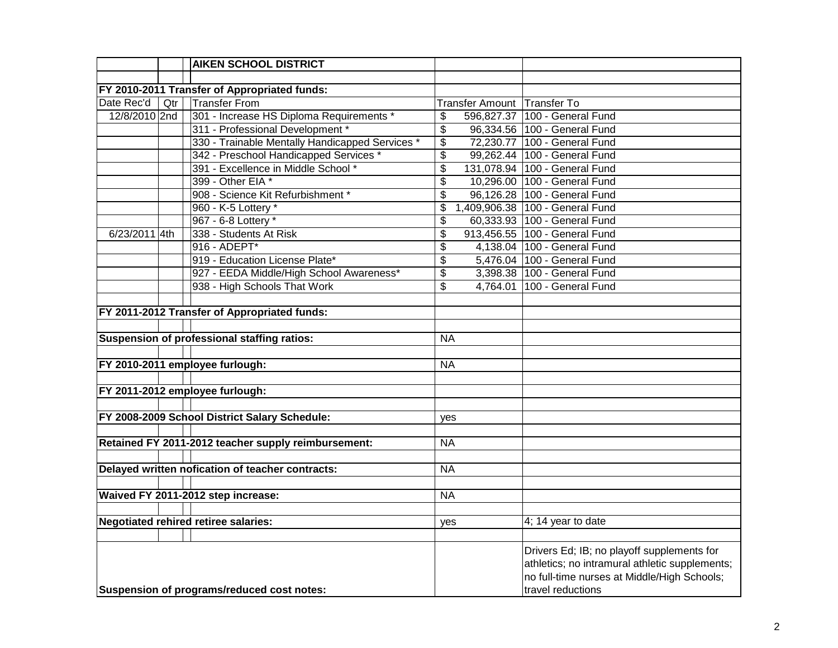|               |     | <b>AIKEN SCHOOL DISTRICT</b>                        |                                                                      |
|---------------|-----|-----------------------------------------------------|----------------------------------------------------------------------|
|               |     |                                                     |                                                                      |
|               |     | FY 2010-2011 Transfer of Appropriated funds:        |                                                                      |
| Date Rec'd    | Qtr | <b>Transfer From</b>                                | Transfer Amount Transfer To                                          |
| 12/8/2010 2nd |     | 301 - Increase HS Diploma Requirements *            | 596,827.37 100 - General Fund<br>\$                                  |
|               |     | 311 - Professional Development *                    | $\overline{\boldsymbol{\mathsf{s}}}$<br>96,334.56 100 - General Fund |
|               |     | 330 - Trainable Mentally Handicapped Services *     | $\overline{\boldsymbol{\mathsf{s}}}$<br>72,230.77 100 - General Fund |
|               |     | 342 - Preschool Handicapped Services *              | 99,262.44 100 - General Fund<br>$\overline{\mathbf{3}}$              |
|               |     | 391 - Excellence in Middle School *                 | \$<br>131,078.94 100 - General Fund                                  |
|               |     | 399 - Other EIA *                                   | $\overline{\$}$<br>10,296.00 100 - General Fund                      |
|               |     | 908 - Science Kit Refurbishment *                   | \$<br>96,126.28 100 - General Fund                                   |
|               |     | 960 - K-5 Lottery *                                 | 1,409,906.38 100 - General Fund<br>\$                                |
|               |     | 967 - 6-8 Lottery *                                 | 60,333.93 100 - General Fund<br>\$                                   |
| 6/23/2011 4th |     | 338 - Students At Risk                              | 913,456.55 100 - General Fund<br>\$                                  |
|               |     | 916 - ADEPT*                                        | \$<br>4,138.04 100 - General Fund                                    |
|               |     | 919 - Education License Plate*                      | 5,476.04 100 - General Fund<br>\$                                    |
|               |     | 927 - EEDA Middle/High School Awareness*            | \$<br>3,398.38 100 - General Fund                                    |
|               |     | 938 - High Schools That Work                        | 4,764.01 100 - General Fund<br>\$                                    |
|               |     |                                                     |                                                                      |
|               |     | FY 2011-2012 Transfer of Appropriated funds:        |                                                                      |
|               |     |                                                     |                                                                      |
|               |     | Suspension of professional staffing ratios:         | <b>NA</b>                                                            |
|               |     |                                                     |                                                                      |
|               |     | FY 2010-2011 employee furlough:                     | <b>NA</b>                                                            |
|               |     |                                                     |                                                                      |
|               |     | FY 2011-2012 employee furlough:                     |                                                                      |
|               |     |                                                     |                                                                      |
|               |     | FY 2008-2009 School District Salary Schedule:       | yes                                                                  |
|               |     |                                                     |                                                                      |
|               |     | Retained FY 2011-2012 teacher supply reimbursement: | <b>NA</b>                                                            |
|               |     |                                                     |                                                                      |
|               |     | Delayed written nofication of teacher contracts:    | <b>NA</b>                                                            |
|               |     |                                                     |                                                                      |
|               |     | Waived FY 2011-2012 step increase:                  | <b>NA</b>                                                            |
|               |     |                                                     |                                                                      |
|               |     | <b>Negotiated rehired retiree salaries:</b>         | 4; 14 year to date<br>yes                                            |
|               |     |                                                     |                                                                      |
|               |     |                                                     | Drivers Ed; IB; no playoff supplements for                           |
|               |     |                                                     | athletics; no intramural athletic supplements;                       |
|               |     |                                                     | no full-time nurses at Middle/High Schools;                          |
|               |     | Suspension of programs/reduced cost notes:          | travel reductions                                                    |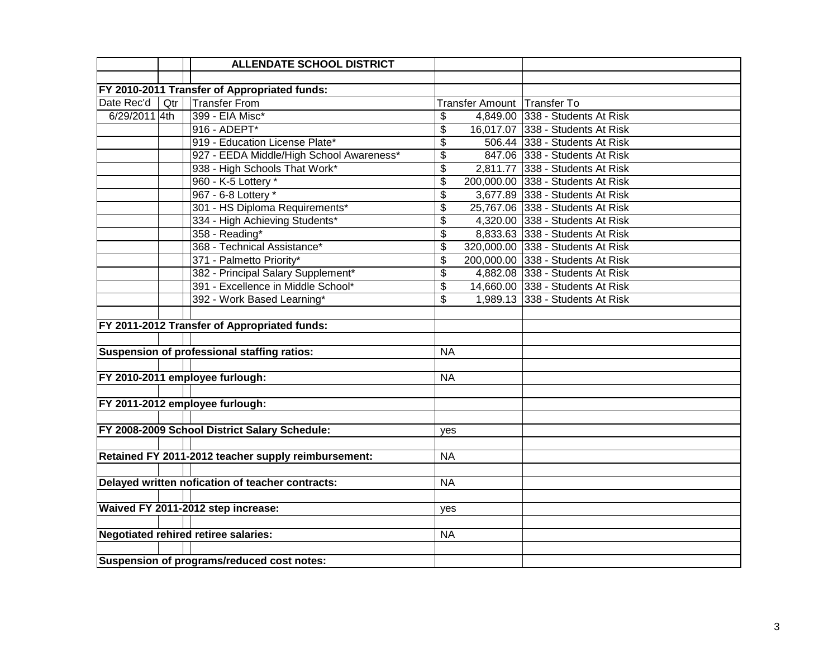|               |     | <b>ALLENDATE SCHOOL DISTRICT</b>                    |                           |                             |                                   |
|---------------|-----|-----------------------------------------------------|---------------------------|-----------------------------|-----------------------------------|
|               |     |                                                     |                           |                             |                                   |
|               |     | FY 2010-2011 Transfer of Appropriated funds:        |                           |                             |                                   |
| Date Rec'd    | Qtr | <b>Transfer From</b>                                |                           | Transfer Amount Transfer To |                                   |
| 6/29/2011 4th |     | 399 - EIA Misc*                                     | \$                        |                             | 4,849.00 338 - Students At Risk   |
|               |     | 916 - ADEPT*                                        | \$                        |                             | 16,017.07 338 - Students At Risk  |
|               |     | 919 - Education License Plate*                      | \$                        |                             | 506.44 338 - Students At Risk     |
|               |     | 927 - EEDA Middle/High School Awareness*            | \$                        |                             | 847.06 338 - Students At Risk     |
|               |     | 938 - High Schools That Work*                       | $\overline{\mathbf{S}}$   |                             | 2,811.77 338 - Students At Risk   |
|               |     | 960 - K-5 Lottery *                                 | $\overline{\$}$           |                             | 200,000.00 338 - Students At Risk |
|               |     | 967 - 6-8 Lottery *                                 | \$                        |                             | 3,677.89 338 - Students At Risk   |
|               |     | 301 - HS Diploma Requirements*                      | \$                        |                             | 25,767.06 338 - Students At Risk  |
|               |     | 334 - High Achieving Students*                      | $\overline{\mathfrak{s}}$ |                             | 4,320.00 338 - Students At Risk   |
|               |     | 358 - Reading*                                      | \$                        |                             | 8,833.63 338 - Students At Risk   |
|               |     | 368 - Technical Assistance*                         | \$                        |                             | 320,000.00 338 - Students At Risk |
|               |     | 371 - Palmetto Priority*                            | \$                        |                             | 200,000.00 338 - Students At Risk |
|               |     | 382 - Principal Salary Supplement*                  | \$                        |                             | 4,882.08 338 - Students At Risk   |
|               |     | 391 - Excellence in Middle School*                  | \$                        |                             | 14,660.00 338 - Students At Risk  |
|               |     | 392 - Work Based Learning*                          | \$                        |                             | 1,989.13 338 - Students At Risk   |
|               |     |                                                     |                           |                             |                                   |
|               |     | FY 2011-2012 Transfer of Appropriated funds:        |                           |                             |                                   |
|               |     |                                                     |                           |                             |                                   |
|               |     | Suspension of professional staffing ratios:         | <b>NA</b>                 |                             |                                   |
|               |     |                                                     |                           |                             |                                   |
|               |     | FY 2010-2011 employee furlough:                     | <b>NA</b>                 |                             |                                   |
|               |     |                                                     |                           |                             |                                   |
|               |     | FY 2011-2012 employee furlough:                     |                           |                             |                                   |
|               |     |                                                     |                           |                             |                                   |
|               |     | FY 2008-2009 School District Salary Schedule:       | yes                       |                             |                                   |
|               |     |                                                     |                           |                             |                                   |
|               |     | Retained FY 2011-2012 teacher supply reimbursement: | <b>NA</b>                 |                             |                                   |
|               |     |                                                     |                           |                             |                                   |
|               |     | Delayed written nofication of teacher contracts:    | <b>NA</b>                 |                             |                                   |
|               |     |                                                     |                           |                             |                                   |
|               |     | Waived FY 2011-2012 step increase:                  | yes                       |                             |                                   |
|               |     |                                                     |                           |                             |                                   |
|               |     | <b>Negotiated rehired retiree salaries:</b>         | <b>NA</b>                 |                             |                                   |
|               |     |                                                     |                           |                             |                                   |
|               |     | Suspension of programs/reduced cost notes:          |                           |                             |                                   |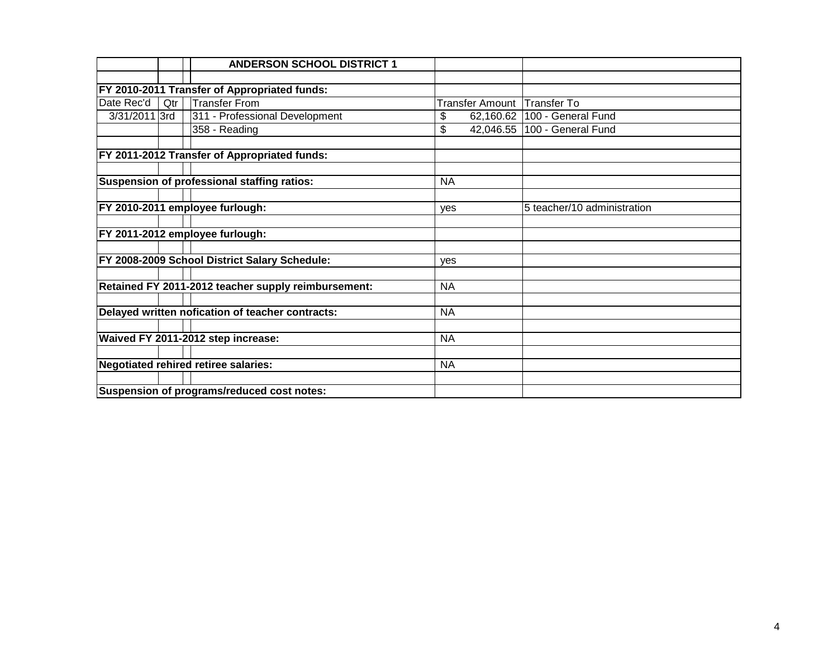|               |     | <b>ANDERSON SCHOOL DISTRICT 1</b>                   |                        |                                |
|---------------|-----|-----------------------------------------------------|------------------------|--------------------------------|
|               |     |                                                     |                        |                                |
|               |     | FY 2010-2011 Transfer of Appropriated funds:        |                        |                                |
| Date Rec'd    | Qtr | <b>Transfer From</b>                                | <b>Transfer Amount</b> | Transfer To                    |
| 3/31/2011 3rd |     | 311 - Professional Development                      | \$                     | 62,160.62   100 - General Fund |
|               |     | 358 - Reading                                       | \$                     | 42,046.55   100 - General Fund |
|               |     |                                                     |                        |                                |
|               |     | FY 2011-2012 Transfer of Appropriated funds:        |                        |                                |
|               |     |                                                     |                        |                                |
|               |     | Suspension of professional staffing ratios:         | <b>NA</b>              |                                |
|               |     |                                                     |                        |                                |
|               |     | FY 2010-2011 employee furlough:                     | yes                    | 5 teacher/10 administration    |
|               |     |                                                     |                        |                                |
|               |     | FY 2011-2012 employee furlough:                     |                        |                                |
|               |     |                                                     |                        |                                |
|               |     | FY 2008-2009 School District Salary Schedule:       | ves                    |                                |
|               |     |                                                     |                        |                                |
|               |     | Retained FY 2011-2012 teacher supply reimbursement: | <b>NA</b>              |                                |
|               |     |                                                     |                        |                                |
|               |     | Delayed written nofication of teacher contracts:    | <b>NA</b>              |                                |
|               |     |                                                     |                        |                                |
|               |     | Waived FY 2011-2012 step increase:                  | <b>NA</b>              |                                |
|               |     |                                                     |                        |                                |
|               |     | <b>Negotiated rehired retiree salaries:</b>         | <b>NA</b>              |                                |
|               |     |                                                     |                        |                                |
|               |     | Suspension of programs/reduced cost notes:          |                        |                                |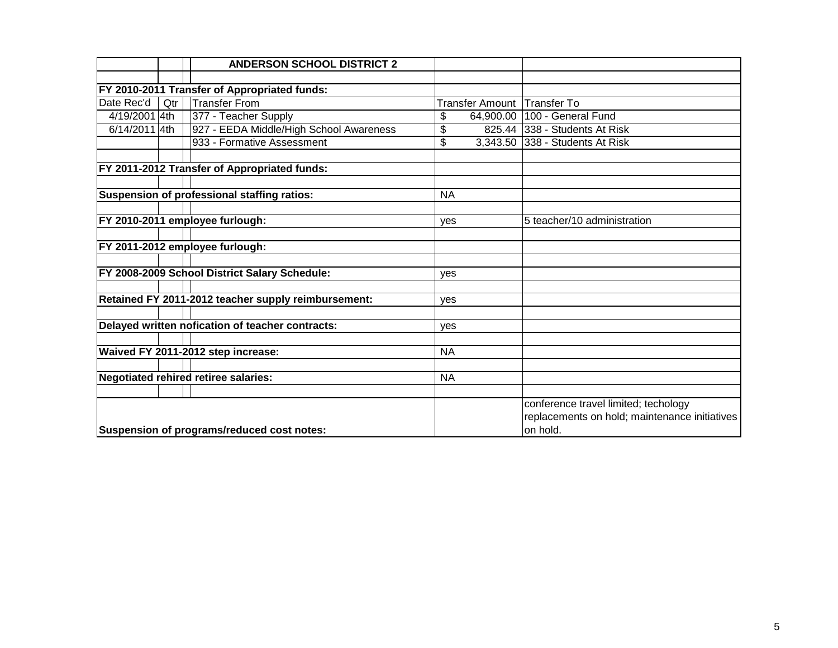|               |     | <b>ANDERSON SCHOOL DISTRICT 2</b>                   |           |                        |                                               |
|---------------|-----|-----------------------------------------------------|-----------|------------------------|-----------------------------------------------|
|               |     |                                                     |           |                        |                                               |
|               |     | FY 2010-2011 Transfer of Appropriated funds:        |           |                        |                                               |
| Date Rec'd    | Qtr | <b>Transfer From</b>                                |           | <b>Transfer Amount</b> | <b>Transfer To</b>                            |
| 4/19/2001 4th |     | 377 - Teacher Supply                                | \$        | 64,900.00              | 100 - General Fund                            |
| 6/14/2011 4th |     | 927 - EEDA Middle/High School Awareness             | \$        | 825.44                 | 338 - Students At Risk                        |
|               |     | 933 - Formative Assessment                          | \$        |                        | 3,343.50 338 - Students At Risk               |
|               |     |                                                     |           |                        |                                               |
|               |     | FY 2011-2012 Transfer of Appropriated funds:        |           |                        |                                               |
|               |     |                                                     |           |                        |                                               |
|               |     | <b>Suspension of professional staffing ratios:</b>  | <b>NA</b> |                        |                                               |
|               |     |                                                     |           |                        |                                               |
|               |     | FY 2010-2011 employee furlough:                     | yes       |                        | 5 teacher/10 administration                   |
|               |     |                                                     |           |                        |                                               |
|               |     | FY 2011-2012 employee furlough:                     |           |                        |                                               |
|               |     |                                                     |           |                        |                                               |
|               |     | FY 2008-2009 School District Salary Schedule:       | ves       |                        |                                               |
|               |     |                                                     |           |                        |                                               |
|               |     | Retained FY 2011-2012 teacher supply reimbursement: | yes       |                        |                                               |
|               |     |                                                     |           |                        |                                               |
|               |     | Delayed written nofication of teacher contracts:    | yes       |                        |                                               |
|               |     |                                                     |           |                        |                                               |
|               |     | Waived FY 2011-2012 step increase:                  | <b>NA</b> |                        |                                               |
|               |     |                                                     |           |                        |                                               |
|               |     | <b>Negotiated rehired retiree salaries:</b>         | <b>NA</b> |                        |                                               |
|               |     |                                                     |           |                        |                                               |
|               |     |                                                     |           |                        | conference travel limited; techology          |
|               |     |                                                     |           |                        | replacements on hold; maintenance initiatives |
|               |     | Suspension of programs/reduced cost notes:          |           |                        | on hold.                                      |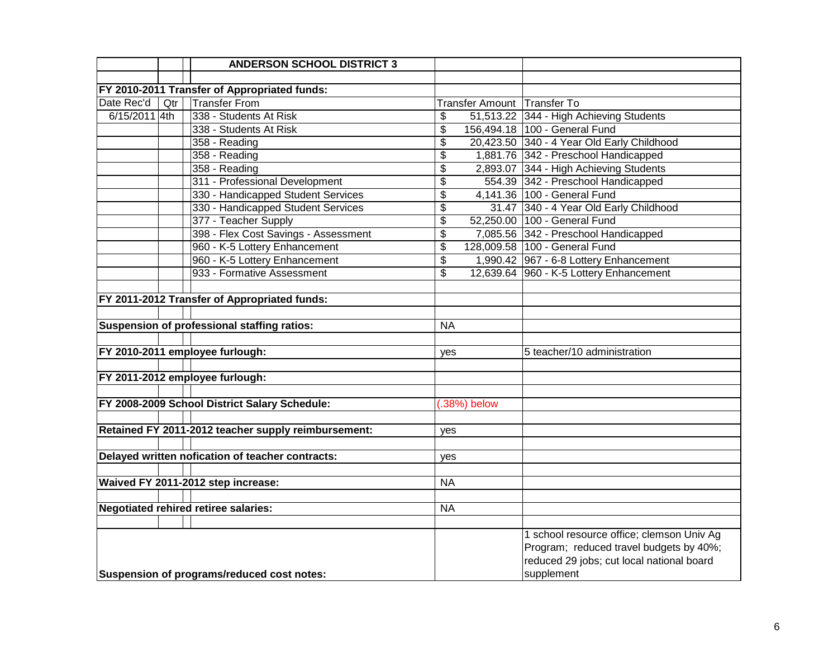|               |     | <b>ANDERSON SCHOOL DISTRICT 3</b>                   |                           |                             |                                            |
|---------------|-----|-----------------------------------------------------|---------------------------|-----------------------------|--------------------------------------------|
|               |     |                                                     |                           |                             |                                            |
|               |     | FY 2010-2011 Transfer of Appropriated funds:        |                           |                             |                                            |
| Date Rec'd    | Qtr | <b>Transfer From</b>                                |                           | Transfer Amount Transfer To |                                            |
| 6/15/2011 4th |     | 338 - Students At Risk                              | \$                        |                             | 51,513.22 344 - High Achieving Students    |
|               |     | 338 - Students At Risk                              | \$                        |                             | 156,494.18 100 - General Fund              |
|               |     | 358 - Reading                                       | \$                        |                             | 20,423.50 340 - 4 Year Old Early Childhood |
|               |     | 358 - Reading                                       | \$                        |                             | 1,881.76 342 - Preschool Handicapped       |
|               |     | 358 - Reading                                       | \$                        |                             | 2,893.07 344 - High Achieving Students     |
|               |     | 311 - Professional Development                      | $\overline{\$}$           |                             | 554.39 342 - Preschool Handicapped         |
|               |     | 330 - Handicapped Student Services                  | $\overline{\$}$           |                             | 4,141.36 100 - General Fund                |
|               |     | 330 - Handicapped Student Services                  | $\overline{\mathcal{L}}$  |                             | 31.47 340 - 4 Year Old Early Childhood     |
|               |     | 377 - Teacher Supply                                | $\overline{\mathfrak{s}}$ |                             | 52,250.00 100 - General Fund               |
|               |     | 398 - Flex Cost Savings - Assessment                | \$                        |                             | 7,085.56 342 - Preschool Handicapped       |
|               |     | 960 - K-5 Lottery Enhancement                       | \$                        |                             | 128,009.58 100 - General Fund              |
|               |     | 960 - K-5 Lottery Enhancement                       | \$                        |                             | 1,990.42 967 - 6-8 Lottery Enhancement     |
|               |     | 933 - Formative Assessment                          | \$                        |                             | 12,639.64 960 - K-5 Lottery Enhancement    |
|               |     |                                                     |                           |                             |                                            |
|               |     | FY 2011-2012 Transfer of Appropriated funds:        |                           |                             |                                            |
|               |     |                                                     |                           |                             |                                            |
|               |     | Suspension of professional staffing ratios:         | <b>NA</b>                 |                             |                                            |
|               |     |                                                     |                           |                             |                                            |
|               |     | FY 2010-2011 employee furlough:                     | yes                       |                             | 5 teacher/10 administration                |
|               |     |                                                     |                           |                             |                                            |
|               |     | FY 2011-2012 employee furlough:                     |                           |                             |                                            |
|               |     |                                                     |                           |                             |                                            |
|               |     | FY 2008-2009 School District Salary Schedule:       |                           | $(.38%)$ below              |                                            |
|               |     |                                                     |                           |                             |                                            |
|               |     | Retained FY 2011-2012 teacher supply reimbursement: | yes                       |                             |                                            |
|               |     |                                                     |                           |                             |                                            |
|               |     | Delayed written nofication of teacher contracts:    | yes                       |                             |                                            |
|               |     |                                                     |                           |                             |                                            |
|               |     | Waived FY 2011-2012 step increase:                  | <b>NA</b>                 |                             |                                            |
|               |     |                                                     |                           |                             |                                            |
|               |     | <b>Negotiated rehired retiree salaries:</b>         | <b>NA</b>                 |                             |                                            |
|               |     |                                                     |                           |                             |                                            |
|               |     |                                                     |                           |                             | 1 school resource office; clemson Univ Ag  |
|               |     |                                                     |                           |                             | Program; reduced travel budgets by 40%;    |
|               |     |                                                     |                           |                             | reduced 29 jobs; cut local national board  |
|               |     | Suspension of programs/reduced cost notes:          |                           |                             | supplement                                 |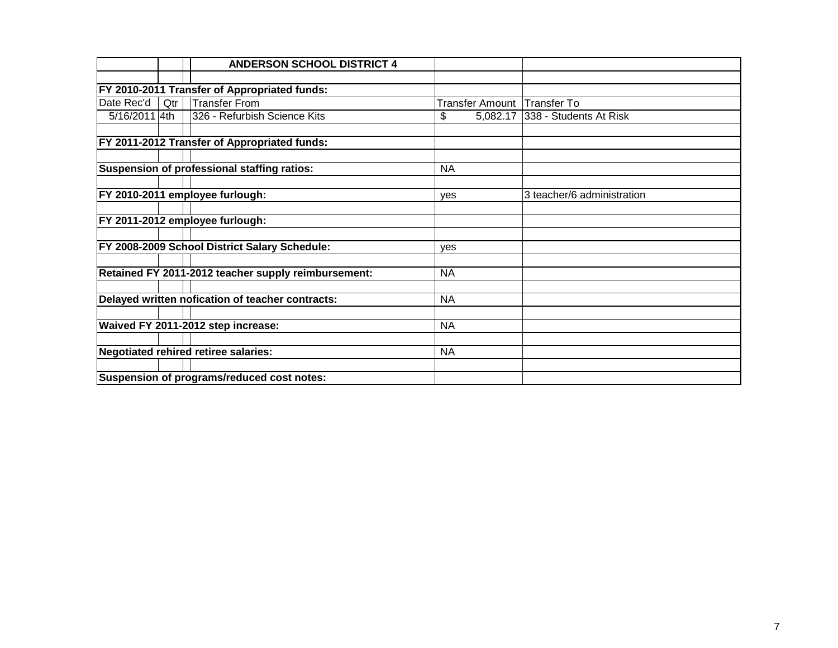|               |     | <b>ANDERSON SCHOOL DISTRICT 4</b>                   |            |          |                             |
|---------------|-----|-----------------------------------------------------|------------|----------|-----------------------------|
|               |     |                                                     |            |          |                             |
|               |     | FY 2010-2011 Transfer of Appropriated funds:        |            |          |                             |
| Date Rec'd    | Qtr | <b>Transfer From</b>                                |            |          | Transfer Amount Transfer To |
| 5/16/2011 4th |     | 326 - Refurbish Science Kits                        | \$         | 5,082.17 | 338 - Students At Risk      |
|               |     |                                                     |            |          |                             |
|               |     | <b>FY 2011-2012 Transfer of Appropriated funds:</b> |            |          |                             |
|               |     |                                                     |            |          |                             |
|               |     | Suspension of professional staffing ratios:         | <b>NA</b>  |          |                             |
|               |     |                                                     |            |          |                             |
|               |     | FY 2010-2011 employee furlough:                     | <b>ves</b> |          | 3 teacher/6 administration  |
|               |     |                                                     |            |          |                             |
|               |     | FY 2011-2012 employee furlough:                     |            |          |                             |
|               |     |                                                     |            |          |                             |
|               |     | FY 2008-2009 School District Salary Schedule:       | ves        |          |                             |
|               |     |                                                     |            |          |                             |
|               |     | Retained FY 2011-2012 teacher supply reimbursement: | <b>NA</b>  |          |                             |
|               |     |                                                     |            |          |                             |
|               |     | Delayed written nofication of teacher contracts:    | <b>NA</b>  |          |                             |
|               |     |                                                     |            |          |                             |
|               |     | Waived FY 2011-2012 step increase:                  | <b>NA</b>  |          |                             |
|               |     |                                                     |            |          |                             |
|               |     | Negotiated rehired retiree salaries:                | <b>NA</b>  |          |                             |
|               |     |                                                     |            |          |                             |
|               |     | Suspension of programs/reduced cost notes:          |            |          |                             |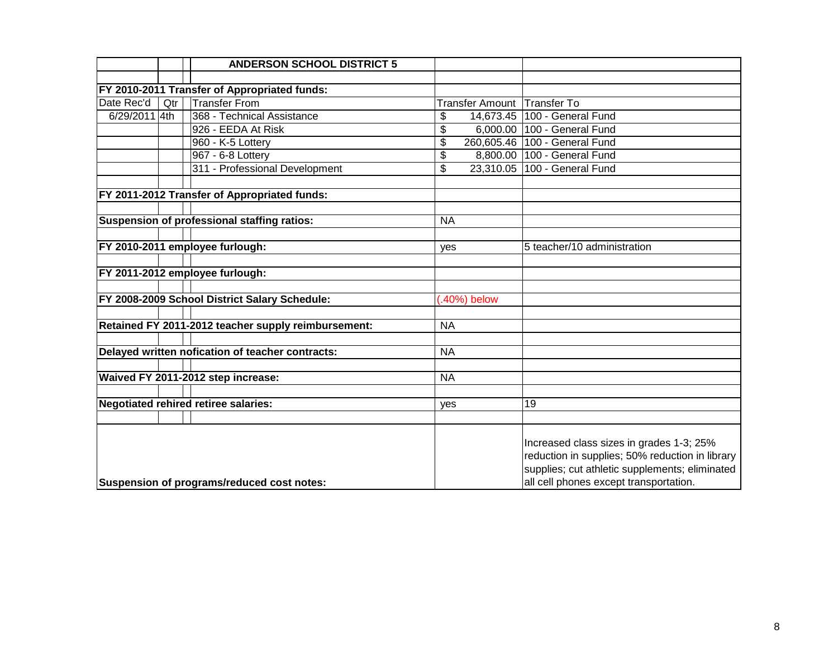|               |     | <b>ANDERSON SCHOOL DISTRICT 5</b>                   |           |                        |                                                                                                                                                                                         |
|---------------|-----|-----------------------------------------------------|-----------|------------------------|-----------------------------------------------------------------------------------------------------------------------------------------------------------------------------------------|
|               |     |                                                     |           |                        |                                                                                                                                                                                         |
|               |     | FY 2010-2011 Transfer of Appropriated funds:        |           |                        |                                                                                                                                                                                         |
| Date Rec'd    | Qtr | <b>Transfer From</b>                                |           | <b>Transfer Amount</b> | Transfer To                                                                                                                                                                             |
| 6/29/2011 4th |     | 368 - Technical Assistance                          | \$        |                        | 14,673.45   100 - General Fund                                                                                                                                                          |
|               |     | 926 - EEDA At Risk                                  | \$        |                        | 6,000.00 100 - General Fund                                                                                                                                                             |
|               |     | 960 - K-5 Lottery                                   | \$        |                        | 260,605.46 100 - General Fund                                                                                                                                                           |
|               |     | 967 - 6-8 Lottery                                   | \$        |                        | 8,800.00 100 - General Fund                                                                                                                                                             |
|               |     | 311 - Professional Development                      | \$        |                        | 23,310.05 100 - General Fund                                                                                                                                                            |
|               |     |                                                     |           |                        |                                                                                                                                                                                         |
|               |     | FY 2011-2012 Transfer of Appropriated funds:        |           |                        |                                                                                                                                                                                         |
|               |     |                                                     |           |                        |                                                                                                                                                                                         |
|               |     | Suspension of professional staffing ratios:         | <b>NA</b> |                        |                                                                                                                                                                                         |
|               |     |                                                     |           |                        |                                                                                                                                                                                         |
|               |     | FY 2010-2011 employee furlough:                     | yes       |                        | 5 teacher/10 administration                                                                                                                                                             |
|               |     |                                                     |           |                        |                                                                                                                                                                                         |
|               |     | FY 2011-2012 employee furlough:                     |           |                        |                                                                                                                                                                                         |
|               |     |                                                     |           |                        |                                                                                                                                                                                         |
|               |     | FY 2008-2009 School District Salary Schedule:       |           | $(.40\%)$ below        |                                                                                                                                                                                         |
|               |     |                                                     |           |                        |                                                                                                                                                                                         |
|               |     | Retained FY 2011-2012 teacher supply reimbursement: | <b>NA</b> |                        |                                                                                                                                                                                         |
|               |     |                                                     |           |                        |                                                                                                                                                                                         |
|               |     | Delayed written nofication of teacher contracts:    | <b>NA</b> |                        |                                                                                                                                                                                         |
|               |     |                                                     |           |                        |                                                                                                                                                                                         |
|               |     | Waived FY 2011-2012 step increase:                  | <b>NA</b> |                        |                                                                                                                                                                                         |
|               |     |                                                     |           |                        |                                                                                                                                                                                         |
|               |     | <b>Negotiated rehired retiree salaries:</b>         | yes       |                        | 19                                                                                                                                                                                      |
|               |     |                                                     |           |                        |                                                                                                                                                                                         |
|               |     | Suspension of programs/reduced cost notes:          |           |                        | Increased class sizes in grades 1-3; 25%<br>reduction in supplies; 50% reduction in library<br>supplies; cut athletic supplements; eliminated<br>all cell phones except transportation. |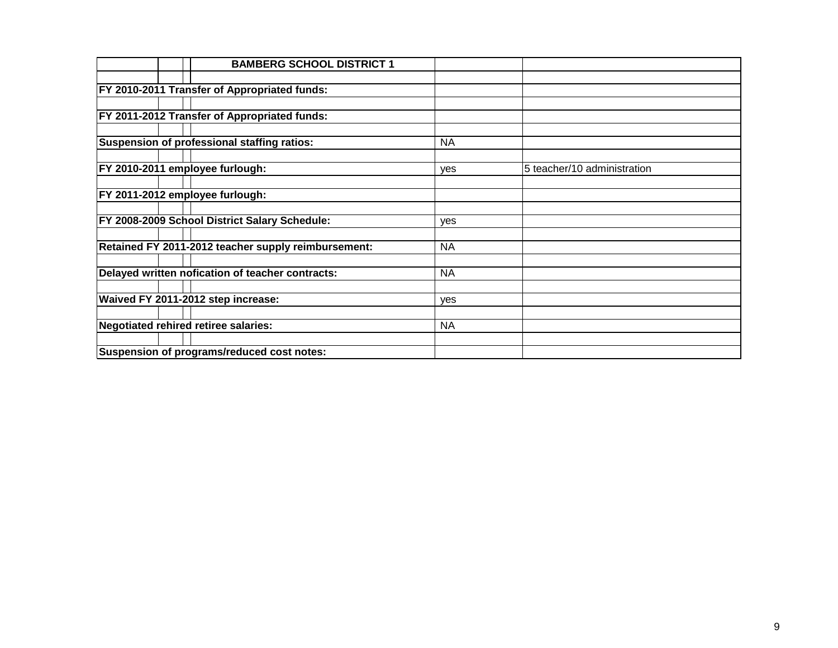|  | <b>BAMBERG SCHOOL DISTRICT 1</b>                     |            |                             |
|--|------------------------------------------------------|------------|-----------------------------|
|  |                                                      |            |                             |
|  | <b>FY 2010-2011 Transfer of Appropriated funds:</b>  |            |                             |
|  |                                                      |            |                             |
|  | FY 2011-2012 Transfer of Appropriated funds:         |            |                             |
|  |                                                      |            |                             |
|  | Suspension of professional staffing ratios:          | <b>NA</b>  |                             |
|  |                                                      |            |                             |
|  | FY 2010-2011 employee furlough:                      | yes        | 5 teacher/10 administration |
|  |                                                      |            |                             |
|  | FY 2011-2012 employee furlough:                      |            |                             |
|  |                                                      |            |                             |
|  | <b>FY 2008-2009 School District Salary Schedule:</b> | yes        |                             |
|  |                                                      |            |                             |
|  | Retained FY 2011-2012 teacher supply reimbursement:  | <b>NA</b>  |                             |
|  |                                                      |            |                             |
|  | Delayed written nofication of teacher contracts:     | <b>NA</b>  |                             |
|  |                                                      |            |                             |
|  | Waived FY 2011-2012 step increase:                   | <b>ves</b> |                             |
|  |                                                      |            |                             |
|  | Negotiated rehired retiree salaries:                 | <b>NA</b>  |                             |
|  |                                                      |            |                             |
|  | Suspension of programs/reduced cost notes:           |            |                             |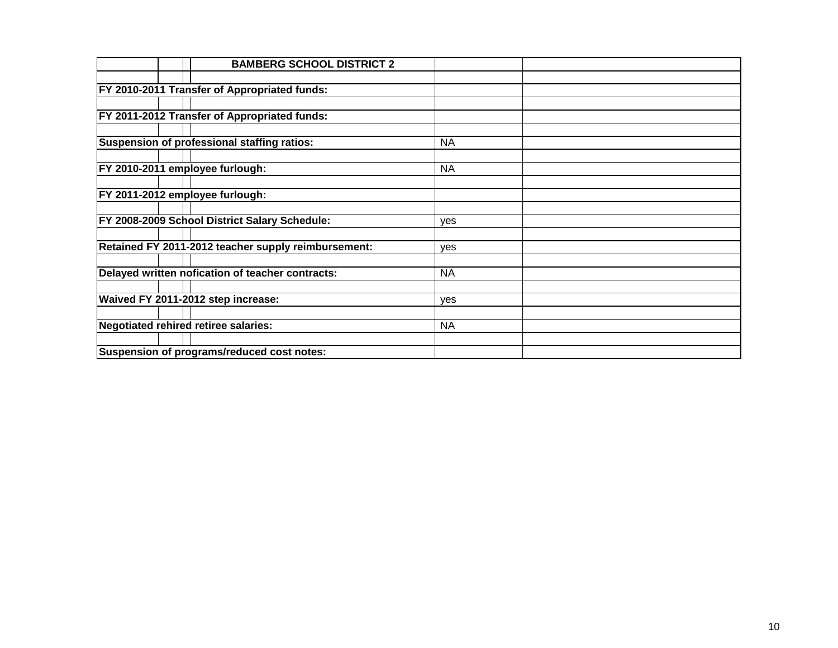| <b>BAMBERG SCHOOL DISTRICT 2</b>                    |           |  |
|-----------------------------------------------------|-----------|--|
|                                                     |           |  |
| <b>FY 2010-2011 Transfer of Appropriated funds:</b> |           |  |
|                                                     |           |  |
| <b>FY 2011-2012 Transfer of Appropriated funds:</b> |           |  |
|                                                     |           |  |
| Suspension of professional staffing ratios:         | <b>NA</b> |  |
|                                                     |           |  |
| FY 2010-2011 employee furlough:                     | <b>NA</b> |  |
|                                                     |           |  |
| FY 2011-2012 employee furlough:                     |           |  |
|                                                     |           |  |
| FY 2008-2009 School District Salary Schedule:       | yes       |  |
|                                                     |           |  |
| Retained FY 2011-2012 teacher supply reimbursement: | ves       |  |
|                                                     |           |  |
| Delayed written nofication of teacher contracts:    | <b>NA</b> |  |
|                                                     |           |  |
| Waived FY 2011-2012 step increase:                  | yes       |  |
|                                                     |           |  |
| Negotiated rehired retiree salaries:                | <b>NA</b> |  |
|                                                     |           |  |
| Suspension of programs/reduced cost notes:          |           |  |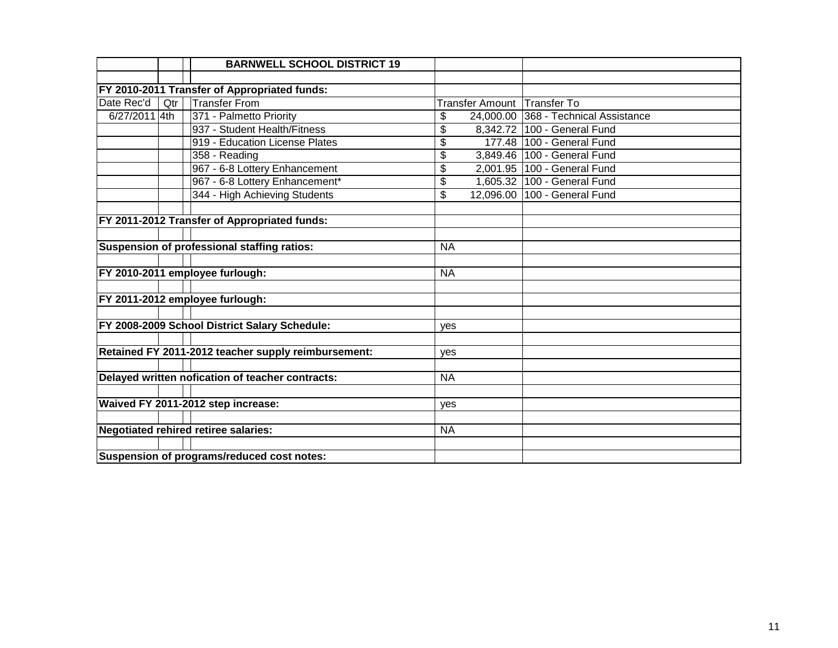|               |     | <b>BARNWELL SCHOOL DISTRICT 19</b>                  |           |                                      |
|---------------|-----|-----------------------------------------------------|-----------|--------------------------------------|
|               |     |                                                     |           |                                      |
|               |     | FY 2010-2011 Transfer of Appropriated funds:        |           |                                      |
| Date Rec'd    | Qtr | <b>Transfer From</b>                                |           | Transfer Amount Transfer To          |
| 6/27/2011 4th |     | 371 - Palmetto Priority                             | \$        | 24,000.00 368 - Technical Assistance |
|               |     | 937 - Student Health/Fitness                        | \$        | 8,342.72 100 - General Fund          |
|               |     | 919 - Education License Plates                      | \$        | 177.48 100 - General Fund            |
|               |     | 358 - Reading                                       | \$        | 3,849.46   100 - General Fund        |
|               |     | 967 - 6-8 Lottery Enhancement                       | \$        | 2,001.95   100 - General Fund        |
|               |     | 967 - 6-8 Lottery Enhancement*                      | \$        | 1,605.32 100 - General Fund          |
|               |     | 344 - High Achieving Students                       | \$        | 12,096.00 100 - General Fund         |
|               |     |                                                     |           |                                      |
|               |     | FY 2011-2012 Transfer of Appropriated funds:        |           |                                      |
|               |     |                                                     |           |                                      |
|               |     | Suspension of professional staffing ratios:         | <b>NA</b> |                                      |
|               |     |                                                     |           |                                      |
|               |     | FY 2010-2011 employee furlough:                     | <b>NA</b> |                                      |
|               |     |                                                     |           |                                      |
|               |     | FY 2011-2012 employee furlough:                     |           |                                      |
|               |     |                                                     |           |                                      |
|               |     | FY 2008-2009 School District Salary Schedule:       | yes       |                                      |
|               |     |                                                     |           |                                      |
|               |     | Retained FY 2011-2012 teacher supply reimbursement: | yes       |                                      |
|               |     |                                                     |           |                                      |
|               |     | Delayed written nofication of teacher contracts:    | <b>NA</b> |                                      |
|               |     |                                                     |           |                                      |
|               |     | Waived FY 2011-2012 step increase:                  | yes       |                                      |
|               |     |                                                     |           |                                      |
|               |     | <b>Negotiated rehired retiree salaries:</b>         | <b>NA</b> |                                      |
|               |     |                                                     |           |                                      |
|               |     | Suspension of programs/reduced cost notes:          |           |                                      |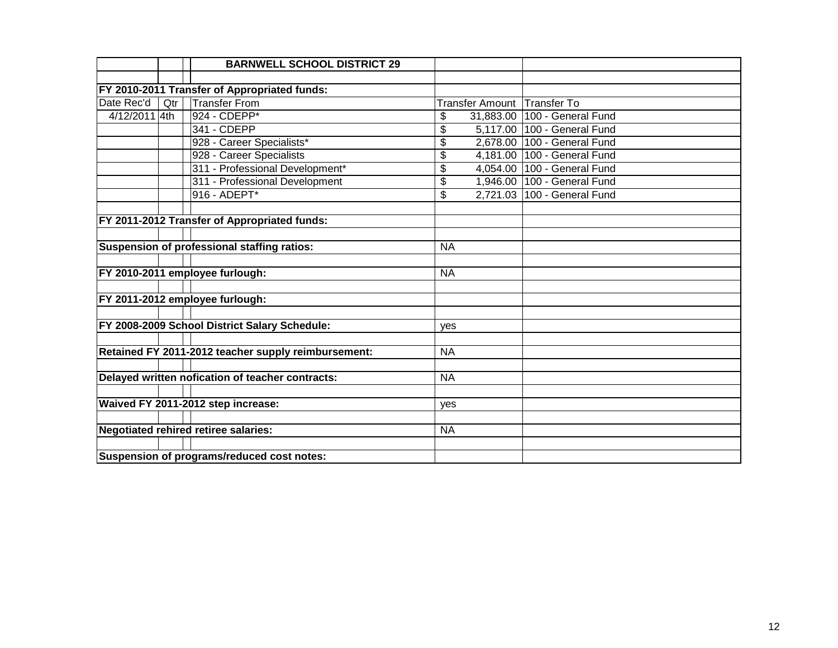|               |     | <b>BARNWELL SCHOOL DISTRICT 29</b>                  |           |          |                                |
|---------------|-----|-----------------------------------------------------|-----------|----------|--------------------------------|
|               |     |                                                     |           |          |                                |
|               |     | FY 2010-2011 Transfer of Appropriated funds:        |           |          |                                |
| Date Rec'd    | Qtr | Transfer From                                       |           |          | Transfer Amount Transfer To    |
| 4/12/2011 4th |     | 924 - CDEPP*                                        | \$        |          | 31,883.00   100 - General Fund |
|               |     | 341 - CDEPP                                         | \$        |          | 5,117.00 100 - General Fund    |
|               |     | 928 - Career Specialists*                           | \$        |          | 2,678.00 100 - General Fund    |
|               |     | 928 - Career Specialists                            | \$        | 4,181.00 | 100 - General Fund             |
|               |     | 311 - Professional Development*                     | \$        | 4,054.00 | 100 - General Fund             |
|               |     | 311 - Professional Development                      | \$        |          | 1,946.00   100 - General Fund  |
|               |     | 916 - ADEPT*                                        | \$        |          | 2,721.03 100 - General Fund    |
|               |     |                                                     |           |          |                                |
|               |     | FY 2011-2012 Transfer of Appropriated funds:        |           |          |                                |
|               |     |                                                     |           |          |                                |
|               |     | Suspension of professional staffing ratios:         | <b>NA</b> |          |                                |
|               |     |                                                     |           |          |                                |
|               |     | FY 2010-2011 employee furlough:                     | <b>NA</b> |          |                                |
|               |     |                                                     |           |          |                                |
|               |     | FY 2011-2012 employee furlough:                     |           |          |                                |
|               |     |                                                     |           |          |                                |
|               |     | FY 2008-2009 School District Salary Schedule:       | yes       |          |                                |
|               |     |                                                     |           |          |                                |
|               |     | Retained FY 2011-2012 teacher supply reimbursement: | <b>NA</b> |          |                                |
|               |     |                                                     |           |          |                                |
|               |     | Delayed written nofication of teacher contracts:    | <b>NA</b> |          |                                |
|               |     |                                                     |           |          |                                |
|               |     | Waived FY 2011-2012 step increase:                  | yes       |          |                                |
|               |     |                                                     |           |          |                                |
|               |     | <b>Negotiated rehired retiree salaries:</b>         | <b>NA</b> |          |                                |
|               |     |                                                     |           |          |                                |
|               |     | Suspension of programs/reduced cost notes:          |           |          |                                |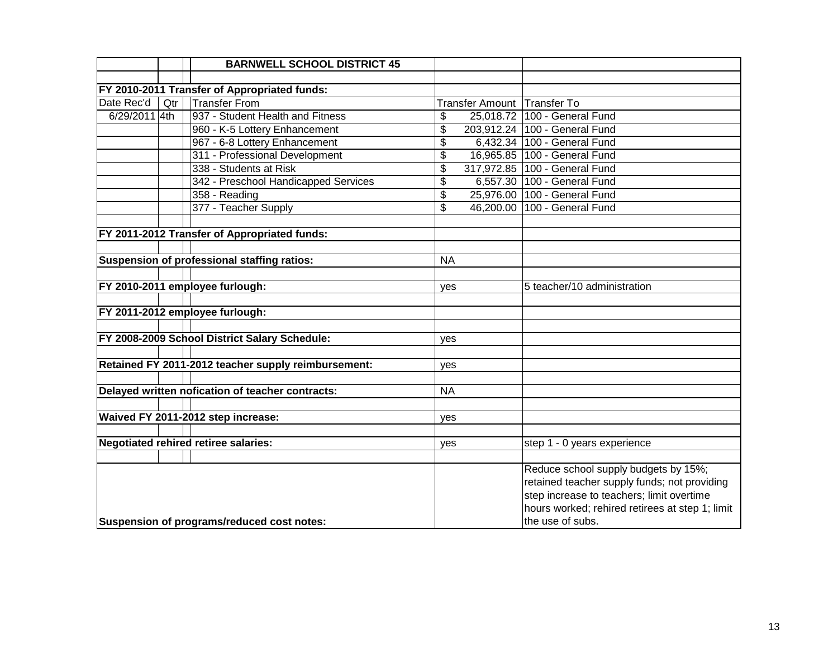|               |     | <b>BARNWELL SCHOOL DISTRICT 45</b>                  |                          |                             |                                                                                                                                                                                                          |
|---------------|-----|-----------------------------------------------------|--------------------------|-----------------------------|----------------------------------------------------------------------------------------------------------------------------------------------------------------------------------------------------------|
|               |     |                                                     |                          |                             |                                                                                                                                                                                                          |
|               |     | FY 2010-2011 Transfer of Appropriated funds:        |                          |                             |                                                                                                                                                                                                          |
| Date Rec'd    | Qtr | <b>Transfer From</b>                                |                          | Transfer Amount Transfer To |                                                                                                                                                                                                          |
| 6/29/2011 4th |     | 937 - Student Health and Fitness                    | \$                       | 25,018.72                   | 100 - General Fund                                                                                                                                                                                       |
|               |     | 960 - K-5 Lottery Enhancement                       | \$                       |                             | 203,912.24 100 - General Fund                                                                                                                                                                            |
|               |     | 967 - 6-8 Lottery Enhancement                       | \$                       |                             | 6,432.34 100 - General Fund                                                                                                                                                                              |
|               |     | 311 - Professional Development                      | \$                       |                             | 16,965.85 100 - General Fund                                                                                                                                                                             |
|               |     | 338 - Students at Risk                              | \$                       |                             | 317,972.85 100 - General Fund                                                                                                                                                                            |
|               |     | 342 - Preschool Handicapped Services                | \$                       |                             | 6,557.30 100 - General Fund                                                                                                                                                                              |
|               |     | 358 - Reading                                       | \$                       |                             | 25,976.00   100 - General Fund                                                                                                                                                                           |
|               |     | 377 - Teacher Supply                                | $\overline{\mathcal{L}}$ |                             | 46,200.00 100 - General Fund                                                                                                                                                                             |
|               |     |                                                     |                          |                             |                                                                                                                                                                                                          |
|               |     | FY 2011-2012 Transfer of Appropriated funds:        |                          |                             |                                                                                                                                                                                                          |
|               |     |                                                     |                          |                             |                                                                                                                                                                                                          |
|               |     | Suspension of professional staffing ratios:         | <b>NA</b>                |                             |                                                                                                                                                                                                          |
|               |     |                                                     |                          |                             |                                                                                                                                                                                                          |
|               |     | FY 2010-2011 employee furlough:                     | yes                      |                             | 5 teacher/10 administration                                                                                                                                                                              |
|               |     |                                                     |                          |                             |                                                                                                                                                                                                          |
|               |     | FY 2011-2012 employee furlough:                     |                          |                             |                                                                                                                                                                                                          |
|               |     |                                                     |                          |                             |                                                                                                                                                                                                          |
|               |     | FY 2008-2009 School District Salary Schedule:       | ves                      |                             |                                                                                                                                                                                                          |
|               |     |                                                     |                          |                             |                                                                                                                                                                                                          |
|               |     | Retained FY 2011-2012 teacher supply reimbursement: | yes                      |                             |                                                                                                                                                                                                          |
|               |     |                                                     |                          |                             |                                                                                                                                                                                                          |
|               |     | Delayed written nofication of teacher contracts:    | <b>NA</b>                |                             |                                                                                                                                                                                                          |
|               |     |                                                     |                          |                             |                                                                                                                                                                                                          |
|               |     | Waived FY 2011-2012 step increase:                  | yes                      |                             |                                                                                                                                                                                                          |
|               |     |                                                     |                          |                             |                                                                                                                                                                                                          |
|               |     | <b>Negotiated rehired retiree salaries:</b>         | yes                      |                             | step 1 - 0 years experience                                                                                                                                                                              |
|               |     |                                                     |                          |                             |                                                                                                                                                                                                          |
|               |     | Suspension of programs/reduced cost notes:          |                          |                             | Reduce school supply budgets by 15%;<br>retained teacher supply funds; not providing<br>step increase to teachers; limit overtime<br>hours worked; rehired retirees at step 1; limit<br>the use of subs. |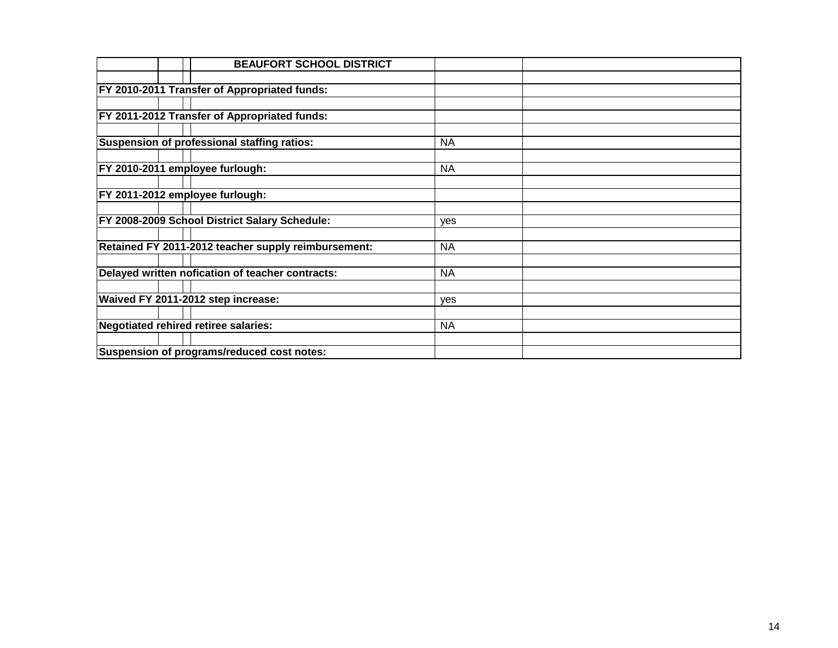| <b>BEAUFORT SCHOOL DISTRICT</b>                     |           |  |
|-----------------------------------------------------|-----------|--|
|                                                     |           |  |
| <b>FY 2010-2011 Transfer of Appropriated funds:</b> |           |  |
|                                                     |           |  |
| <b>FY 2011-2012 Transfer of Appropriated funds:</b> |           |  |
|                                                     |           |  |
| Suspension of professional staffing ratios:         | <b>NA</b> |  |
|                                                     |           |  |
| FY 2010-2011 employee furlough:                     | <b>NA</b> |  |
|                                                     |           |  |
| FY 2011-2012 employee furlough:                     |           |  |
|                                                     |           |  |
| FY 2008-2009 School District Salary Schedule:       | yes       |  |
|                                                     |           |  |
| Retained FY 2011-2012 teacher supply reimbursement: | <b>NA</b> |  |
|                                                     |           |  |
| Delayed written nofication of teacher contracts:    | <b>NA</b> |  |
|                                                     |           |  |
| Waived FY 2011-2012 step increase:                  | yes       |  |
|                                                     |           |  |
| Negotiated rehired retiree salaries:                | <b>NA</b> |  |
|                                                     |           |  |
| Suspension of programs/reduced cost notes:          |           |  |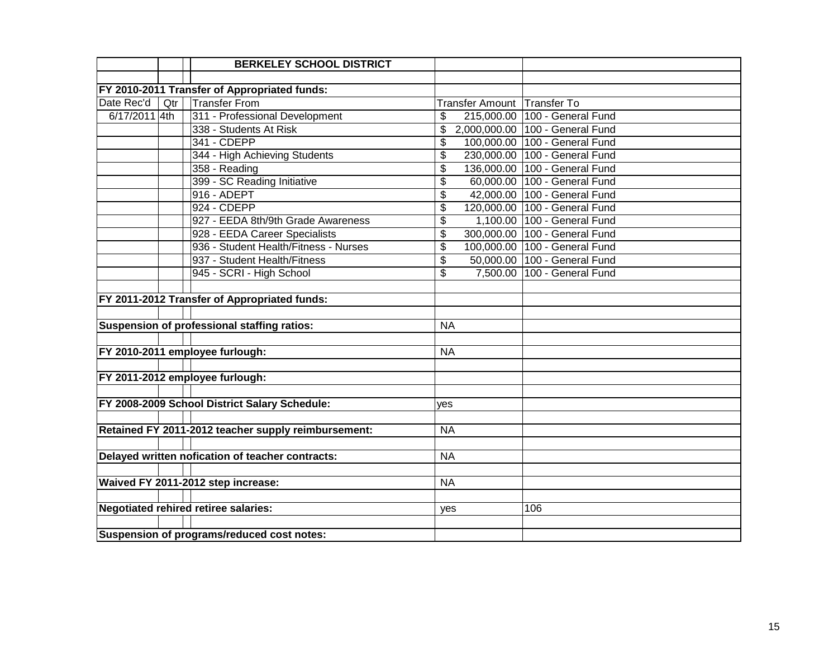|               |     | <b>BERKELEY SCHOOL DISTRICT</b>                     |           |                             |                                 |
|---------------|-----|-----------------------------------------------------|-----------|-----------------------------|---------------------------------|
|               |     |                                                     |           |                             |                                 |
|               |     | FY 2010-2011 Transfer of Appropriated funds:        |           |                             |                                 |
| Date Rec'd    | Qtr | <b>Transfer From</b>                                |           | Transfer Amount Transfer To |                                 |
| 6/17/2011 4th |     | 311 - Professional Development                      | \$        |                             | 215,000.00 100 - General Fund   |
|               |     | 338 - Students At Risk                              | \$        |                             | 2,000,000.00 100 - General Fund |
|               |     | 341 - CDEPP                                         | \$        |                             | 100,000.00 100 - General Fund   |
|               |     | 344 - High Achieving Students                       | \$        |                             | 230,000.00 100 - General Fund   |
|               |     | 358 - Reading                                       | \$        |                             | 136,000.00 100 - General Fund   |
|               |     | 399 - SC Reading Initiative                         | \$        |                             | 60,000.00 100 - General Fund    |
|               |     | 916 - ADEPT                                         | \$        |                             | 42,000.00 100 - General Fund    |
|               |     | 924 - CDEPP                                         | \$        |                             | 120,000.00 100 - General Fund   |
|               |     | 927 - EEDA 8th/9th Grade Awareness                  | \$        |                             | 1,100.00 100 - General Fund     |
|               |     | 928 - EEDA Career Specialists                       | \$        |                             | 300,000.00 100 - General Fund   |
|               |     | 936 - Student Health/Fitness - Nurses               | \$        |                             | 100,000.00 100 - General Fund   |
|               |     | 937 - Student Health/Fitness                        | \$        |                             | 50,000.00 100 - General Fund    |
|               |     | 945 - SCRI - High School                            | \$        |                             | 7,500.00 100 - General Fund     |
|               |     |                                                     |           |                             |                                 |
|               |     | FY 2011-2012 Transfer of Appropriated funds:        |           |                             |                                 |
|               |     |                                                     |           |                             |                                 |
|               |     | Suspension of professional staffing ratios:         | <b>NA</b> |                             |                                 |
|               |     |                                                     |           |                             |                                 |
|               |     | FY 2010-2011 employee furlough:                     | <b>NA</b> |                             |                                 |
|               |     |                                                     |           |                             |                                 |
|               |     | FY 2011-2012 employee furlough:                     |           |                             |                                 |
|               |     |                                                     |           |                             |                                 |
|               |     | FY 2008-2009 School District Salary Schedule:       | yes       |                             |                                 |
|               |     |                                                     |           |                             |                                 |
|               |     | Retained FY 2011-2012 teacher supply reimbursement: | <b>NA</b> |                             |                                 |
|               |     |                                                     |           |                             |                                 |
|               |     | Delayed written nofication of teacher contracts:    | <b>NA</b> |                             |                                 |
|               |     |                                                     |           |                             |                                 |
|               |     | Waived FY 2011-2012 step increase:                  | <b>NA</b> |                             |                                 |
|               |     |                                                     |           |                             |                                 |
|               |     | <b>Negotiated rehired retiree salaries:</b>         | yes       |                             | 106                             |
|               |     |                                                     |           |                             |                                 |
|               |     | Suspension of programs/reduced cost notes:          |           |                             |                                 |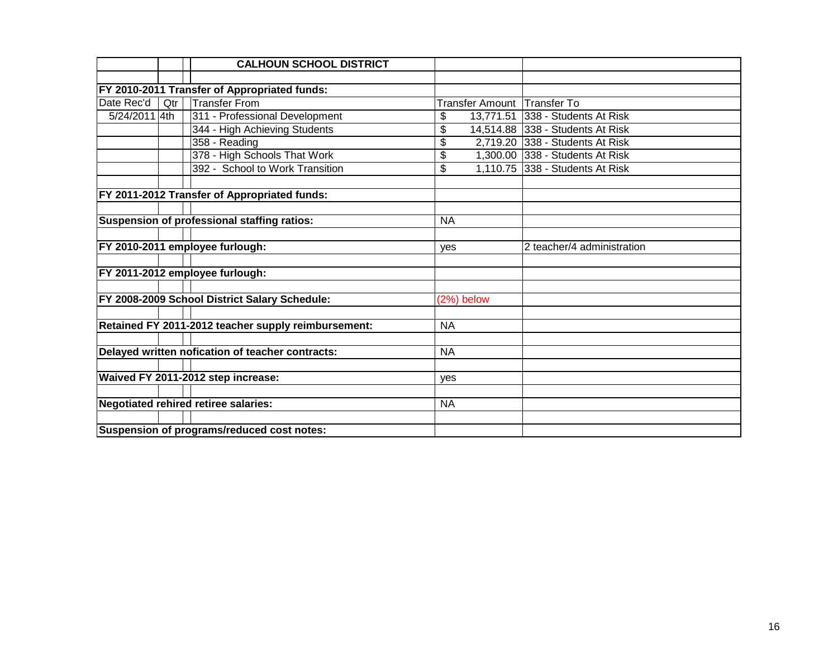|               |     | <b>CALHOUN SCHOOL DISTRICT</b>                      |            |                        |                                  |
|---------------|-----|-----------------------------------------------------|------------|------------------------|----------------------------------|
|               |     |                                                     |            |                        |                                  |
|               |     | FY 2010-2011 Transfer of Appropriated funds:        |            |                        |                                  |
| Date Rec'd    | Qtr | <b>Transfer From</b>                                |            | <b>Transfer Amount</b> | <b>Transfer To</b>               |
| 5/24/2011 4th |     | 311 - Professional Development                      | \$         | 13,771.51              | 338 - Students At Risk           |
|               |     | 344 - High Achieving Students                       | \$         |                        | 14,514.88 338 - Students At Risk |
|               |     | $358 -$ Reading                                     | \$         |                        | 2,719.20 338 - Students At Risk  |
|               |     | 378 - High Schools That Work                        | \$         |                        | 1,300.00 338 - Students At Risk  |
|               |     | 392 - School to Work Transition                     | \$         |                        | 1,110.75 338 - Students At Risk  |
|               |     |                                                     |            |                        |                                  |
|               |     | FY 2011-2012 Transfer of Appropriated funds:        |            |                        |                                  |
|               |     |                                                     |            |                        |                                  |
|               |     | Suspension of professional staffing ratios:         | <b>NA</b>  |                        |                                  |
|               |     |                                                     |            |                        |                                  |
|               |     | FY 2010-2011 employee furlough:                     | yes        |                        | 2 teacher/4 administration       |
|               |     |                                                     |            |                        |                                  |
|               |     | FY 2011-2012 employee furlough:                     |            |                        |                                  |
|               |     |                                                     |            |                        |                                  |
|               |     | FY 2008-2009 School District Salary Schedule:       | (2%) below |                        |                                  |
|               |     |                                                     |            |                        |                                  |
|               |     | Retained FY 2011-2012 teacher supply reimbursement: | <b>NA</b>  |                        |                                  |
|               |     |                                                     |            |                        |                                  |
|               |     | Delayed written nofication of teacher contracts:    | <b>NA</b>  |                        |                                  |
|               |     |                                                     |            |                        |                                  |
|               |     | Waived FY 2011-2012 step increase:                  | yes        |                        |                                  |
|               |     |                                                     |            |                        |                                  |
|               |     | <b>Negotiated rehired retiree salaries:</b>         | <b>NA</b>  |                        |                                  |
|               |     |                                                     |            |                        |                                  |
|               |     | Suspension of programs/reduced cost notes:          |            |                        |                                  |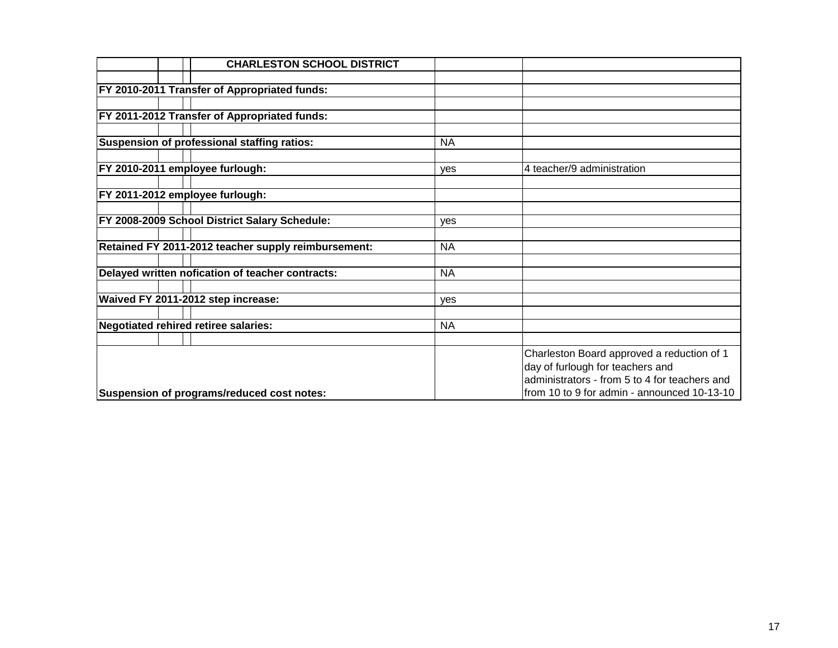|  | <b>CHARLESTON SCHOOL DISTRICT</b>                   |            |                                               |
|--|-----------------------------------------------------|------------|-----------------------------------------------|
|  |                                                     |            |                                               |
|  | <b>FY 2010-2011 Transfer of Appropriated funds:</b> |            |                                               |
|  |                                                     |            |                                               |
|  | <b>FY 2011-2012 Transfer of Appropriated funds:</b> |            |                                               |
|  |                                                     |            |                                               |
|  | Suspension of professional staffing ratios:         | <b>NA</b>  |                                               |
|  |                                                     |            |                                               |
|  | FY 2010-2011 employee furlough:                     | <b>ves</b> | 4 teacher/9 administration                    |
|  |                                                     |            |                                               |
|  | FY 2011-2012 employee furlough:                     |            |                                               |
|  |                                                     |            |                                               |
|  | FY 2008-2009 School District Salary Schedule:       | yes        |                                               |
|  |                                                     |            |                                               |
|  | Retained FY 2011-2012 teacher supply reimbursement: | <b>NA</b>  |                                               |
|  | Delayed written nofication of teacher contracts:    | <b>NA</b>  |                                               |
|  |                                                     |            |                                               |
|  | Waived FY 2011-2012 step increase:                  | yes        |                                               |
|  |                                                     |            |                                               |
|  | Negotiated rehired retiree salaries:                | <b>NA</b>  |                                               |
|  |                                                     |            |                                               |
|  |                                                     |            | Charleston Board approved a reduction of 1    |
|  |                                                     |            | day of furlough for teachers and              |
|  |                                                     |            | administrators - from 5 to 4 for teachers and |
|  | Suspension of programs/reduced cost notes:          |            | from 10 to 9 for admin - announced 10-13-10   |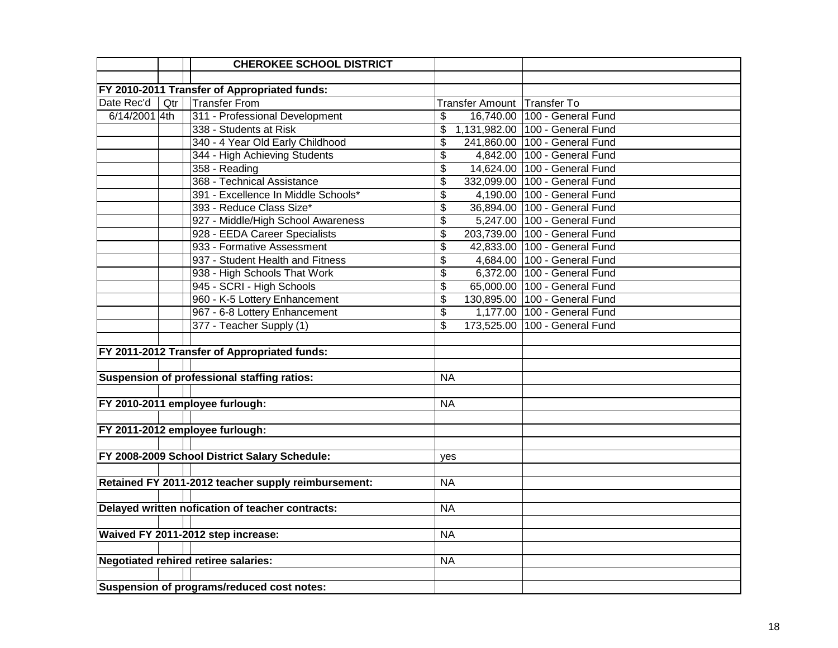|               | <b>CHEROKEE SCHOOL DISTRICT</b>                     |                             |                                 |
|---------------|-----------------------------------------------------|-----------------------------|---------------------------------|
|               |                                                     |                             |                                 |
|               | FY 2010-2011 Transfer of Appropriated funds:        |                             |                                 |
| Date Rec'd    | <b>Transfer From</b><br>Qtr                         | Transfer Amount Transfer To |                                 |
| 6/14/2001 4th | 311 - Professional Development                      | \$                          | 16,740.00 100 - General Fund    |
|               | 338 - Students at Risk                              | \$                          | 1,131,982.00 100 - General Fund |
|               | 340 - 4 Year Old Early Childhood                    | \$                          | 241,860.00 100 - General Fund   |
|               | 344 - High Achieving Students                       | \$                          | 4,842.00 100 - General Fund     |
|               | 358 - Reading                                       | \$                          | 14,624.00 100 - General Fund    |
|               | 368 - Technical Assistance                          | \$                          | 332,099.00 100 - General Fund   |
|               | 391 - Excellence In Middle Schools*                 | \$                          | 4,190.00 100 - General Fund     |
|               | 393 - Reduce Class Size*                            | \$                          | 36,894.00 100 - General Fund    |
|               | 927 - Middle/High School Awareness                  | $\overline{\mathcal{L}}$    | 5,247.00 100 - General Fund     |
|               | 928 - EEDA Career Specialists                       | $\overline{\$}$             | 203,739.00 100 - General Fund   |
|               | 933 - Formative Assessment                          | \$                          | 42,833.00 100 - General Fund    |
|               | 937 - Student Health and Fitness                    | \$                          | 4,684.00 100 - General Fund     |
|               | 938 - High Schools That Work                        | \$                          | 6,372.00 100 - General Fund     |
|               | 945 - SCRI - High Schools                           | \$                          | 65,000.00 100 - General Fund    |
|               | 960 - K-5 Lottery Enhancement                       | \$                          | 130,895.00 100 - General Fund   |
|               | 967 - 6-8 Lottery Enhancement                       | \$                          | 1,177.00 100 - General Fund     |
|               | 377 - Teacher Supply (1)                            | \$                          | 173,525.00 100 - General Fund   |
|               |                                                     |                             |                                 |
|               | FY 2011-2012 Transfer of Appropriated funds:        |                             |                                 |
|               |                                                     |                             |                                 |
|               | Suspension of professional staffing ratios:         | <b>NA</b>                   |                                 |
|               |                                                     |                             |                                 |
|               | FY 2010-2011 employee furlough:                     | <b>NA</b>                   |                                 |
|               |                                                     |                             |                                 |
|               | FY 2011-2012 employee furlough:                     |                             |                                 |
|               |                                                     |                             |                                 |
|               | FY 2008-2009 School District Salary Schedule:       | yes                         |                                 |
|               |                                                     |                             |                                 |
|               | Retained FY 2011-2012 teacher supply reimbursement: | <b>NA</b>                   |                                 |
|               |                                                     |                             |                                 |
|               | Delayed written nofication of teacher contracts:    | <b>NA</b>                   |                                 |
|               |                                                     |                             |                                 |
|               | Waived FY 2011-2012 step increase:                  | <b>NA</b>                   |                                 |
|               |                                                     |                             |                                 |
|               | Negotiated rehired retiree salaries:                | <b>NA</b>                   |                                 |
|               |                                                     |                             |                                 |
|               | Suspension of programs/reduced cost notes:          |                             |                                 |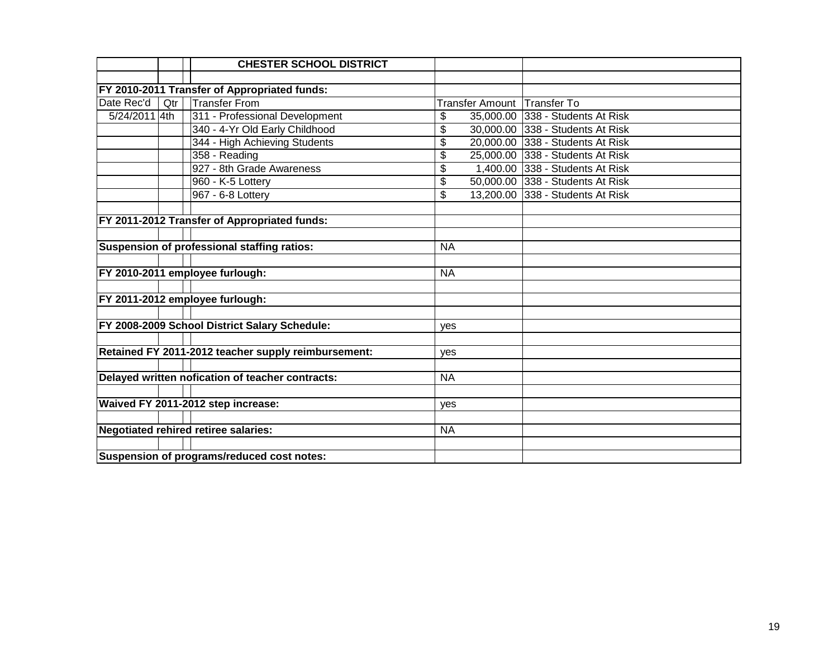|               |     | <b>CHESTER SCHOOL DISTRICT</b>                      |           |                                  |
|---------------|-----|-----------------------------------------------------|-----------|----------------------------------|
|               |     |                                                     |           |                                  |
|               |     | FY 2010-2011 Transfer of Appropriated funds:        |           |                                  |
| Date Rec'd    | Qtr | <b>Transfer From</b>                                |           | Transfer Amount Transfer To      |
| 5/24/2011 4th |     | 311 - Professional Development                      | \$        | 35,000.00 338 - Students At Risk |
|               |     | 340 - 4-Yr Old Early Childhood                      | \$        | 30,000.00 338 - Students At Risk |
|               |     | 344 - High Achieving Students                       | \$        | 20,000.00 338 - Students At Risk |
|               |     | 358 - Reading                                       | \$        | 25,000.00 338 - Students At Risk |
|               |     | 927 - 8th Grade Awareness                           | \$        | 1,400.00 338 - Students At Risk  |
|               |     | 960 - K-5 Lottery                                   | \$        | 50,000.00 338 - Students At Risk |
|               |     | 967 - 6-8 Lottery                                   | \$        | 13,200.00 338 - Students At Risk |
|               |     |                                                     |           |                                  |
|               |     | FY 2011-2012 Transfer of Appropriated funds:        |           |                                  |
|               |     |                                                     |           |                                  |
|               |     | Suspension of professional staffing ratios:         | <b>NA</b> |                                  |
|               |     |                                                     |           |                                  |
|               |     | FY 2010-2011 employee furlough:                     | <b>NA</b> |                                  |
|               |     |                                                     |           |                                  |
|               |     | FY 2011-2012 employee furlough:                     |           |                                  |
|               |     |                                                     |           |                                  |
|               |     | FY 2008-2009 School District Salary Schedule:       | yes       |                                  |
|               |     |                                                     |           |                                  |
|               |     | Retained FY 2011-2012 teacher supply reimbursement: | yes       |                                  |
|               |     |                                                     |           |                                  |
|               |     | Delayed written nofication of teacher contracts:    | <b>NA</b> |                                  |
|               |     |                                                     |           |                                  |
|               |     | Waived FY 2011-2012 step increase:                  | yes       |                                  |
|               |     |                                                     |           |                                  |
|               |     | <b>Negotiated rehired retiree salaries:</b>         | <b>NA</b> |                                  |
|               |     |                                                     |           |                                  |
|               |     | Suspension of programs/reduced cost notes:          |           |                                  |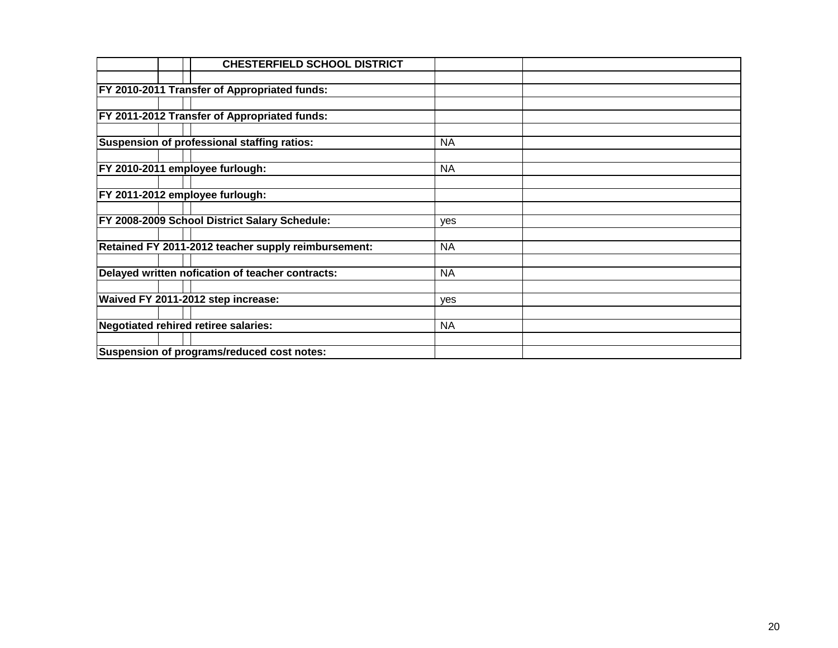| <b>CHESTERFIELD SCHOOL DISTRICT</b>                 |           |  |
|-----------------------------------------------------|-----------|--|
|                                                     |           |  |
| <b>FY 2010-2011 Transfer of Appropriated funds:</b> |           |  |
|                                                     |           |  |
| <b>FY 2011-2012 Transfer of Appropriated funds:</b> |           |  |
|                                                     |           |  |
| Suspension of professional staffing ratios:         | <b>NA</b> |  |
|                                                     |           |  |
| FY 2010-2011 employee furlough:                     | <b>NA</b> |  |
|                                                     |           |  |
| FY 2011-2012 employee furlough:                     |           |  |
|                                                     |           |  |
| FY 2008-2009 School District Salary Schedule:       | yes       |  |
|                                                     |           |  |
| Retained FY 2011-2012 teacher supply reimbursement: | <b>NA</b> |  |
|                                                     |           |  |
| Delayed written nofication of teacher contracts:    | <b>NA</b> |  |
|                                                     |           |  |
| Waived FY 2011-2012 step increase:                  | yes       |  |
|                                                     |           |  |
| Negotiated rehired retiree salaries:                | <b>NA</b> |  |
|                                                     |           |  |
| Suspension of programs/reduced cost notes:          |           |  |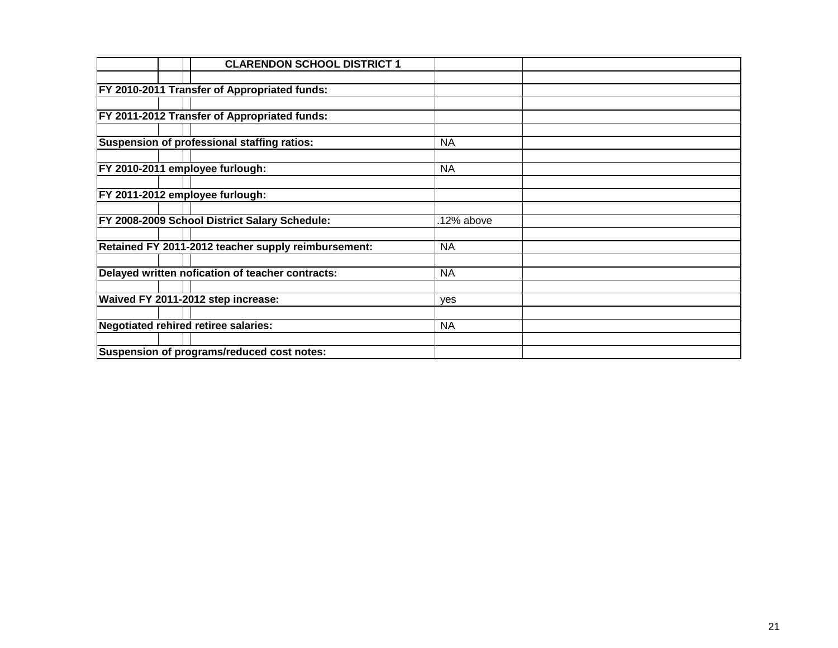| <b>CLARENDON SCHOOL DISTRICT 1</b>                  |            |  |
|-----------------------------------------------------|------------|--|
|                                                     |            |  |
| <b>FY 2010-2011 Transfer of Appropriated funds:</b> |            |  |
|                                                     |            |  |
| FY 2011-2012 Transfer of Appropriated funds:        |            |  |
|                                                     |            |  |
| Suspension of professional staffing ratios:         | <b>NA</b>  |  |
|                                                     |            |  |
| FY 2010-2011 employee furlough:                     | <b>NA</b>  |  |
|                                                     |            |  |
| FY 2011-2012 employee furlough:                     |            |  |
|                                                     |            |  |
| FY 2008-2009 School District Salary Schedule:       | .12% above |  |
|                                                     |            |  |
| Retained FY 2011-2012 teacher supply reimbursement: | <b>NA</b>  |  |
|                                                     |            |  |
| Delayed written nofication of teacher contracts:    | <b>NA</b>  |  |
|                                                     |            |  |
| Waived FY 2011-2012 step increase:                  | yes        |  |
|                                                     |            |  |
| Negotiated rehired retiree salaries:                | <b>NA</b>  |  |
| Suspension of programs/reduced cost notes:          |            |  |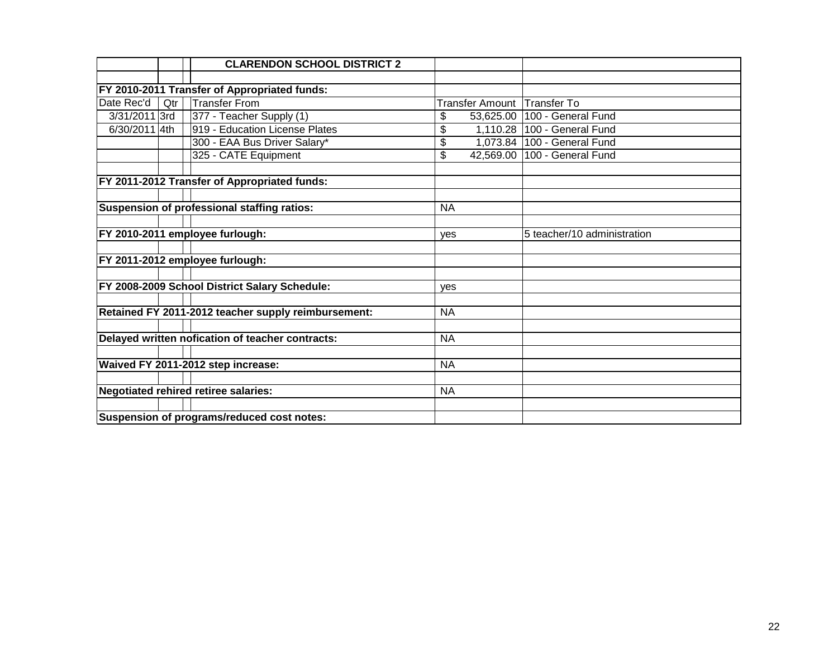|               |     | <b>CLARENDON SCHOOL DISTRICT 2</b>                  |                             |                                |
|---------------|-----|-----------------------------------------------------|-----------------------------|--------------------------------|
|               |     |                                                     |                             |                                |
|               |     | FY 2010-2011 Transfer of Appropriated funds:        |                             |                                |
| Date Rec'd    | Qtr | <b>Transfer From</b>                                | Transfer Amount Transfer To |                                |
| 3/31/2011 3rd |     | 377 - Teacher Supply (1)                            | \$<br>53,625.00             | 100 - General Fund             |
| 6/30/2011 4th |     | 919 - Education License Plates                      | \$                          | 1,110.28 100 - General Fund    |
|               |     | 300 - EAA Bus Driver Salary*                        | \$                          | 1,073.84   100 - General Fund  |
|               |     | 325 - CATE Equipment                                | \$                          | 42,569.00   100 - General Fund |
|               |     |                                                     |                             |                                |
|               |     | FY 2011-2012 Transfer of Appropriated funds:        |                             |                                |
|               |     |                                                     |                             |                                |
|               |     | Suspension of professional staffing ratios:         | <b>NA</b>                   |                                |
|               |     |                                                     |                             |                                |
|               |     | FY 2010-2011 employee furlough:                     | yes                         | 5 teacher/10 administration    |
|               |     |                                                     |                             |                                |
|               |     | FY 2011-2012 employee furlough:                     |                             |                                |
|               |     |                                                     |                             |                                |
|               |     | FY 2008-2009 School District Salary Schedule:       | ves                         |                                |
|               |     |                                                     |                             |                                |
|               |     | Retained FY 2011-2012 teacher supply reimbursement: | <b>NA</b>                   |                                |
|               |     |                                                     |                             |                                |
|               |     | Delayed written nofication of teacher contracts:    | <b>NA</b>                   |                                |
|               |     |                                                     |                             |                                |
|               |     | Waived FY 2011-2012 step increase:                  | <b>NA</b>                   |                                |
|               |     |                                                     |                             |                                |
|               |     | <b>Negotiated rehired retiree salaries:</b>         | <b>NA</b>                   |                                |
|               |     |                                                     |                             |                                |
|               |     | Suspension of programs/reduced cost notes:          |                             |                                |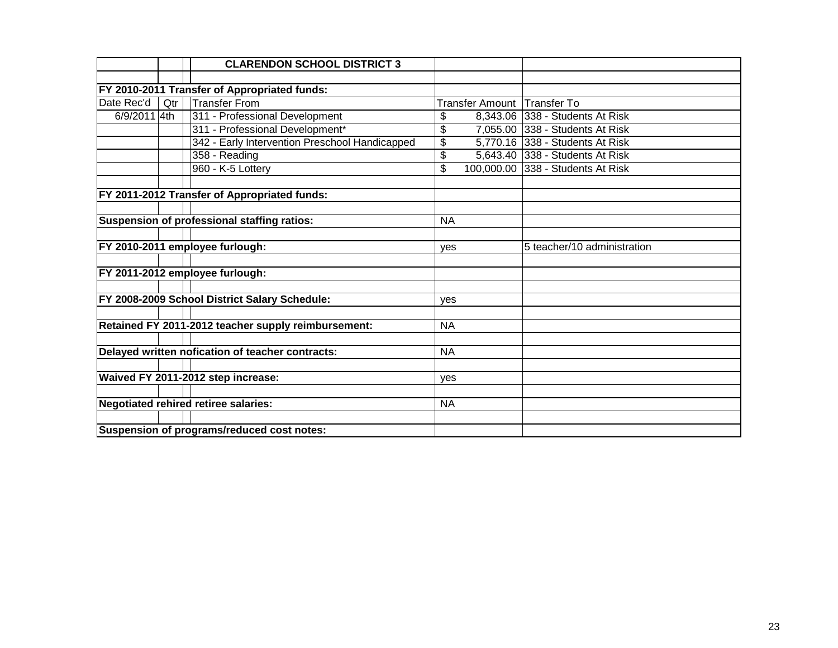|              |     | <b>CLARENDON SCHOOL DISTRICT 3</b>                  |           |                             |                                   |
|--------------|-----|-----------------------------------------------------|-----------|-----------------------------|-----------------------------------|
|              |     |                                                     |           |                             |                                   |
|              |     | FY 2010-2011 Transfer of Appropriated funds:        |           |                             |                                   |
| Date Rec'd   | Qtr | <b>Transfer From</b>                                |           | Transfer Amount Transfer To |                                   |
| 6/9/2011 4th |     | 311 - Professional Development                      | \$        |                             | 8,343.06 338 - Students At Risk   |
|              |     | 311 - Professional Development*                     | \$        |                             | 7,055.00 338 - Students At Risk   |
|              |     | 342 - Early Intervention Preschool Handicapped      | \$        |                             | 5,770.16 338 - Students At Risk   |
|              |     | 358 - Reading                                       | \$        |                             | 5,643.40 338 - Students At Risk   |
|              |     | 960 - K-5 Lottery                                   | \$        |                             | 100,000.00 338 - Students At Risk |
|              |     |                                                     |           |                             |                                   |
|              |     | FY 2011-2012 Transfer of Appropriated funds:        |           |                             |                                   |
|              |     |                                                     |           |                             |                                   |
|              |     | Suspension of professional staffing ratios:         | <b>NA</b> |                             |                                   |
|              |     |                                                     |           |                             |                                   |
|              |     | FY 2010-2011 employee furlough:                     | yes       |                             | 5 teacher/10 administration       |
|              |     |                                                     |           |                             |                                   |
|              |     | FY 2011-2012 employee furlough:                     |           |                             |                                   |
|              |     |                                                     |           |                             |                                   |
|              |     | FY 2008-2009 School District Salary Schedule:       | yes       |                             |                                   |
|              |     |                                                     |           |                             |                                   |
|              |     | Retained FY 2011-2012 teacher supply reimbursement: | <b>NA</b> |                             |                                   |
|              |     |                                                     |           |                             |                                   |
|              |     | Delayed written nofication of teacher contracts:    | <b>NA</b> |                             |                                   |
|              |     |                                                     |           |                             |                                   |
|              |     | Waived FY 2011-2012 step increase:                  | yes       |                             |                                   |
|              |     |                                                     |           |                             |                                   |
|              |     | <b>Negotiated rehired retiree salaries:</b>         | <b>NA</b> |                             |                                   |
|              |     |                                                     |           |                             |                                   |
|              |     | Suspension of programs/reduced cost notes:          |           |                             |                                   |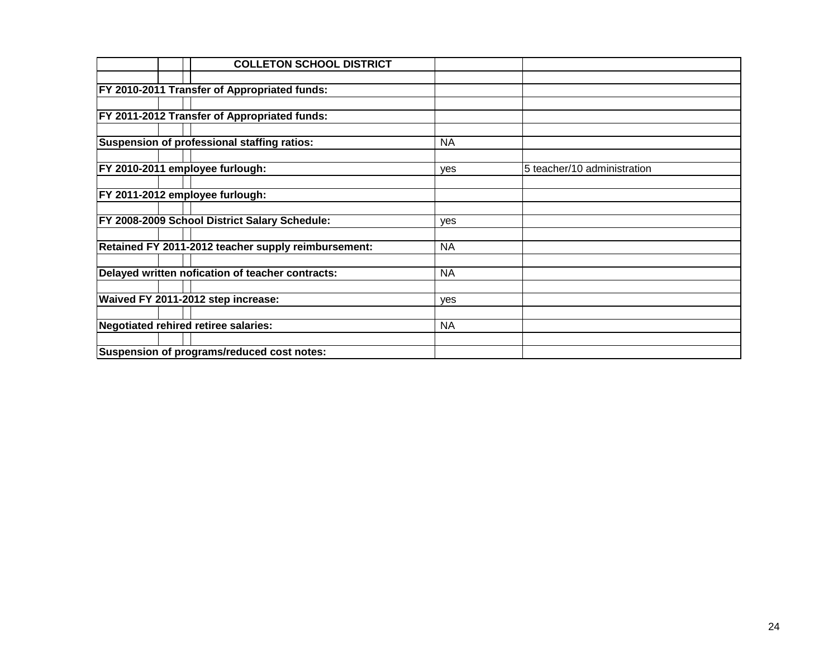|  | <b>COLLETON SCHOOL DISTRICT</b>                      |            |                             |
|--|------------------------------------------------------|------------|-----------------------------|
|  |                                                      |            |                             |
|  | <b>FY 2010-2011 Transfer of Appropriated funds:</b>  |            |                             |
|  |                                                      |            |                             |
|  | FY 2011-2012 Transfer of Appropriated funds:         |            |                             |
|  |                                                      |            |                             |
|  | Suspension of professional staffing ratios:          | <b>NA</b>  |                             |
|  |                                                      |            |                             |
|  | FY 2010-2011 employee furlough:                      | yes        | 5 teacher/10 administration |
|  |                                                      |            |                             |
|  | FY 2011-2012 employee furlough:                      |            |                             |
|  |                                                      |            |                             |
|  | <b>FY 2008-2009 School District Salary Schedule:</b> | yes        |                             |
|  |                                                      |            |                             |
|  | Retained FY 2011-2012 teacher supply reimbursement:  | <b>NA</b>  |                             |
|  |                                                      |            |                             |
|  | Delayed written nofication of teacher contracts:     | <b>NA</b>  |                             |
|  |                                                      |            |                             |
|  | Waived FY 2011-2012 step increase:                   | <b>ves</b> |                             |
|  |                                                      |            |                             |
|  | Negotiated rehired retiree salaries:                 | <b>NA</b>  |                             |
|  |                                                      |            |                             |
|  | Suspension of programs/reduced cost notes:           |            |                             |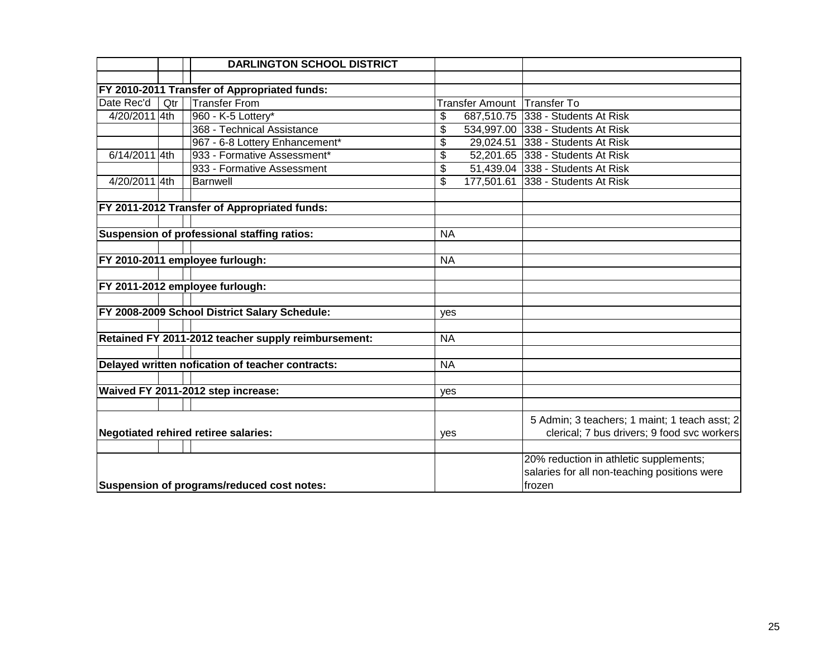|                                             |     | <b>DARLINGTON SCHOOL DISTRICT</b>                   |           |                                             |                                               |
|---------------------------------------------|-----|-----------------------------------------------------|-----------|---------------------------------------------|-----------------------------------------------|
|                                             |     |                                                     |           |                                             |                                               |
|                                             |     | FY 2010-2011 Transfer of Appropriated funds:        |           |                                             |                                               |
| Date Rec'd                                  | Qtr | <b>Transfer From</b>                                |           | Transfer Amount Transfer To                 |                                               |
| 4/20/2011 4th                               |     | 960 - K-5 Lottery*                                  | \$        |                                             | 687,510.75 338 - Students At Risk             |
|                                             |     | 368 - Technical Assistance                          | \$        |                                             | 534,997.00 338 - Students At Risk             |
|                                             |     | 967 - 6-8 Lottery Enhancement*                      | \$        |                                             | 29,024.51 338 - Students At Risk              |
| 6/14/2011 4th                               |     | 933 - Formative Assessment*                         | \$        |                                             | 52,201.65 338 - Students At Risk              |
|                                             |     | 933 - Formative Assessment                          | \$        |                                             | 51,439.04 338 - Students At Risk              |
| 4/20/2011 4th                               |     | <b>Barnwell</b>                                     | \$        |                                             | 177,501.61 338 - Students At Risk             |
|                                             |     |                                                     |           |                                             |                                               |
|                                             |     | FY 2011-2012 Transfer of Appropriated funds:        |           |                                             |                                               |
|                                             |     |                                                     |           |                                             |                                               |
|                                             |     | Suspension of professional staffing ratios:         | <b>NA</b> |                                             |                                               |
|                                             |     |                                                     |           |                                             |                                               |
|                                             |     | FY 2010-2011 employee furlough:                     | <b>NA</b> |                                             |                                               |
|                                             |     |                                                     |           |                                             |                                               |
|                                             |     | FY 2011-2012 employee furlough:                     |           |                                             |                                               |
|                                             |     |                                                     |           |                                             |                                               |
|                                             |     | FY 2008-2009 School District Salary Schedule:       | yes       |                                             |                                               |
|                                             |     |                                                     |           |                                             |                                               |
|                                             |     | Retained FY 2011-2012 teacher supply reimbursement: | <b>NA</b> |                                             |                                               |
|                                             |     |                                                     |           |                                             |                                               |
|                                             |     | Delayed written nofication of teacher contracts:    | <b>NA</b> |                                             |                                               |
|                                             |     |                                                     |           |                                             |                                               |
|                                             |     | Waived FY 2011-2012 step increase:                  | yes       |                                             |                                               |
|                                             |     |                                                     |           |                                             |                                               |
|                                             |     |                                                     |           |                                             | 5 Admin; 3 teachers; 1 maint; 1 teach asst; 2 |
| <b>Negotiated rehired retiree salaries:</b> |     | yes                                                 |           | clerical; 7 bus drivers; 9 food svc workers |                                               |
|                                             |     |                                                     |           |                                             |                                               |
|                                             |     |                                                     |           |                                             | 20% reduction in athletic supplements;        |
|                                             |     |                                                     |           |                                             | salaries for all non-teaching positions were  |
|                                             |     | Suspension of programs/reduced cost notes:          |           |                                             | frozen                                        |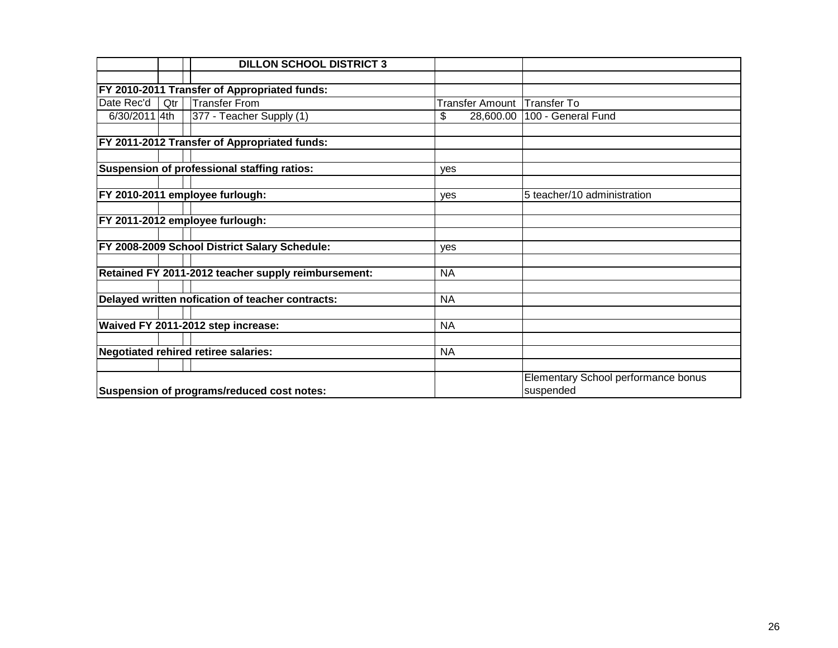|               |     | <b>DILLON SCHOOL DISTRICT 3</b>                     |                        |                                     |
|---------------|-----|-----------------------------------------------------|------------------------|-------------------------------------|
|               |     |                                                     |                        |                                     |
|               |     | FY 2010-2011 Transfer of Appropriated funds:        |                        |                                     |
| Date Rec'd    | Qtr | <b>Transfer From</b>                                | <b>Transfer Amount</b> | Transfer To                         |
| 6/30/2011 4th |     | 377 - Teacher Supply (1)                            | \$<br>28,600.00        | 100 - General Fund                  |
|               |     |                                                     |                        |                                     |
|               |     | FY 2011-2012 Transfer of Appropriated funds:        |                        |                                     |
|               |     |                                                     |                        |                                     |
|               |     | Suspension of professional staffing ratios:         | yes                    |                                     |
|               |     |                                                     |                        |                                     |
|               |     | FY 2010-2011 employee furlough:                     | <b>ves</b>             | 5 teacher/10 administration         |
|               |     |                                                     |                        |                                     |
|               |     | FY 2011-2012 employee furlough:                     |                        |                                     |
|               |     |                                                     |                        |                                     |
|               |     | FY 2008-2009 School District Salary Schedule:       | yes                    |                                     |
|               |     |                                                     |                        |                                     |
|               |     | Retained FY 2011-2012 teacher supply reimbursement: | <b>NA</b>              |                                     |
|               |     |                                                     |                        |                                     |
|               |     | Delayed written nofication of teacher contracts:    | <b>NA</b>              |                                     |
|               |     |                                                     |                        |                                     |
|               |     | Waived FY 2011-2012 step increase:                  | <b>NA</b>              |                                     |
|               |     |                                                     |                        |                                     |
|               |     | <b>Negotiated rehired retiree salaries:</b>         | <b>NA</b>              |                                     |
|               |     |                                                     |                        |                                     |
|               |     |                                                     |                        | Elementary School performance bonus |
|               |     | Suspension of programs/reduced cost notes:          |                        | suspended                           |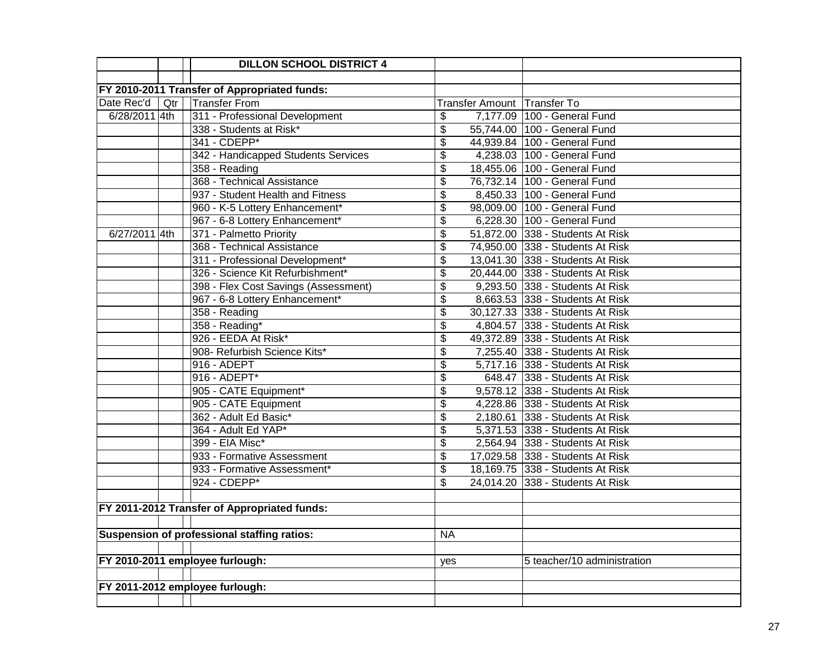|               |     | <b>DILLON SCHOOL DISTRICT 4</b>              |                                      |                                  |
|---------------|-----|----------------------------------------------|--------------------------------------|----------------------------------|
|               |     |                                              |                                      |                                  |
|               |     | FY 2010-2011 Transfer of Appropriated funds: |                                      |                                  |
| Date Rec'd    | Qtr | <b>Transfer From</b>                         |                                      | Transfer Amount Transfer To      |
| 6/28/2011 4th |     | 311 - Professional Development               | \$                                   | 7,177.09 100 - General Fund      |
|               |     | 338 - Students at Risk*                      | \$                                   | 55,744.00 100 - General Fund     |
|               |     | 341 - CDEPP*                                 | \$                                   | 44,939.84 100 - General Fund     |
|               |     | 342 - Handicapped Students Services          | \$                                   | 4,238.03 100 - General Fund      |
|               |     | 358 - Reading                                | \$                                   | 18,455.06 100 - General Fund     |
|               |     | 368 - Technical Assistance                   | $\overline{\$}$                      | 76,732.14 100 - General Fund     |
|               |     | 937 - Student Health and Fitness             | \$                                   | 8,450.33 100 - General Fund      |
|               |     | 960 - K-5 Lottery Enhancement*               | $\overline{\mathfrak{s}}$            | 98,009.00 100 - General Fund     |
|               |     | 967 - 6-8 Lottery Enhancement*               | $\overline{\boldsymbol{\mathsf{S}}}$ | 6,228.30 100 - General Fund      |
| 6/27/2011 4th |     | 371 - Palmetto Priority                      | \$                                   | 51,872.00 338 - Students At Risk |
|               |     | 368 - Technical Assistance                   | \$                                   | 74,950.00 338 - Students At Risk |
|               |     | 311 - Professional Development*              | \$                                   | 13,041.30 338 - Students At Risk |
|               |     | 326 - Science Kit Refurbishment*             | \$                                   | 20,444.00 338 - Students At Risk |
|               |     | 398 - Flex Cost Savings (Assessment)         | \$                                   | 9,293.50 338 - Students At Risk  |
|               |     | 967 - 6-8 Lottery Enhancement*               | \$                                   | 8,663.53 338 - Students At Risk  |
|               |     | 358 - Reading                                | \$                                   | 30,127.33 338 - Students At Risk |
|               |     | 358 - Reading*                               | \$                                   | 4,804.57 338 - Students At Risk  |
|               |     | 926 - EEDA At Risk*                          | \$                                   | 49,372.89 338 - Students At Risk |
|               |     | 908- Refurbish Science Kits*                 | \$                                   | 7,255.40 338 - Students At Risk  |
|               |     | 916 - ADEPT                                  | \$                                   | 5,717.16 338 - Students At Risk  |
|               |     | 916 - ADEPT*                                 | \$                                   | 648.47 338 - Students At Risk    |
|               |     | 905 - CATE Equipment*                        | \$                                   | 9,578.12 338 - Students At Risk  |
|               |     | 905 - CATE Equipment                         | \$                                   | 4,228.86 338 - Students At Risk  |
|               |     | 362 - Adult Ed Basic*                        | \$                                   | 2,180.61 338 - Students At Risk  |
|               |     | 364 - Adult Ed YAP*                          | \$                                   | 5,371.53 338 - Students At Risk  |
|               |     | 399 - EIA Misc*                              | \$                                   | 2,564.94 338 - Students At Risk  |
|               |     | 933 - Formative Assessment                   | \$                                   | 17,029.58 338 - Students At Risk |
|               |     | 933 - Formative Assessment*                  | \$                                   | 18,169.75 338 - Students At Risk |
|               |     | 924 - CDEPP*                                 | \$                                   | 24,014.20 338 - Students At Risk |
|               |     |                                              |                                      |                                  |
|               |     | FY 2011-2012 Transfer of Appropriated funds: |                                      |                                  |
|               |     |                                              |                                      |                                  |
|               |     | Suspension of professional staffing ratios:  | <b>NA</b>                            |                                  |
|               |     |                                              |                                      |                                  |
|               |     | FY 2010-2011 employee furlough:              | yes                                  | 5 teacher/10 administration      |
|               |     |                                              |                                      |                                  |
|               |     | FY 2011-2012 employee furlough:              |                                      |                                  |
|               |     |                                              |                                      |                                  |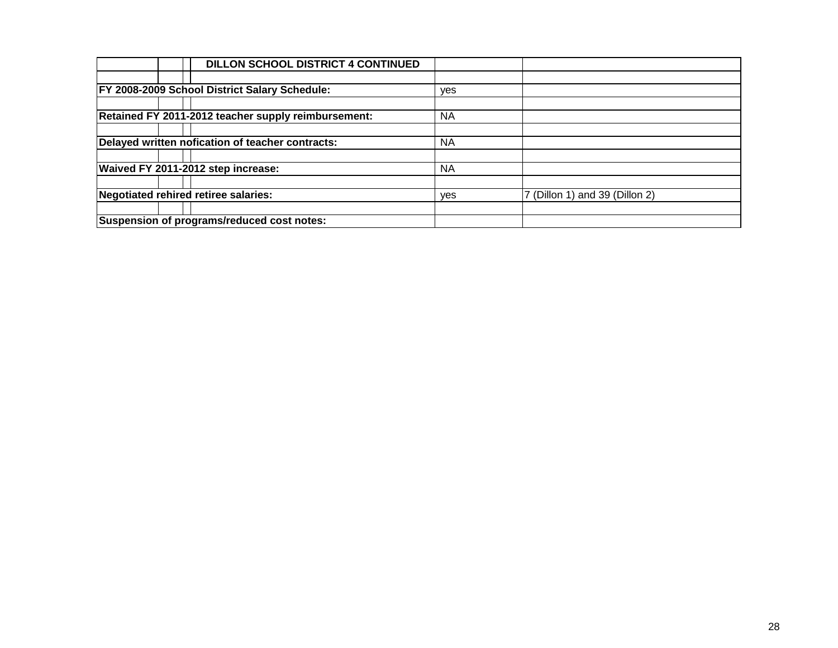| <b>DILLON SCHOOL DISTRICT 4 CONTINUED</b>            |           |                                |
|------------------------------------------------------|-----------|--------------------------------|
|                                                      |           |                                |
| <b>FY 2008-2009 School District Salary Schedule:</b> | yes       |                                |
|                                                      |           |                                |
| Retained FY 2011-2012 teacher supply reimbursement:  | <b>NA</b> |                                |
|                                                      |           |                                |
| Delayed written nofication of teacher contracts:     | <b>NA</b> |                                |
|                                                      |           |                                |
| Waived FY 2011-2012 step increase:                   | <b>NA</b> |                                |
|                                                      |           |                                |
| Negotiated rehired retiree salaries:                 |           | 7 (Dillon 1) and 39 (Dillon 2) |
|                                                      |           |                                |
| Suspension of programs/reduced cost notes:           |           |                                |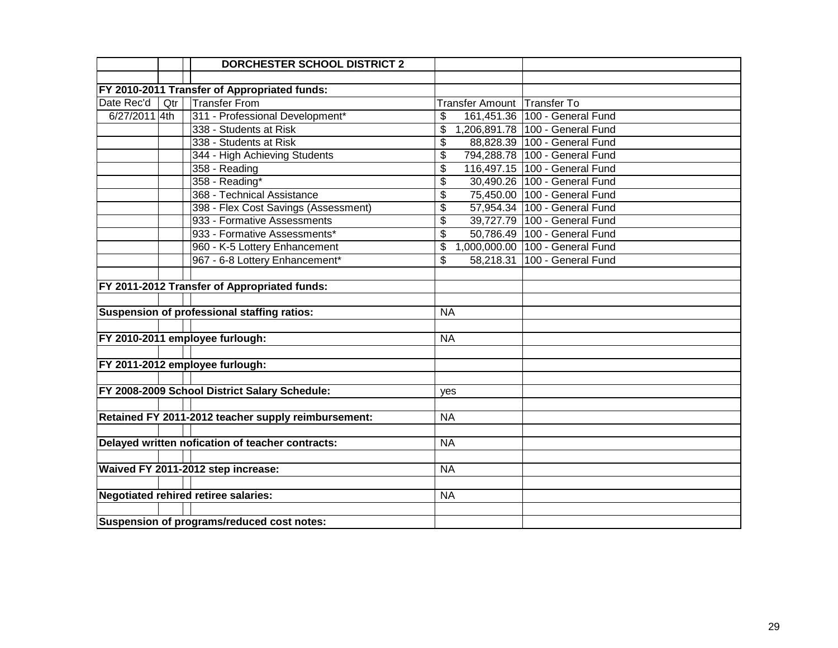|               |     | <b>DORCHESTER SCHOOL DISTRICT 2</b>                 |           |                               |                                 |
|---------------|-----|-----------------------------------------------------|-----------|-------------------------------|---------------------------------|
|               |     |                                                     |           |                               |                                 |
|               |     | FY 2010-2011 Transfer of Appropriated funds:        |           |                               |                                 |
| Date Rec'd    | Qtr | <b>Transfer From</b>                                |           | Transfer Amount   Transfer To |                                 |
| 6/27/2011 4th |     | 311 - Professional Development*                     | \$        |                               | 161,451.36 100 - General Fund   |
|               |     | 338 - Students at Risk                              | \$        |                               | 1,206,891.78 100 - General Fund |
|               |     | 338 - Students at Risk                              | \$        |                               | 88,828.39 100 - General Fund    |
|               |     | 344 - High Achieving Students                       | \$        |                               | 794,288.78 100 - General Fund   |
|               |     | 358 - Reading                                       | \$        |                               | 116,497.15 100 - General Fund   |
|               |     | 358 - Reading*                                      | \$        |                               | 30,490.26 100 - General Fund    |
|               |     | 368 - Technical Assistance                          | \$        |                               | 75,450.00 100 - General Fund    |
|               |     | 398 - Flex Cost Savings (Assessment)                | \$        |                               | 57,954.34 100 - General Fund    |
|               |     | 933 - Formative Assessments                         | \$        |                               | 39,727.79 100 - General Fund    |
|               |     | 933 - Formative Assessments*                        | \$        |                               | 50,786.49 100 - General Fund    |
|               |     | 960 - K-5 Lottery Enhancement                       | \$        |                               | 1,000,000.00 100 - General Fund |
|               |     | 967 - 6-8 Lottery Enhancement*                      | \$        |                               | 58,218.31 100 - General Fund    |
|               |     |                                                     |           |                               |                                 |
|               |     | FY 2011-2012 Transfer of Appropriated funds:        |           |                               |                                 |
|               |     |                                                     |           |                               |                                 |
|               |     | Suspension of professional staffing ratios:         | <b>NA</b> |                               |                                 |
|               |     |                                                     |           |                               |                                 |
|               |     | FY 2010-2011 employee furlough:                     | <b>NA</b> |                               |                                 |
|               |     |                                                     |           |                               |                                 |
|               |     | FY 2011-2012 employee furlough:                     |           |                               |                                 |
|               |     |                                                     |           |                               |                                 |
|               |     | FY 2008-2009 School District Salary Schedule:       | yes       |                               |                                 |
|               |     |                                                     |           |                               |                                 |
|               |     | Retained FY 2011-2012 teacher supply reimbursement: | <b>NA</b> |                               |                                 |
|               |     |                                                     |           |                               |                                 |
|               |     | Delayed written nofication of teacher contracts:    | <b>NA</b> |                               |                                 |
|               |     |                                                     |           |                               |                                 |
|               |     | Waived FY 2011-2012 step increase:                  | <b>NA</b> |                               |                                 |
|               |     |                                                     |           |                               |                                 |
|               |     | <b>Negotiated rehired retiree salaries:</b>         | <b>NA</b> |                               |                                 |
|               |     |                                                     |           |                               |                                 |
|               |     | Suspension of programs/reduced cost notes:          |           |                               |                                 |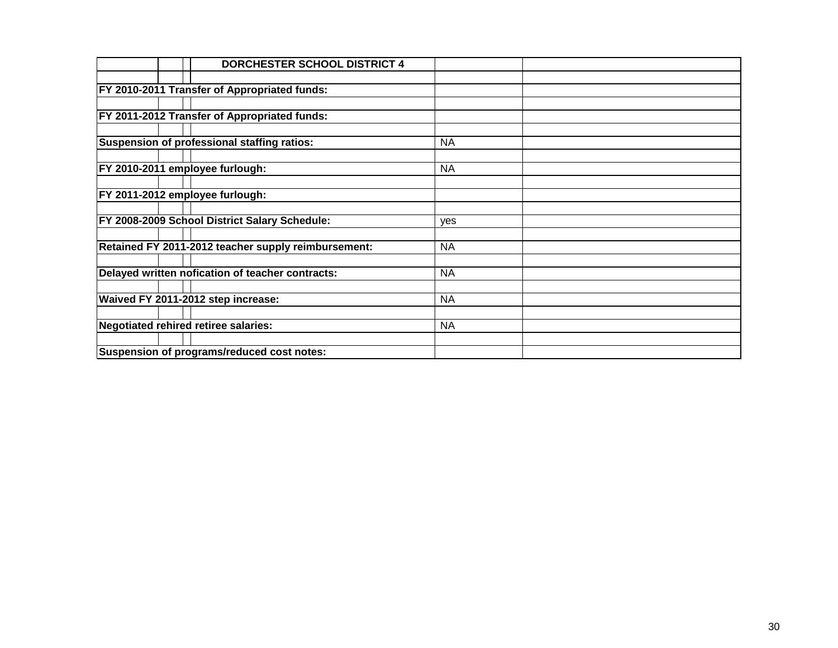|                                      | <b>DORCHESTER SCHOOL DISTRICT 4</b>                 |           |  |
|--------------------------------------|-----------------------------------------------------|-----------|--|
|                                      |                                                     |           |  |
|                                      | <b>FY 2010-2011 Transfer of Appropriated funds:</b> |           |  |
|                                      |                                                     |           |  |
|                                      | <b>FY 2011-2012 Transfer of Appropriated funds:</b> |           |  |
|                                      |                                                     |           |  |
|                                      | Suspension of professional staffing ratios:         | <b>NA</b> |  |
|                                      |                                                     |           |  |
| FY 2010-2011 employee furlough:      |                                                     | <b>NA</b> |  |
|                                      |                                                     |           |  |
| FY 2011-2012 employee furlough:      |                                                     |           |  |
|                                      |                                                     |           |  |
|                                      | FY 2008-2009 School District Salary Schedule:       | yes       |  |
|                                      |                                                     |           |  |
|                                      | Retained FY 2011-2012 teacher supply reimbursement: | <b>NA</b> |  |
|                                      |                                                     |           |  |
|                                      | Delayed written nofication of teacher contracts:    | <b>NA</b> |  |
|                                      | Waived FY 2011-2012 step increase:                  | <b>NA</b> |  |
|                                      |                                                     |           |  |
| Negotiated rehired retiree salaries: |                                                     | <b>NA</b> |  |
|                                      |                                                     |           |  |
|                                      | Suspension of programs/reduced cost notes:          |           |  |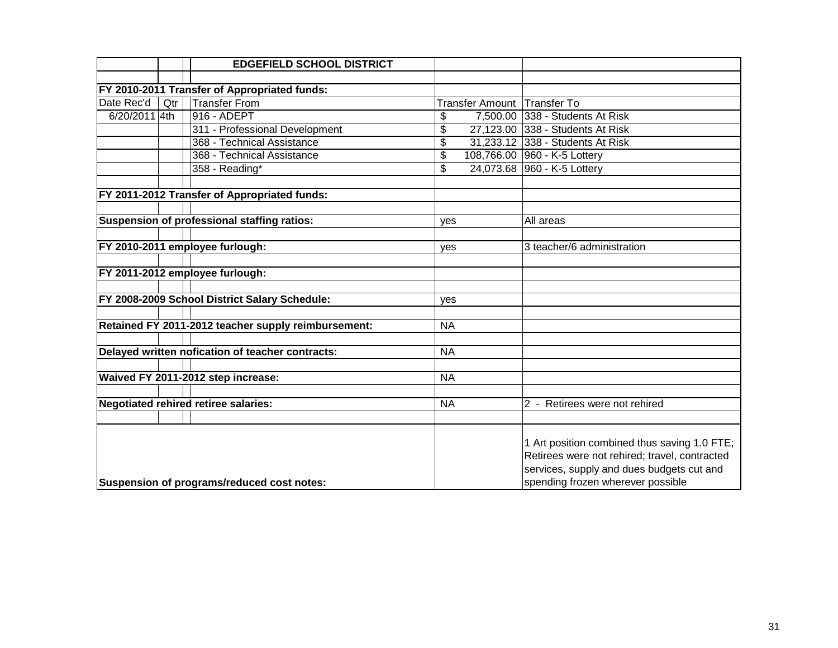|                                            |     | <b>EDGEFIELD SCHOOL DISTRICT</b>                    |           |                                                                                                                                                                                 |                                  |
|--------------------------------------------|-----|-----------------------------------------------------|-----------|---------------------------------------------------------------------------------------------------------------------------------------------------------------------------------|----------------------------------|
|                                            |     |                                                     |           |                                                                                                                                                                                 |                                  |
|                                            |     | FY 2010-2011 Transfer of Appropriated funds:        |           |                                                                                                                                                                                 |                                  |
| Date Rec'd                                 | Qtr | <b>Transfer From</b>                                |           | <b>Transfer Amount</b>                                                                                                                                                          | Transfer To                      |
| 6/20/2011 4th                              |     | 916 - ADEPT                                         | \$        |                                                                                                                                                                                 | 7,500.00 338 - Students At Risk  |
|                                            |     | 311 - Professional Development                      | \$        |                                                                                                                                                                                 | 27,123.00 338 - Students At Risk |
|                                            |     | 368 - Technical Assistance                          | \$        |                                                                                                                                                                                 | 31,233.12 338 - Students At Risk |
|                                            |     | 368 - Technical Assistance                          | \$        |                                                                                                                                                                                 | 108,766.00 960 - K-5 Lottery     |
|                                            |     | 358 - Reading*                                      | \$        |                                                                                                                                                                                 | 24,073.68 960 - K-5 Lottery      |
|                                            |     |                                                     |           |                                                                                                                                                                                 |                                  |
|                                            |     | FY 2011-2012 Transfer of Appropriated funds:        |           |                                                                                                                                                                                 |                                  |
|                                            |     |                                                     |           |                                                                                                                                                                                 |                                  |
|                                            |     | Suspension of professional staffing ratios:         | yes       |                                                                                                                                                                                 | All areas                        |
|                                            |     |                                                     |           |                                                                                                                                                                                 |                                  |
|                                            |     | FY 2010-2011 employee furlough:                     | yes       |                                                                                                                                                                                 | 3 teacher/6 administration       |
|                                            |     |                                                     |           |                                                                                                                                                                                 |                                  |
|                                            |     | FY 2011-2012 employee furlough:                     |           |                                                                                                                                                                                 |                                  |
|                                            |     |                                                     |           |                                                                                                                                                                                 |                                  |
|                                            |     | FY 2008-2009 School District Salary Schedule:       | yes       |                                                                                                                                                                                 |                                  |
|                                            |     |                                                     |           |                                                                                                                                                                                 |                                  |
|                                            |     | Retained FY 2011-2012 teacher supply reimbursement: | <b>NA</b> |                                                                                                                                                                                 |                                  |
|                                            |     |                                                     |           |                                                                                                                                                                                 |                                  |
|                                            |     | Delayed written nofication of teacher contracts:    | <b>NA</b> |                                                                                                                                                                                 |                                  |
|                                            |     |                                                     |           |                                                                                                                                                                                 |                                  |
|                                            |     | Waived FY 2011-2012 step increase:                  | <b>NA</b> |                                                                                                                                                                                 |                                  |
|                                            |     | <b>Negotiated rehired retiree salaries:</b>         | <b>NA</b> |                                                                                                                                                                                 |                                  |
|                                            |     |                                                     |           |                                                                                                                                                                                 | 2 - Retirees were not rehired    |
|                                            |     |                                                     |           |                                                                                                                                                                                 |                                  |
| Suspension of programs/reduced cost notes: |     |                                                     |           | 1 Art position combined thus saving 1.0 FTE;<br>Retirees were not rehired; travel, contracted<br>services, supply and dues budgets cut and<br>spending frozen wherever possible |                                  |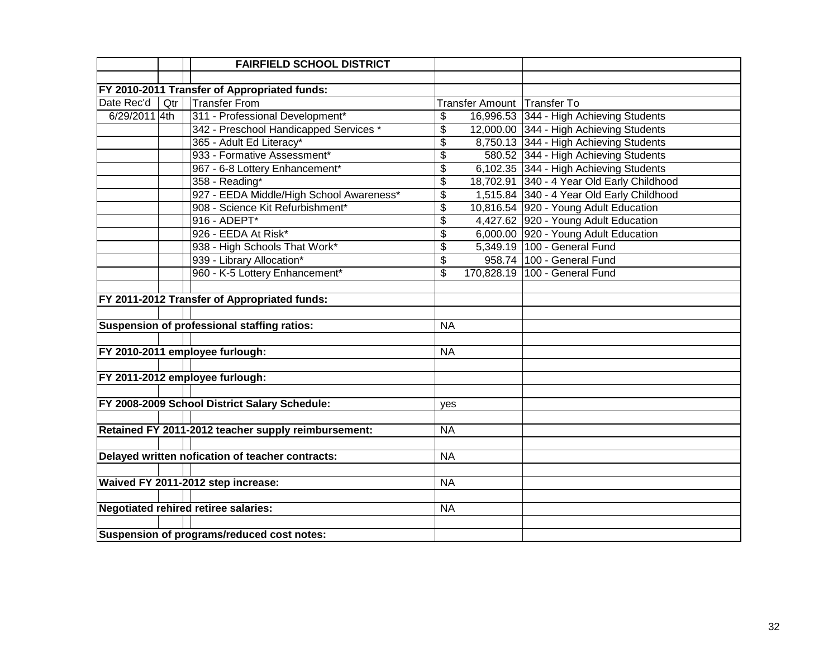|               |     | <b>FAIRFIELD SCHOOL DISTRICT</b>                    |                          |                             |                                            |
|---------------|-----|-----------------------------------------------------|--------------------------|-----------------------------|--------------------------------------------|
|               |     |                                                     |                          |                             |                                            |
|               |     | FY 2010-2011 Transfer of Appropriated funds:        |                          |                             |                                            |
| Date Rec'd    | Qtr | <b>Transfer From</b>                                |                          | Transfer Amount Transfer To |                                            |
| 6/29/2011 4th |     | 311 - Professional Development*                     | \$                       |                             | 16,996.53 344 - High Achieving Students    |
|               |     | 342 - Preschool Handicapped Services *              | \$                       |                             | 12,000.00 344 - High Achieving Students    |
|               |     | 365 - Adult Ed Literacy*                            | \$                       |                             | 8,750.13 344 - High Achieving Students     |
|               |     | 933 - Formative Assessment*                         | \$                       |                             | 580.52 344 - High Achieving Students       |
|               |     | 967 - 6-8 Lottery Enhancement*                      | $\overline{\mathcal{S}}$ |                             | 6,102.35 344 - High Achieving Students     |
|               |     | 358 - Reading*                                      | \$                       |                             | 18,702.91 340 - 4 Year Old Early Childhood |
|               |     | 927 - EEDA Middle/High School Awareness*            | \$                       |                             | 1,515.84 340 - 4 Year Old Early Childhood  |
|               |     | 908 - Science Kit Refurbishment*                    | $\overline{\$}$          |                             | 10,816.54 920 - Young Adult Education      |
|               |     | 916 - ADEPT*                                        | \$                       |                             | 4,427.62 920 - Young Adult Education       |
|               |     | 926 - EEDA At Risk*                                 | \$                       |                             | 6,000.00 920 - Young Adult Education       |
|               |     | 938 - High Schools That Work*                       | \$                       |                             | 5,349.19 100 - General Fund                |
|               |     | 939 - Library Allocation*                           | \$                       |                             | 958.74 100 - General Fund                  |
|               |     | 960 - K-5 Lottery Enhancement*                      | \$                       |                             | 170,828.19 100 - General Fund              |
|               |     |                                                     |                          |                             |                                            |
|               |     | FY 2011-2012 Transfer of Appropriated funds:        |                          |                             |                                            |
|               |     |                                                     |                          |                             |                                            |
|               |     | Suspension of professional staffing ratios:         | <b>NA</b>                |                             |                                            |
|               |     |                                                     |                          |                             |                                            |
|               |     | FY 2010-2011 employee furlough:                     | <b>NA</b>                |                             |                                            |
|               |     |                                                     |                          |                             |                                            |
|               |     | FY 2011-2012 employee furlough:                     |                          |                             |                                            |
|               |     |                                                     |                          |                             |                                            |
|               |     | FY 2008-2009 School District Salary Schedule:       | yes                      |                             |                                            |
|               |     |                                                     |                          |                             |                                            |
|               |     | Retained FY 2011-2012 teacher supply reimbursement: | <b>NA</b>                |                             |                                            |
|               |     |                                                     |                          |                             |                                            |
|               |     | Delayed written nofication of teacher contracts:    | <b>NA</b>                |                             |                                            |
|               |     |                                                     |                          |                             |                                            |
|               |     | Waived FY 2011-2012 step increase:                  | <b>NA</b>                |                             |                                            |
|               |     |                                                     |                          |                             |                                            |
|               |     | <b>Negotiated rehired retiree salaries:</b>         | <b>NA</b>                |                             |                                            |
|               |     |                                                     |                          |                             |                                            |
|               |     | Suspension of programs/reduced cost notes:          |                          |                             |                                            |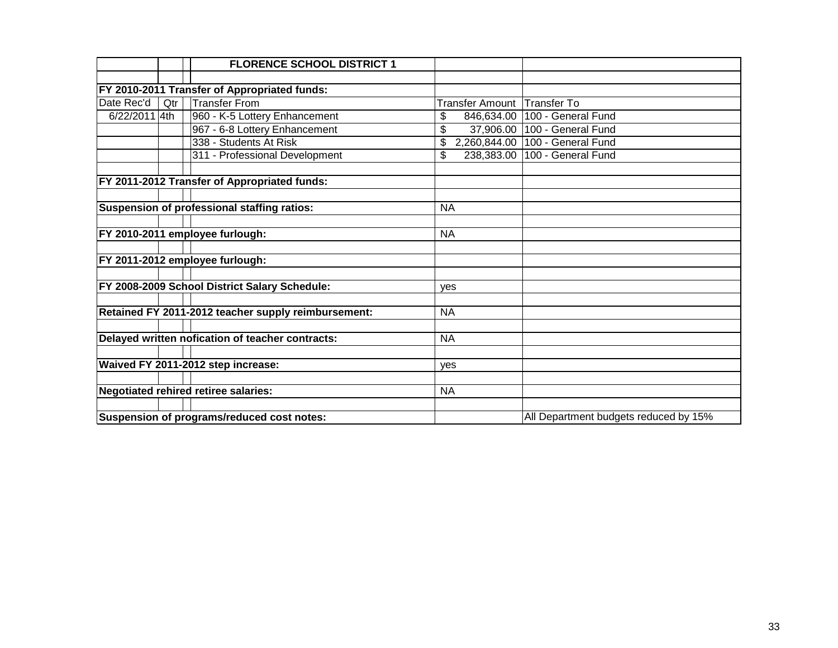|               |     | <b>FLORENCE SCHOOL DISTRICT 1</b>                   |                             |                                       |
|---------------|-----|-----------------------------------------------------|-----------------------------|---------------------------------------|
|               |     |                                                     |                             |                                       |
|               |     | FY 2010-2011 Transfer of Appropriated funds:        |                             |                                       |
| Date Rec'd    | Qtr | <b>Transfer From</b>                                | Transfer Amount Transfer To |                                       |
| 6/22/2011 4th |     | 960 - K-5 Lottery Enhancement                       | 846,634.00<br>\$            | 100 - General Fund                    |
|               |     | 967 - 6-8 Lottery Enhancement                       | \$                          | 37,906.00   100 - General Fund        |
|               |     | 338 - Students At Risk                              | \$                          | 2,260,844.00 100 - General Fund       |
|               |     | 311 - Professional Development                      | \$<br>238,383.00            | 100 - General Fund                    |
|               |     |                                                     |                             |                                       |
|               |     | FY 2011-2012 Transfer of Appropriated funds:        |                             |                                       |
|               |     |                                                     |                             |                                       |
|               |     | Suspension of professional staffing ratios:         | <b>NA</b>                   |                                       |
|               |     |                                                     |                             |                                       |
|               |     | FY 2010-2011 employee furlough:                     | <b>NA</b>                   |                                       |
|               |     |                                                     |                             |                                       |
|               |     | FY 2011-2012 employee furlough:                     |                             |                                       |
|               |     |                                                     |                             |                                       |
|               |     | FY 2008-2009 School District Salary Schedule:       | yes                         |                                       |
|               |     |                                                     |                             |                                       |
|               |     | Retained FY 2011-2012 teacher supply reimbursement: | <b>NA</b>                   |                                       |
|               |     |                                                     |                             |                                       |
|               |     | Delayed written nofication of teacher contracts:    | <b>NA</b>                   |                                       |
|               |     |                                                     |                             |                                       |
|               |     | Waived FY 2011-2012 step increase:                  | ves                         |                                       |
|               |     |                                                     |                             |                                       |
|               |     | <b>Negotiated rehired retiree salaries:</b>         | <b>NA</b>                   |                                       |
|               |     |                                                     |                             |                                       |
|               |     | Suspension of programs/reduced cost notes:          |                             | All Department budgets reduced by 15% |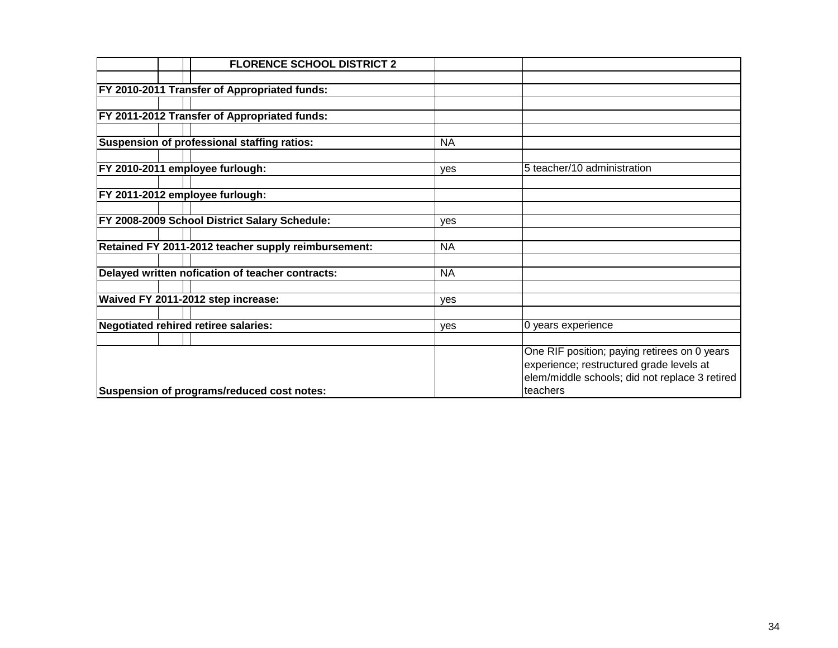| <b>FLORENCE SCHOOL DISTRICT 2</b>                   |           |                                                |
|-----------------------------------------------------|-----------|------------------------------------------------|
|                                                     |           |                                                |
| <b>FY 2010-2011 Transfer of Appropriated funds:</b> |           |                                                |
|                                                     |           |                                                |
| <b>FY 2011-2012 Transfer of Appropriated funds:</b> |           |                                                |
|                                                     |           |                                                |
| Suspension of professional staffing ratios:         | <b>NA</b> |                                                |
|                                                     |           |                                                |
| FY 2010-2011 employee furlough:                     | yes       | 5 teacher/10 administration                    |
|                                                     |           |                                                |
| FY 2011-2012 employee furlough:                     |           |                                                |
|                                                     |           |                                                |
| FY 2008-2009 School District Salary Schedule:       | yes       |                                                |
|                                                     |           |                                                |
| Retained FY 2011-2012 teacher supply reimbursement: | <b>NA</b> |                                                |
|                                                     |           |                                                |
| Delayed written nofication of teacher contracts:    | <b>NA</b> |                                                |
|                                                     |           |                                                |
| Waived FY 2011-2012 step increase:                  | yes       |                                                |
|                                                     |           |                                                |
| Negotiated rehired retiree salaries:                | yes       | 0 years experience                             |
|                                                     |           |                                                |
|                                                     |           | One RIF position; paying retirees on 0 years   |
|                                                     |           | experience; restructured grade levels at       |
|                                                     |           | elem/middle schools; did not replace 3 retired |
| Suspension of programs/reduced cost notes:          |           | teachers                                       |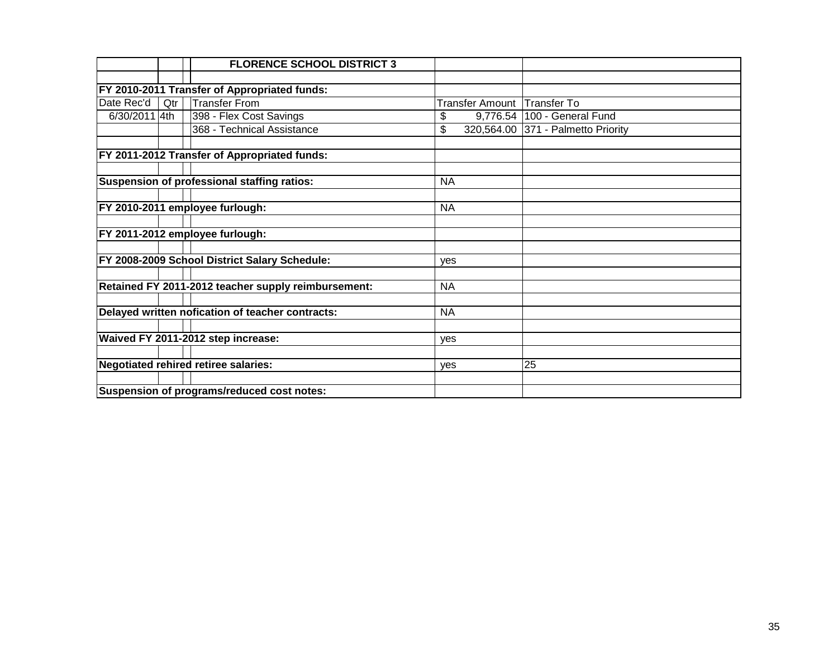|               |     | <b>FLORENCE SCHOOL DISTRICT 3</b>                   |                 |                                    |
|---------------|-----|-----------------------------------------------------|-----------------|------------------------------------|
|               |     |                                                     |                 |                                    |
|               |     | FY 2010-2011 Transfer of Appropriated funds:        |                 |                                    |
| Date Rec'd    | Qtr | <b>Transfer From</b>                                | Transfer Amount | <b>Transfer To</b>                 |
| 6/30/2011 4th |     | 398 - Flex Cost Savings                             | \$              | 9,776.54   100 - General Fund      |
|               |     | 368 - Technical Assistance                          | \$              | 320,564.00 371 - Palmetto Priority |
|               |     |                                                     |                 |                                    |
|               |     | FY 2011-2012 Transfer of Appropriated funds:        |                 |                                    |
|               |     |                                                     |                 |                                    |
|               |     | Suspension of professional staffing ratios:         | <b>NA</b>       |                                    |
|               |     |                                                     |                 |                                    |
|               |     | FY 2010-2011 employee furlough:                     | <b>NA</b>       |                                    |
|               |     |                                                     |                 |                                    |
|               |     | FY 2011-2012 employee furlough:                     |                 |                                    |
|               |     |                                                     |                 |                                    |
|               |     | FY 2008-2009 School District Salary Schedule:       | yes             |                                    |
|               |     |                                                     |                 |                                    |
|               |     | Retained FY 2011-2012 teacher supply reimbursement: | <b>NA</b>       |                                    |
|               |     |                                                     |                 |                                    |
|               |     | Delayed written nofication of teacher contracts:    | <b>NA</b>       |                                    |
|               |     |                                                     |                 |                                    |
|               |     | Waived FY 2011-2012 step increase:                  | yes             |                                    |
|               |     |                                                     |                 |                                    |
|               |     | Negotiated rehired retiree salaries:                | ves             | 25                                 |
|               |     |                                                     |                 |                                    |
|               |     | Suspension of programs/reduced cost notes:          |                 |                                    |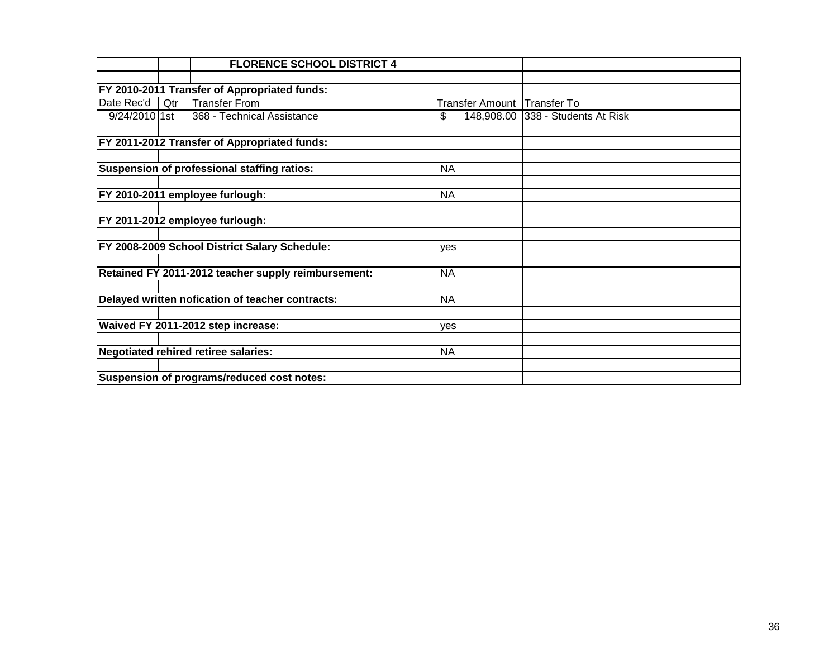|               |     | <b>FLORENCE SCHOOL DISTRICT 4</b>                   |                 |                                   |
|---------------|-----|-----------------------------------------------------|-----------------|-----------------------------------|
|               |     |                                                     |                 |                                   |
|               |     | FY 2010-2011 Transfer of Appropriated funds:        |                 |                                   |
| Date Rec'd    | Qtr | <b>Transfer From</b>                                | Transfer Amount | Transfer To                       |
| 9/24/2010 1st |     | 368 - Technical Assistance                          | \$              | 148,908.00 338 - Students At Risk |
|               |     | FY 2011-2012 Transfer of Appropriated funds:        |                 |                                   |
|               |     | Suspension of professional staffing ratios:         | <b>NA</b>       |                                   |
|               |     |                                                     |                 |                                   |
|               |     | FY 2010-2011 employee furlough:                     | <b>NA</b>       |                                   |
|               |     |                                                     |                 |                                   |
|               |     | FY 2011-2012 employee furlough:                     |                 |                                   |
|               |     |                                                     |                 |                                   |
|               |     | FY 2008-2009 School District Salary Schedule:       | yes             |                                   |
|               |     | Retained FY 2011-2012 teacher supply reimbursement: | <b>NA</b>       |                                   |
|               |     | Delayed written nofication of teacher contracts:    | <b>NA</b>       |                                   |
|               |     |                                                     |                 |                                   |
|               |     | Waived FY 2011-2012 step increase:                  | <b>ves</b>      |                                   |
|               |     |                                                     |                 |                                   |
|               |     | Negotiated rehired retiree salaries:                | <b>NA</b>       |                                   |
|               |     |                                                     |                 |                                   |
|               |     | Suspension of programs/reduced cost notes:          |                 |                                   |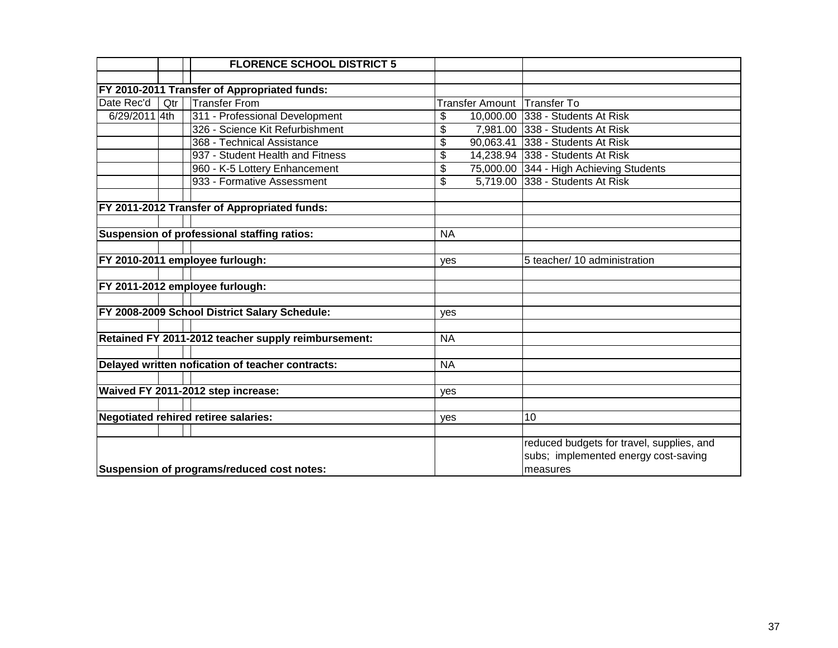|                                            |     | <b>FLORENCE SCHOOL DISTRICT 5</b>                   |            |                             |                                           |
|--------------------------------------------|-----|-----------------------------------------------------|------------|-----------------------------|-------------------------------------------|
|                                            |     |                                                     |            |                             |                                           |
|                                            |     | FY 2010-2011 Transfer of Appropriated funds:        |            |                             |                                           |
| Date Rec'd                                 | Qtr | <b>Transfer From</b>                                |            | Transfer Amount Transfer To |                                           |
| 6/29/2011 4th                              |     | 311 - Professional Development                      | \$         |                             | 10,000.00 338 - Students At Risk          |
|                                            |     | 326 - Science Kit Refurbishment                     | \$         |                             | 7,981.00 338 - Students At Risk           |
|                                            |     | 368 - Technical Assistance                          | \$         |                             | 90,063.41 338 - Students At Risk          |
|                                            |     | 937 - Student Health and Fitness                    | \$         |                             | 14,238.94 338 - Students At Risk          |
|                                            |     | 960 - K-5 Lottery Enhancement                       | \$         |                             | 75,000.00 344 - High Achieving Students   |
|                                            |     | 933 - Formative Assessment                          | \$         |                             | 5,719.00 338 - Students At Risk           |
|                                            |     |                                                     |            |                             |                                           |
|                                            |     | FY 2011-2012 Transfer of Appropriated funds:        |            |                             |                                           |
|                                            |     |                                                     |            |                             |                                           |
|                                            |     | Suspension of professional staffing ratios:         | <b>NA</b>  |                             |                                           |
|                                            |     |                                                     |            |                             |                                           |
|                                            |     | FY 2010-2011 employee furlough:                     | <b>ves</b> |                             | 5 teacher/ 10 administration              |
|                                            |     |                                                     |            |                             |                                           |
|                                            |     | FY 2011-2012 employee furlough:                     |            |                             |                                           |
|                                            |     |                                                     |            |                             |                                           |
|                                            |     | FY 2008-2009 School District Salary Schedule:       | yes        |                             |                                           |
|                                            |     |                                                     |            |                             |                                           |
|                                            |     | Retained FY 2011-2012 teacher supply reimbursement: | <b>NA</b>  |                             |                                           |
|                                            |     |                                                     |            |                             |                                           |
|                                            |     | Delayed written nofication of teacher contracts:    | <b>NA</b>  |                             |                                           |
|                                            |     |                                                     |            |                             |                                           |
|                                            |     | Waived FY 2011-2012 step increase:                  | yes        |                             |                                           |
|                                            |     |                                                     |            |                             |                                           |
|                                            |     | <b>Negotiated rehired retiree salaries:</b>         | yes        |                             | 10                                        |
|                                            |     |                                                     |            |                             |                                           |
|                                            |     |                                                     |            |                             | reduced budgets for travel, supplies, and |
|                                            |     |                                                     |            |                             | subs; implemented energy cost-saving      |
| Suspension of programs/reduced cost notes: |     |                                                     |            |                             | measures                                  |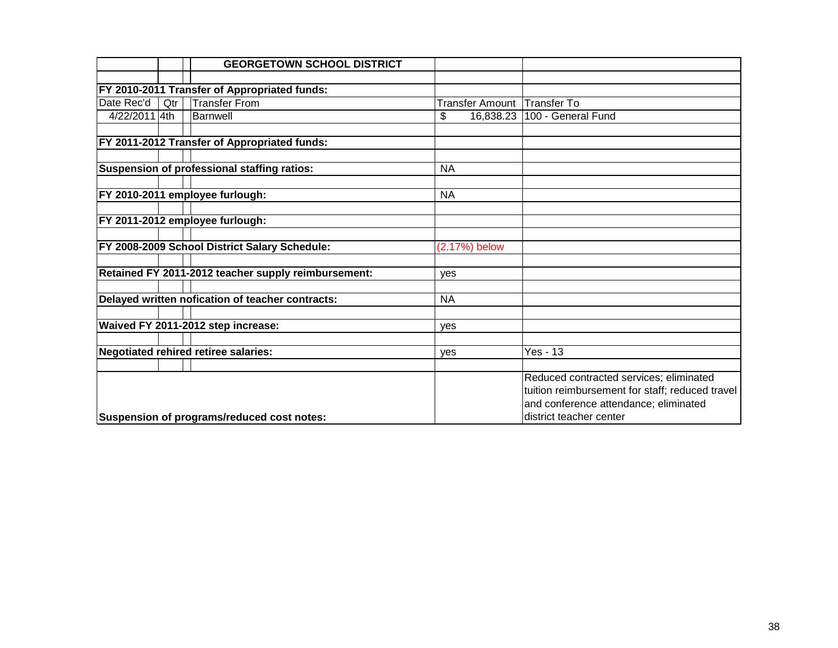|               |     | <b>GEORGETOWN SCHOOL DISTRICT</b>                   |            |               |                                                 |
|---------------|-----|-----------------------------------------------------|------------|---------------|-------------------------------------------------|
|               |     |                                                     |            |               |                                                 |
|               |     | FY 2010-2011 Transfer of Appropriated funds:        |            |               |                                                 |
| Date Rec'd    | Qtr | <b>Transfer From</b>                                |            |               | Transfer Amount Transfer To                     |
| 4/22/2011 4th |     | <b>Barnwell</b>                                     | \$         | 16,838.23     | 100 - General Fund                              |
|               |     |                                                     |            |               |                                                 |
|               |     | FY 2011-2012 Transfer of Appropriated funds:        |            |               |                                                 |
|               |     |                                                     |            |               |                                                 |
|               |     | Suspension of professional staffing ratios:         | <b>NA</b>  |               |                                                 |
|               |     |                                                     |            |               |                                                 |
|               |     | FY 2010-2011 employee furlough:                     | <b>NA</b>  |               |                                                 |
|               |     |                                                     |            |               |                                                 |
|               |     | FY 2011-2012 employee furlough:                     |            |               |                                                 |
|               |     |                                                     |            |               |                                                 |
|               |     | FY 2008-2009 School District Salary Schedule:       |            | (2.17%) below |                                                 |
|               |     | Retained FY 2011-2012 teacher supply reimbursement: |            |               |                                                 |
|               |     |                                                     | <b>ves</b> |               |                                                 |
|               |     | Delayed written nofication of teacher contracts:    | <b>NA</b>  |               |                                                 |
|               |     |                                                     |            |               |                                                 |
|               |     | Waived FY 2011-2012 step increase:                  | yes        |               |                                                 |
|               |     |                                                     |            |               |                                                 |
|               |     | Negotiated rehired retiree salaries:                | yes        |               | <b>Yes - 13</b>                                 |
|               |     |                                                     |            |               |                                                 |
|               |     |                                                     |            |               | Reduced contracted services; eliminated         |
|               |     |                                                     |            |               | tuition reimbursement for staff; reduced travel |
|               |     |                                                     |            |               | and conference attendance; eliminated           |
|               |     | Suspension of programs/reduced cost notes:          |            |               | district teacher center                         |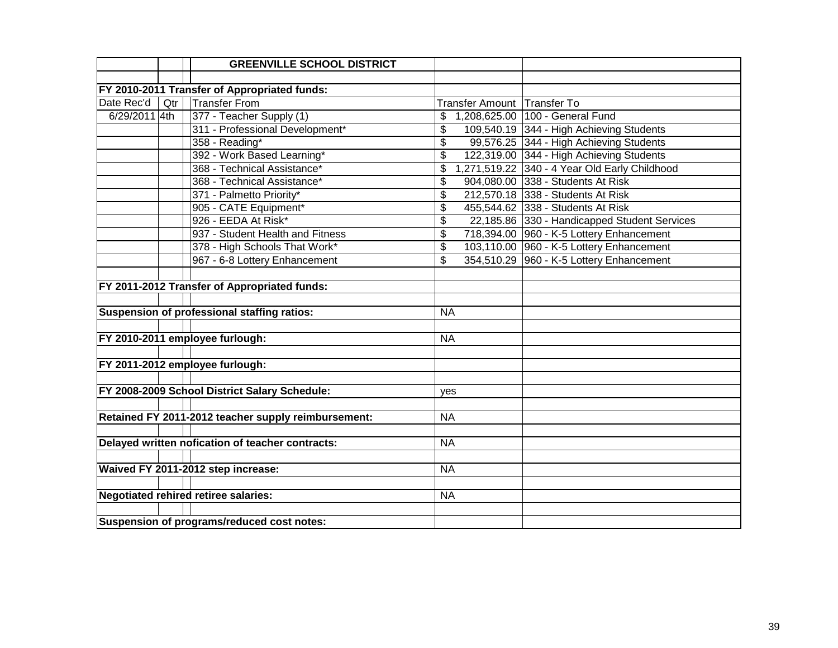|               |     | <b>GREENVILLE SCHOOL DISTRICT</b>                   |           |                             |                                               |
|---------------|-----|-----------------------------------------------------|-----------|-----------------------------|-----------------------------------------------|
|               |     |                                                     |           |                             |                                               |
|               |     | FY 2010-2011 Transfer of Appropriated funds:        |           |                             |                                               |
| Date Rec'd    | Qtr | <b>Transfer From</b>                                |           | Transfer Amount Transfer To |                                               |
| 6/29/2011 4th |     | 377 - Teacher Supply (1)                            | \$        |                             | 1,208,625.00 100 - General Fund               |
|               |     | 311 - Professional Development*                     | \$        |                             | 109,540.19 344 - High Achieving Students      |
|               |     | 358 - Reading*                                      | \$        |                             | 99,576.25 344 - High Achieving Students       |
|               |     | 392 - Work Based Learning*                          | \$        |                             | 122,319.00 344 - High Achieving Students      |
|               |     | 368 - Technical Assistance*                         | \$        |                             | 1,271,519.22 340 - 4 Year Old Early Childhood |
|               |     | 368 - Technical Assistance*                         | \$        |                             | 904,080.00 338 - Students At Risk             |
|               |     | 371 - Palmetto Priority*                            | \$        |                             | 212,570.18 338 - Students At Risk             |
|               |     | 905 - CATE Equipment*                               | \$        |                             | 455,544.62 338 - Students At Risk             |
|               |     | 926 - EEDA At Risk*                                 | \$        |                             | 22,185.86 330 - Handicapped Student Services  |
|               |     | 937 - Student Health and Fitness                    | \$        |                             | 718,394.00 960 - K-5 Lottery Enhancement      |
|               |     | 378 - High Schools That Work*                       | \$        |                             | 103,110.00 960 - K-5 Lottery Enhancement      |
|               |     | 967 - 6-8 Lottery Enhancement                       | \$        |                             | 354,510.29 960 - K-5 Lottery Enhancement      |
|               |     |                                                     |           |                             |                                               |
|               |     | FY 2011-2012 Transfer of Appropriated funds:        |           |                             |                                               |
|               |     |                                                     |           |                             |                                               |
|               |     | Suspension of professional staffing ratios:         | <b>NA</b> |                             |                                               |
|               |     |                                                     |           |                             |                                               |
|               |     | FY 2010-2011 employee furlough:                     | <b>NA</b> |                             |                                               |
|               |     |                                                     |           |                             |                                               |
|               |     | FY 2011-2012 employee furlough:                     |           |                             |                                               |
|               |     |                                                     |           |                             |                                               |
|               |     | FY 2008-2009 School District Salary Schedule:       | yes       |                             |                                               |
|               |     |                                                     |           |                             |                                               |
|               |     | Retained FY 2011-2012 teacher supply reimbursement: | <b>NA</b> |                             |                                               |
|               |     |                                                     |           |                             |                                               |
|               |     | Delayed written nofication of teacher contracts:    | <b>NA</b> |                             |                                               |
|               |     |                                                     |           |                             |                                               |
|               |     | Waived FY 2011-2012 step increase:                  | <b>NA</b> |                             |                                               |
|               |     |                                                     |           |                             |                                               |
|               |     | <b>Negotiated rehired retiree salaries:</b>         | <b>NA</b> |                             |                                               |
|               |     |                                                     |           |                             |                                               |
|               |     | Suspension of programs/reduced cost notes:          |           |                             |                                               |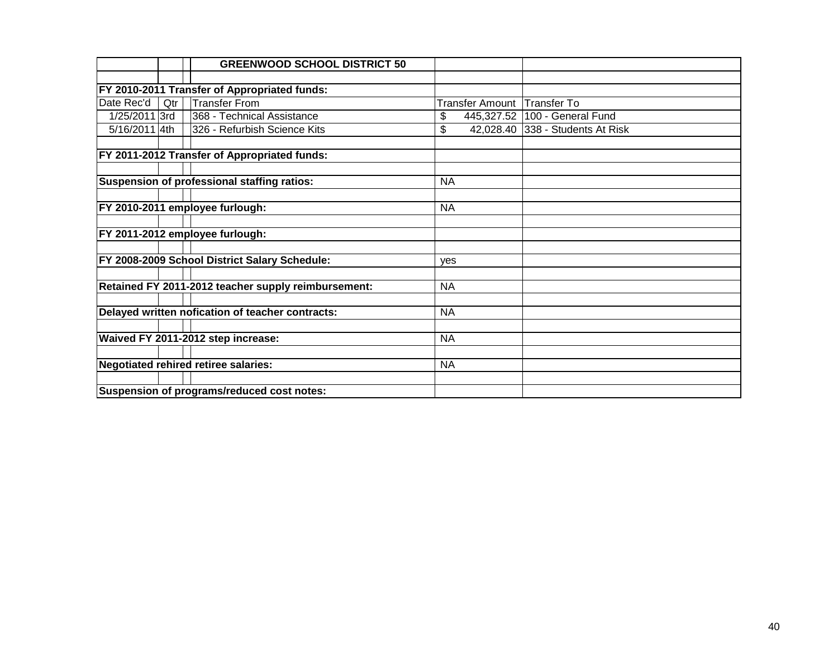|               |     | <b>GREENWOOD SCHOOL DISTRICT 50</b>                 |                        |                        |
|---------------|-----|-----------------------------------------------------|------------------------|------------------------|
|               |     |                                                     |                        |                        |
|               |     | FY 2010-2011 Transfer of Appropriated funds:        |                        |                        |
| Date Rec'd    | Qtr | <b>Transfer From</b>                                | <b>Transfer Amount</b> | <b>Transfer To</b>     |
| 1/25/2011 3rd |     | 368 - Technical Assistance                          | \$<br>445,327.52       | 100 - General Fund     |
| 5/16/2011 4th |     | 326 - Refurbish Science Kits                        | \$<br>42,028.40        | 338 - Students At Risk |
|               |     |                                                     |                        |                        |
|               |     | FY 2011-2012 Transfer of Appropriated funds:        |                        |                        |
|               |     |                                                     |                        |                        |
|               |     | Suspension of professional staffing ratios:         | <b>NA</b>              |                        |
|               |     |                                                     |                        |                        |
|               |     | FY 2010-2011 employee furlough:                     | <b>NA</b>              |                        |
|               |     |                                                     |                        |                        |
|               |     | FY 2011-2012 employee furlough:                     |                        |                        |
|               |     |                                                     |                        |                        |
|               |     | FY 2008-2009 School District Salary Schedule:       | ves                    |                        |
|               |     |                                                     |                        |                        |
|               |     | Retained FY 2011-2012 teacher supply reimbursement: | <b>NA</b>              |                        |
|               |     |                                                     |                        |                        |
|               |     | Delayed written nofication of teacher contracts:    | <b>NA</b>              |                        |
|               |     |                                                     |                        |                        |
|               |     | Waived FY 2011-2012 step increase:                  | <b>NA</b>              |                        |
|               |     |                                                     |                        |                        |
|               |     | <b>Negotiated rehired retiree salaries:</b>         | <b>NA</b>              |                        |
|               |     |                                                     |                        |                        |
|               |     | Suspension of programs/reduced cost notes:          |                        |                        |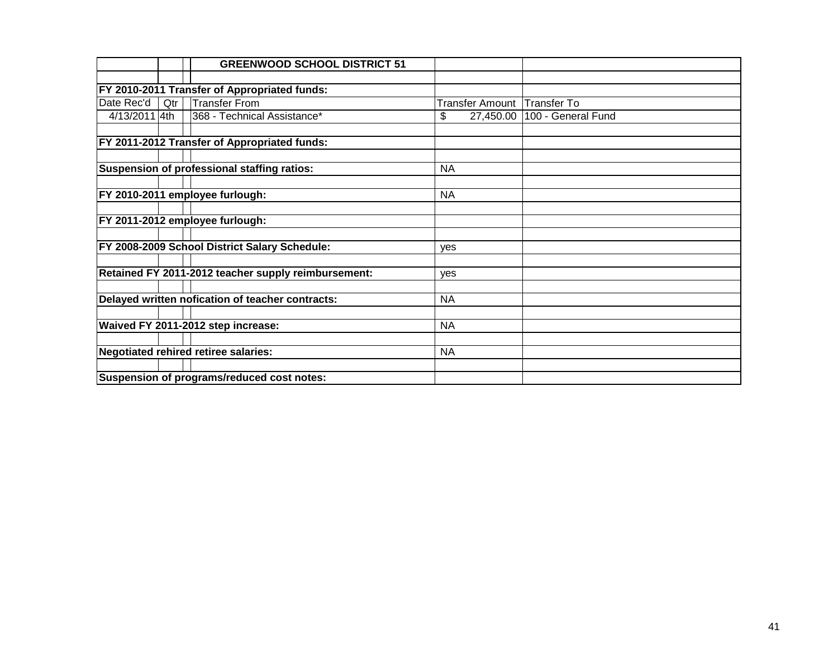|               |                                            | <b>GREENWOOD SCHOOL DISTRICT 51</b>                 |           |           |                             |
|---------------|--------------------------------------------|-----------------------------------------------------|-----------|-----------|-----------------------------|
|               |                                            |                                                     |           |           |                             |
|               |                                            | FY 2010-2011 Transfer of Appropriated funds:        |           |           |                             |
| Date Rec'd    | Qtr                                        | Transfer From                                       |           |           | Transfer Amount Transfer To |
| 4/13/2011 4th |                                            | 368 - Technical Assistance*                         | \$        | 27,450.00 | 100 - General Fund          |
|               |                                            |                                                     |           |           |                             |
|               |                                            | <b>FY 2011-2012 Transfer of Appropriated funds:</b> |           |           |                             |
|               |                                            |                                                     |           |           |                             |
|               |                                            | Suspension of professional staffing ratios:         | <b>NA</b> |           |                             |
|               |                                            |                                                     |           |           |                             |
|               |                                            | FY 2010-2011 employee furlough:                     | <b>NA</b> |           |                             |
|               |                                            |                                                     |           |           |                             |
|               |                                            | FY 2011-2012 employee furlough:                     |           |           |                             |
|               |                                            |                                                     |           |           |                             |
|               |                                            | FY 2008-2009 School District Salary Schedule:       | ves       |           |                             |
|               |                                            |                                                     |           |           |                             |
|               |                                            | Retained FY 2011-2012 teacher supply reimbursement: | yes       |           |                             |
|               |                                            |                                                     |           |           |                             |
|               |                                            | Delayed written nofication of teacher contracts:    | <b>NA</b> |           |                             |
|               |                                            |                                                     |           |           |                             |
|               |                                            | Waived FY 2011-2012 step increase:                  | <b>NA</b> |           |                             |
|               |                                            |                                                     |           |           |                             |
|               |                                            | Negotiated rehired retiree salaries:                | <b>NA</b> |           |                             |
|               |                                            |                                                     |           |           |                             |
|               | Suspension of programs/reduced cost notes: |                                                     |           |           |                             |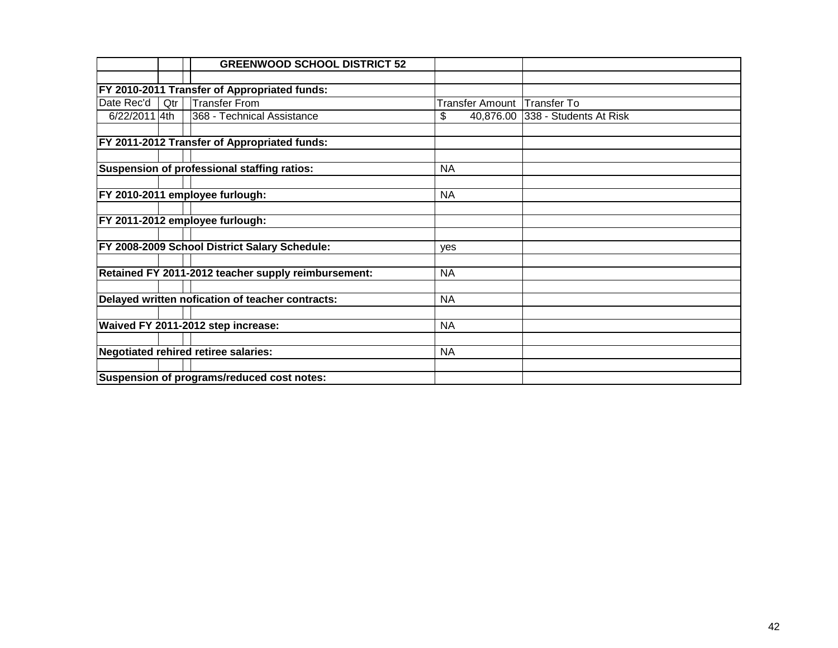|                                            |     | <b>GREENWOOD SCHOOL DISTRICT 52</b>                 |           |                                  |
|--------------------------------------------|-----|-----------------------------------------------------|-----------|----------------------------------|
|                                            |     |                                                     |           |                                  |
|                                            |     | <b>FY 2010-2011 Transfer of Appropriated funds:</b> |           |                                  |
| Date Rec'd                                 | Qtr | Transfer From                                       |           | Transfer Amount   Transfer To    |
| 6/22/2011 4th                              |     | 368 - Technical Assistance                          | \$        | 40,876.00 338 - Students At Risk |
|                                            |     |                                                     |           |                                  |
|                                            |     | FY 2011-2012 Transfer of Appropriated funds:        |           |                                  |
|                                            |     |                                                     |           |                                  |
|                                            |     | Suspension of professional staffing ratios:         | <b>NA</b> |                                  |
|                                            |     |                                                     |           |                                  |
|                                            |     | FY 2010-2011 employee furlough:                     | <b>NA</b> |                                  |
|                                            |     |                                                     |           |                                  |
|                                            |     | FY 2011-2012 employee furlough:                     |           |                                  |
|                                            |     |                                                     |           |                                  |
|                                            |     | FY 2008-2009 School District Salary Schedule:       | yes       |                                  |
|                                            |     | Retained FY 2011-2012 teacher supply reimbursement: | <b>NA</b> |                                  |
|                                            |     |                                                     |           |                                  |
|                                            |     | Delayed written nofication of teacher contracts:    | <b>NA</b> |                                  |
|                                            |     |                                                     |           |                                  |
|                                            |     | Waived FY 2011-2012 step increase:                  | <b>NA</b> |                                  |
|                                            |     |                                                     |           |                                  |
|                                            |     | Negotiated rehired retiree salaries:                | <b>NA</b> |                                  |
|                                            |     |                                                     |           |                                  |
| Suspension of programs/reduced cost notes: |     |                                                     |           |                                  |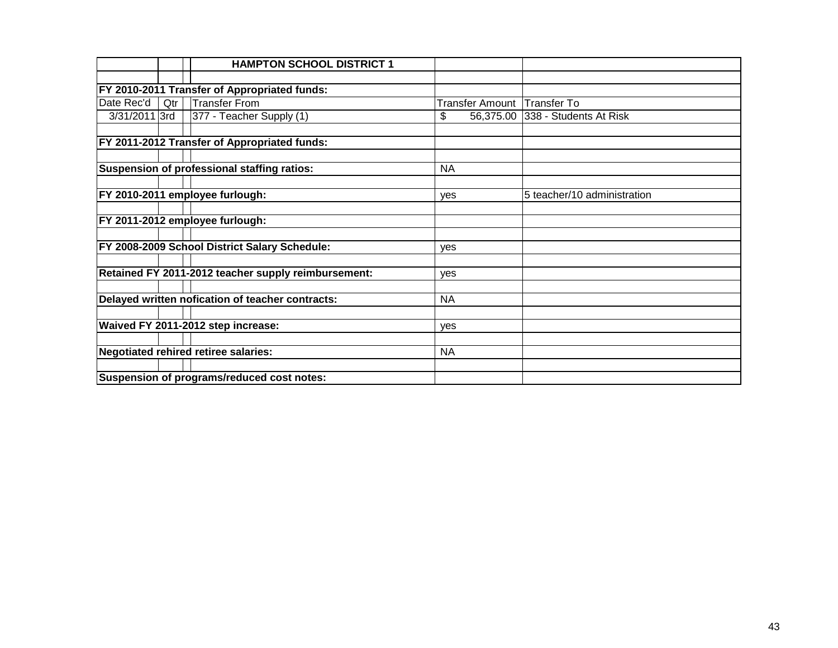|               |     | <b>HAMPTON SCHOOL DISTRICT 1</b>                    |                             |                                  |
|---------------|-----|-----------------------------------------------------|-----------------------------|----------------------------------|
|               |     |                                                     |                             |                                  |
|               |     | FY 2010-2011 Transfer of Appropriated funds:        |                             |                                  |
| Date Rec'd    | Qtr | Transfer From                                       | Transfer Amount Transfer To |                                  |
| 3/31/2011 3rd |     | 377 - Teacher Supply (1)                            | \$                          | 56,375.00 338 - Students At Risk |
|               |     |                                                     |                             |                                  |
|               |     | <b>FY 2011-2012 Transfer of Appropriated funds:</b> |                             |                                  |
|               |     |                                                     |                             |                                  |
|               |     | Suspension of professional staffing ratios:         | <b>NA</b>                   |                                  |
|               |     |                                                     |                             |                                  |
|               |     | FY 2010-2011 employee furlough:                     | <b>ves</b>                  | 5 teacher/10 administration      |
|               |     |                                                     |                             |                                  |
|               |     | FY 2011-2012 employee furlough:                     |                             |                                  |
|               |     |                                                     |                             |                                  |
|               |     | FY 2008-2009 School District Salary Schedule:       | ves                         |                                  |
|               |     |                                                     |                             |                                  |
|               |     | Retained FY 2011-2012 teacher supply reimbursement: | yes                         |                                  |
|               |     |                                                     |                             |                                  |
|               |     | Delayed written nofication of teacher contracts:    | <b>NA</b>                   |                                  |
|               |     |                                                     |                             |                                  |
|               |     | Waived FY 2011-2012 step increase:                  | yes                         |                                  |
|               |     |                                                     |                             |                                  |
|               |     | Negotiated rehired retiree salaries:                | <b>NA</b>                   |                                  |
|               |     |                                                     |                             |                                  |
|               |     | Suspension of programs/reduced cost notes:          |                             |                                  |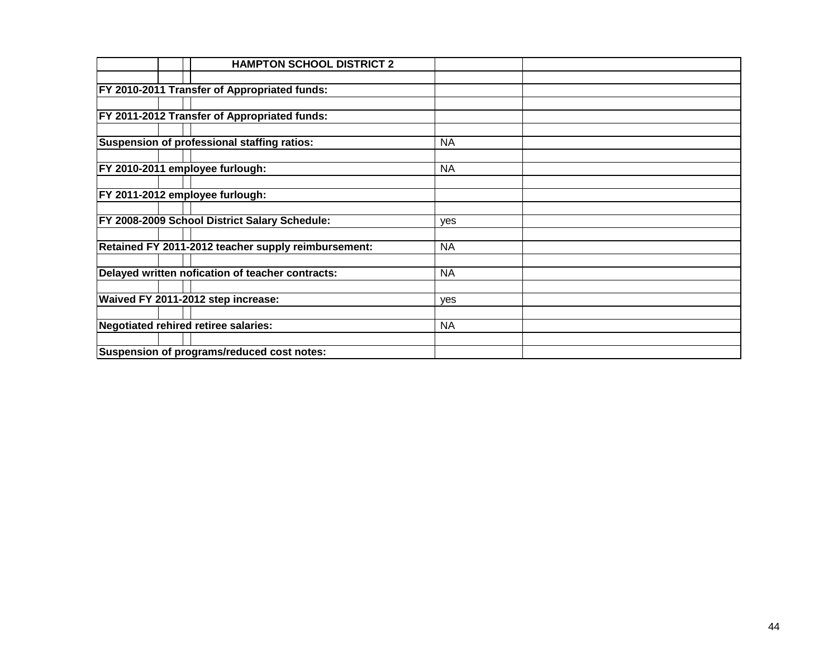| <b>HAMPTON SCHOOL DISTRICT 2</b>                    |           |  |
|-----------------------------------------------------|-----------|--|
|                                                     |           |  |
| FY 2010-2011 Transfer of Appropriated funds:        |           |  |
|                                                     |           |  |
| FY 2011-2012 Transfer of Appropriated funds:        |           |  |
|                                                     |           |  |
| Suspension of professional staffing ratios:         | <b>NA</b> |  |
|                                                     |           |  |
| FY 2010-2011 employee furlough:                     | <b>NA</b> |  |
|                                                     |           |  |
| FY 2011-2012 employee furlough:                     |           |  |
|                                                     |           |  |
| FY 2008-2009 School District Salary Schedule:       | yes       |  |
|                                                     |           |  |
| Retained FY 2011-2012 teacher supply reimbursement: | <b>NA</b> |  |
|                                                     |           |  |
| Delayed written nofication of teacher contracts:    | <b>NA</b> |  |
|                                                     |           |  |
| Waived FY 2011-2012 step increase:                  | yes       |  |
|                                                     |           |  |
| Negotiated rehired retiree salaries:                | <b>NA</b> |  |
| Suspension of programs/reduced cost notes:          |           |  |
|                                                     |           |  |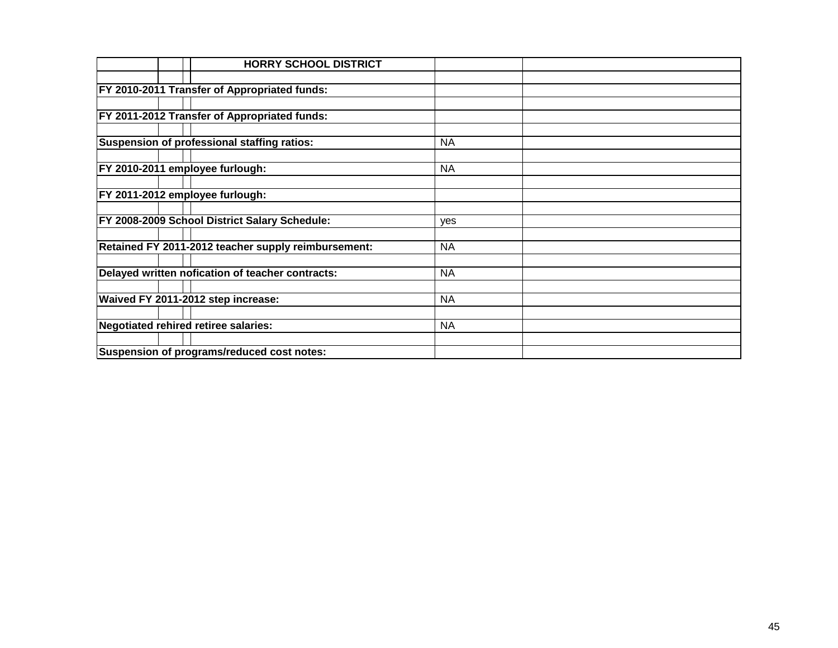|                                      | <b>HORRY SCHOOL DISTRICT</b>                        |           |  |
|--------------------------------------|-----------------------------------------------------|-----------|--|
|                                      |                                                     |           |  |
|                                      | FY 2010-2011 Transfer of Appropriated funds:        |           |  |
|                                      |                                                     |           |  |
|                                      | FY 2011-2012 Transfer of Appropriated funds:        |           |  |
|                                      |                                                     |           |  |
|                                      | Suspension of professional staffing ratios:         | <b>NA</b> |  |
|                                      |                                                     |           |  |
| FY 2010-2011 employee furlough:      |                                                     | <b>NA</b> |  |
|                                      |                                                     |           |  |
| FY 2011-2012 employee furlough:      |                                                     |           |  |
|                                      |                                                     |           |  |
|                                      | FY 2008-2009 School District Salary Schedule:       | yes       |  |
|                                      |                                                     |           |  |
|                                      | Retained FY 2011-2012 teacher supply reimbursement: | <b>NA</b> |  |
|                                      |                                                     |           |  |
|                                      | Delayed written nofication of teacher contracts:    | <b>NA</b> |  |
|                                      | Waived FY 2011-2012 step increase:                  | <b>NA</b> |  |
|                                      |                                                     |           |  |
| Negotiated rehired retiree salaries: |                                                     | <b>NA</b> |  |
|                                      |                                                     |           |  |
|                                      | Suspension of programs/reduced cost notes:          |           |  |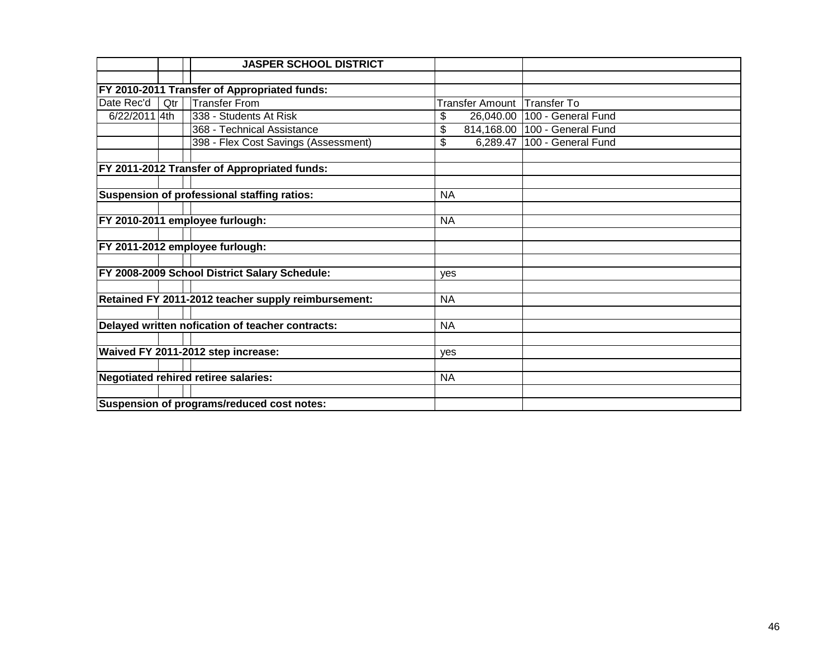|               |     | <b>JASPER SCHOOL DISTRICT</b>                       |            |                 |                                |
|---------------|-----|-----------------------------------------------------|------------|-----------------|--------------------------------|
|               |     |                                                     |            |                 |                                |
|               |     | FY 2010-2011 Transfer of Appropriated funds:        |            |                 |                                |
| Date Rec'd    | Qtr | <b>Transfer From</b>                                |            | Transfer Amount | <b>Transfer To</b>             |
| 6/22/2011 4th |     | 338 - Students At Risk                              | \$         |                 | 26,040.00   100 - General Fund |
|               |     | 368 - Technical Assistance                          | \$         | 814,168.00      | 100 - General Fund             |
|               |     | 398 - Flex Cost Savings (Assessment)                | \$         | 6,289.47        | 100 - General Fund             |
|               |     |                                                     |            |                 |                                |
|               |     | FY 2011-2012 Transfer of Appropriated funds:        |            |                 |                                |
|               |     |                                                     |            |                 |                                |
|               |     | Suspension of professional staffing ratios:         | <b>NA</b>  |                 |                                |
|               |     |                                                     |            |                 |                                |
|               |     | FY 2010-2011 employee furlough:                     | <b>NA</b>  |                 |                                |
|               |     |                                                     |            |                 |                                |
|               |     | FY 2011-2012 employee furlough:                     |            |                 |                                |
|               |     |                                                     |            |                 |                                |
|               |     | FY 2008-2009 School District Salary Schedule:       | yes        |                 |                                |
|               |     |                                                     |            |                 |                                |
|               |     | Retained FY 2011-2012 teacher supply reimbursement: | <b>NA</b>  |                 |                                |
|               |     |                                                     |            |                 |                                |
|               |     | Delayed written nofication of teacher contracts:    | <b>NA</b>  |                 |                                |
|               |     |                                                     |            |                 |                                |
|               |     | Waived FY 2011-2012 step increase:                  | <b>ves</b> |                 |                                |
|               |     |                                                     |            |                 |                                |
|               |     | <b>Negotiated rehired retiree salaries:</b>         | <b>NA</b>  |                 |                                |
|               |     |                                                     |            |                 |                                |
|               |     | Suspension of programs/reduced cost notes:          |            |                 |                                |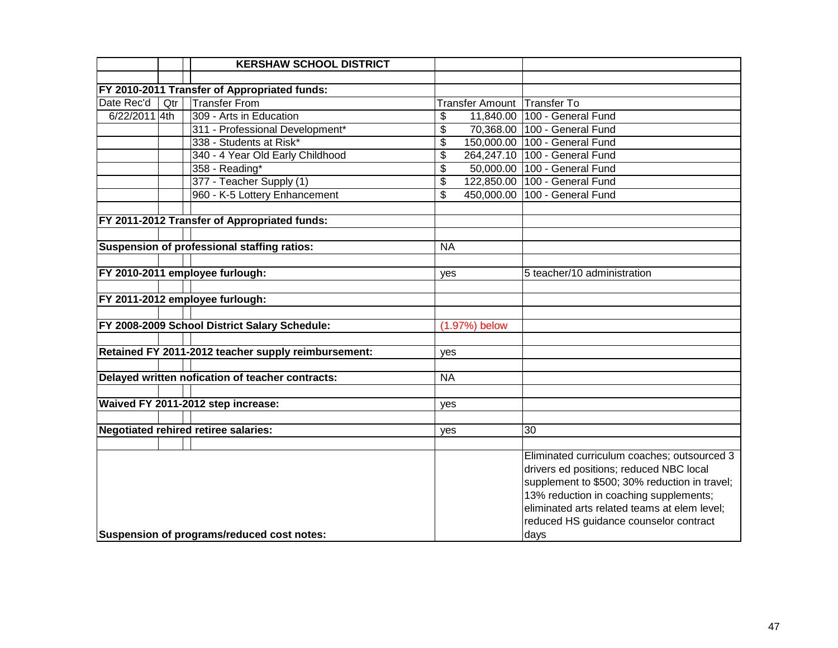|                                            |     | <b>KERSHAW SCHOOL DISTRICT</b>                      |                                      |                             |                                               |
|--------------------------------------------|-----|-----------------------------------------------------|--------------------------------------|-----------------------------|-----------------------------------------------|
|                                            |     |                                                     |                                      |                             |                                               |
|                                            |     | FY 2010-2011 Transfer of Appropriated funds:        |                                      |                             |                                               |
| Date Rec'd                                 | Qtr | <b>Transfer From</b>                                |                                      | Transfer Amount Transfer To |                                               |
| 6/22/2011 4th                              |     | 309 - Arts in Education                             | \$                                   | 11,840.00                   | 100 - General Fund                            |
|                                            |     | 311 - Professional Development*                     | \$                                   |                             | 70,368.00 100 - General Fund                  |
|                                            |     | 338 - Students at Risk*                             | \$                                   |                             | 150,000.00 100 - General Fund                 |
|                                            |     | 340 - 4 Year Old Early Childhood                    | \$                                   |                             | 264,247.10 100 - General Fund                 |
|                                            |     | 358 - Reading*                                      | $\overline{\boldsymbol{\mathsf{s}}}$ |                             | 50,000.00 100 - General Fund                  |
|                                            |     | 377 - Teacher Supply (1)                            | \$                                   |                             | 122,850.00 100 - General Fund                 |
|                                            |     | 960 - K-5 Lottery Enhancement                       | \$                                   |                             | 450,000.00 100 - General Fund                 |
|                                            |     |                                                     |                                      |                             |                                               |
|                                            |     | FY 2011-2012 Transfer of Appropriated funds:        |                                      |                             |                                               |
|                                            |     |                                                     |                                      |                             |                                               |
|                                            |     | Suspension of professional staffing ratios:         | <b>NA</b>                            |                             |                                               |
|                                            |     |                                                     |                                      |                             |                                               |
|                                            |     | FY 2010-2011 employee furlough:                     | yes                                  |                             | 5 teacher/10 administration                   |
|                                            |     |                                                     |                                      |                             |                                               |
|                                            |     | FY 2011-2012 employee furlough:                     |                                      |                             |                                               |
|                                            |     |                                                     |                                      |                             |                                               |
|                                            |     | FY 2008-2009 School District Salary Schedule:       |                                      | (1.97%) below               |                                               |
|                                            |     |                                                     |                                      |                             |                                               |
|                                            |     | Retained FY 2011-2012 teacher supply reimbursement: | yes                                  |                             |                                               |
|                                            |     |                                                     |                                      |                             |                                               |
|                                            |     | Delayed written nofication of teacher contracts:    | <b>NA</b>                            |                             |                                               |
|                                            |     |                                                     |                                      |                             |                                               |
|                                            |     | Waived FY 2011-2012 step increase:                  | yes                                  |                             |                                               |
|                                            |     |                                                     |                                      |                             |                                               |
|                                            |     | <b>Negotiated rehired retiree salaries:</b>         | yes                                  |                             | 30                                            |
|                                            |     |                                                     |                                      |                             |                                               |
|                                            |     |                                                     |                                      |                             | Eliminated curriculum coaches; outsourced 3   |
|                                            |     |                                                     |                                      |                             | drivers ed positions; reduced NBC local       |
|                                            |     |                                                     |                                      |                             | supplement to \$500; 30% reduction in travel; |
|                                            |     |                                                     |                                      |                             | 13% reduction in coaching supplements;        |
|                                            |     |                                                     |                                      |                             | eliminated arts related teams at elem level;  |
|                                            |     |                                                     |                                      |                             | reduced HS guidance counselor contract        |
| Suspension of programs/reduced cost notes: |     |                                                     |                                      |                             | days                                          |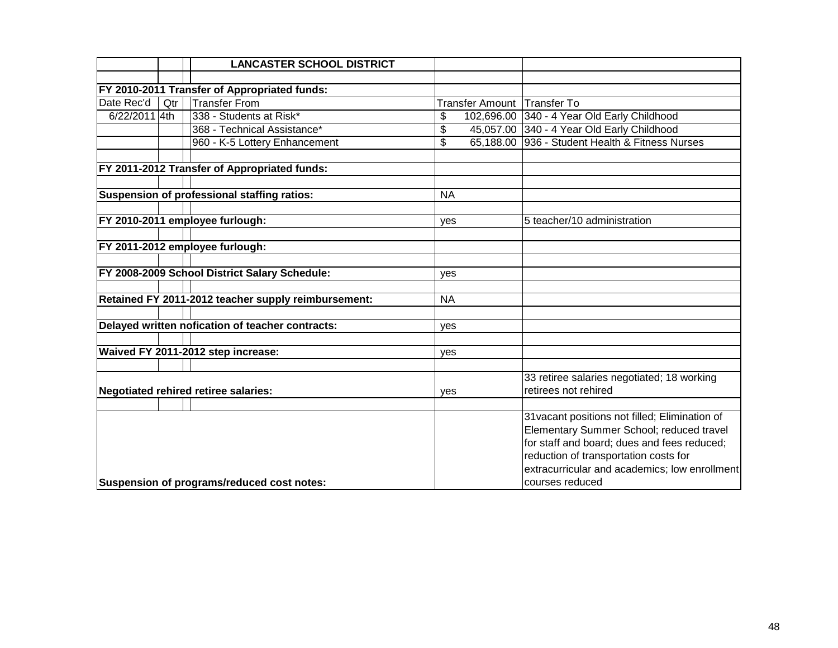|               |                                            | <b>LANCASTER SCHOOL DISTRICT</b>                    |                             |                                                 |
|---------------|--------------------------------------------|-----------------------------------------------------|-----------------------------|-------------------------------------------------|
|               |                                            |                                                     |                             |                                                 |
|               |                                            | FY 2010-2011 Transfer of Appropriated funds:        |                             |                                                 |
| Date Rec'd    | Qtr                                        | <b>Transfer From</b>                                | Transfer Amount Transfer To |                                                 |
| 6/22/2011 4th |                                            | 338 - Students at Risk*                             | \$                          | 102,696.00 340 - 4 Year Old Early Childhood     |
|               |                                            | 368 - Technical Assistance*                         | \$                          | 45,057.00 340 - 4 Year Old Early Childhood      |
|               |                                            | 960 - K-5 Lottery Enhancement                       | \$                          | 65,188.00 936 - Student Health & Fitness Nurses |
|               |                                            |                                                     |                             |                                                 |
|               |                                            | FY 2011-2012 Transfer of Appropriated funds:        |                             |                                                 |
|               |                                            |                                                     |                             |                                                 |
|               |                                            | Suspension of professional staffing ratios:         | <b>NA</b>                   |                                                 |
|               |                                            |                                                     |                             |                                                 |
|               |                                            | FY 2010-2011 employee furlough:                     | yes                         | 5 teacher/10 administration                     |
|               |                                            |                                                     |                             |                                                 |
|               |                                            | FY 2011-2012 employee furlough:                     |                             |                                                 |
|               |                                            |                                                     |                             |                                                 |
|               |                                            | FY 2008-2009 School District Salary Schedule:       | yes                         |                                                 |
|               |                                            |                                                     |                             |                                                 |
|               |                                            | Retained FY 2011-2012 teacher supply reimbursement: | <b>NA</b>                   |                                                 |
|               |                                            |                                                     |                             |                                                 |
|               |                                            | Delayed written nofication of teacher contracts:    | yes                         |                                                 |
|               |                                            |                                                     |                             |                                                 |
|               |                                            | Waived FY 2011-2012 step increase:                  | yes                         |                                                 |
|               |                                            |                                                     |                             |                                                 |
|               |                                            |                                                     |                             | 33 retiree salaries negotiated; 18 working      |
|               |                                            | <b>Negotiated rehired retiree salaries:</b>         | yes                         | retirees not rehired                            |
|               |                                            |                                                     |                             |                                                 |
|               |                                            |                                                     |                             | 31 vacant positions not filled; Elimination of  |
|               |                                            |                                                     |                             | Elementary Summer School; reduced travel        |
|               |                                            |                                                     |                             | for staff and board; dues and fees reduced;     |
|               |                                            |                                                     |                             | reduction of transportation costs for           |
|               |                                            |                                                     |                             | extracurricular and academics; low enrollment   |
|               | Suspension of programs/reduced cost notes: |                                                     |                             | courses reduced                                 |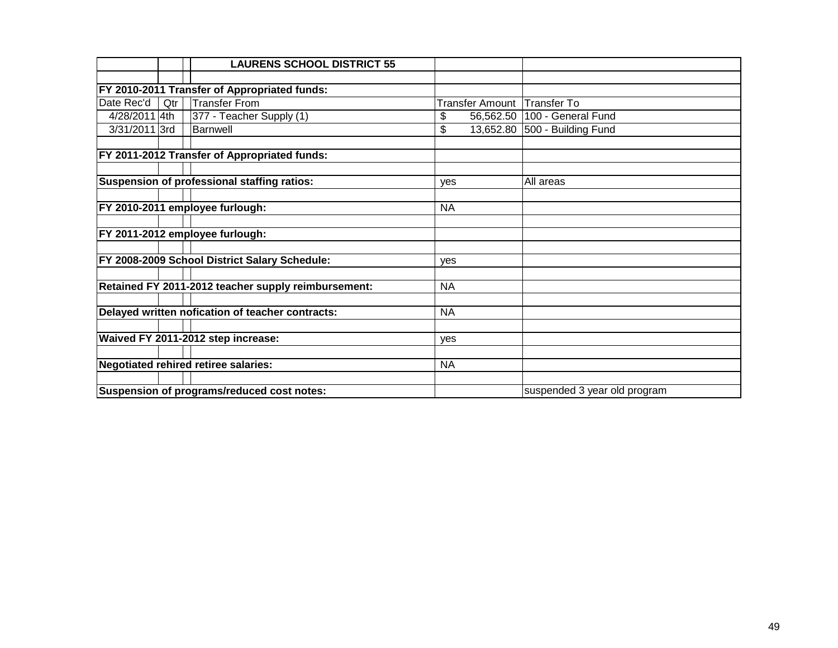|                                            |     | <b>LAURENS SCHOOL DISTRICT 55</b>                   |                 |                              |
|--------------------------------------------|-----|-----------------------------------------------------|-----------------|------------------------------|
|                                            |     |                                                     |                 |                              |
|                                            |     | <b>FY 2010-2011 Transfer of Appropriated funds:</b> |                 |                              |
| Date Rec'd                                 | Qtr | <b>Transfer From</b>                                | Transfer Amount | <b>Transfer To</b>           |
| 4/28/2011 4th                              |     | 377 - Teacher Supply (1)                            | \$<br>56,562.50 | 100 - General Fund           |
| 3/31/2011 3rd                              |     | Barnwell                                            | \$<br>13,652.80 | 500 - Building Fund          |
|                                            |     |                                                     |                 |                              |
|                                            |     | FY 2011-2012 Transfer of Appropriated funds:        |                 |                              |
|                                            |     |                                                     |                 |                              |
|                                            |     | Suspension of professional staffing ratios:         | <b>ves</b>      | All areas                    |
|                                            |     |                                                     |                 |                              |
|                                            |     | FY 2010-2011 employee furlough:                     | <b>NA</b>       |                              |
|                                            |     |                                                     |                 |                              |
|                                            |     | FY 2011-2012 employee furlough:                     |                 |                              |
|                                            |     |                                                     |                 |                              |
|                                            |     | FY 2008-2009 School District Salary Schedule:       | ves             |                              |
|                                            |     |                                                     |                 |                              |
|                                            |     | Retained FY 2011-2012 teacher supply reimbursement: | <b>NA</b>       |                              |
|                                            |     |                                                     |                 |                              |
|                                            |     | Delayed written nofication of teacher contracts:    | <b>NA</b>       |                              |
|                                            |     |                                                     |                 |                              |
|                                            |     | Waived FY 2011-2012 step increase:                  | yes             |                              |
|                                            |     |                                                     |                 |                              |
|                                            |     | Negotiated rehired retiree salaries:                | <b>NA</b>       |                              |
|                                            |     |                                                     |                 |                              |
| Suspension of programs/reduced cost notes: |     |                                                     |                 | suspended 3 year old program |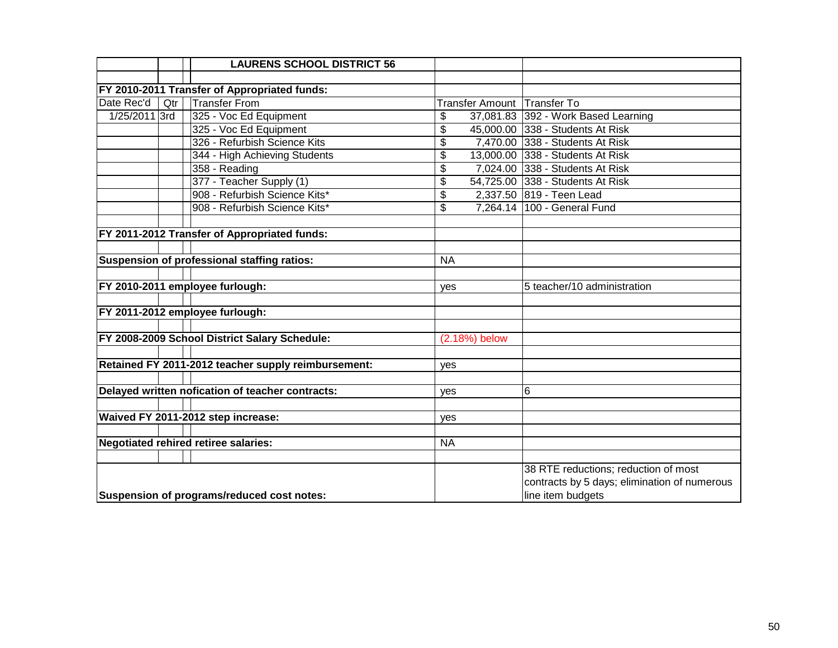|                                            |     | <b>LAURENS SCHOOL DISTRICT 56</b>                   |            |               |                                              |
|--------------------------------------------|-----|-----------------------------------------------------|------------|---------------|----------------------------------------------|
|                                            |     |                                                     |            |               |                                              |
|                                            |     | FY 2010-2011 Transfer of Appropriated funds:        |            |               |                                              |
| Date Rec'd                                 | Qtr | <b>Transfer From</b>                                |            |               | Transfer Amount Transfer To                  |
| 1/25/2011 3rd                              |     | 325 - Voc Ed Equipment                              | \$         |               | 37,081.83 392 - Work Based Learning          |
|                                            |     | 325 - Voc Ed Equipment                              | \$         |               | 45,000.00 338 - Students At Risk             |
|                                            |     | 326 - Refurbish Science Kits                        | \$         |               | 7,470.00 338 - Students At Risk              |
|                                            |     | 344 - High Achieving Students                       | \$         |               | 13,000.00 338 - Students At Risk             |
|                                            |     | $358 -$ Reading                                     | \$         |               | 7,024.00 338 - Students At Risk              |
|                                            |     | 377 - Teacher Supply (1)                            | \$         |               | 54,725.00 338 - Students At Risk             |
|                                            |     | 908 - Refurbish Science Kits*                       | \$         |               | 2,337.50 819 - Teen Lead                     |
|                                            |     | 908 - Refurbish Science Kits*                       | \$         |               | 7,264.14 100 - General Fund                  |
|                                            |     |                                                     |            |               |                                              |
|                                            |     | FY 2011-2012 Transfer of Appropriated funds:        |            |               |                                              |
|                                            |     |                                                     |            |               |                                              |
|                                            |     | Suspension of professional staffing ratios:         | <b>NA</b>  |               |                                              |
|                                            |     |                                                     |            |               |                                              |
|                                            |     | FY 2010-2011 employee furlough:                     | yes        |               | 5 teacher/10 administration                  |
|                                            |     |                                                     |            |               |                                              |
|                                            |     | FY 2011-2012 employee furlough:                     |            |               |                                              |
|                                            |     |                                                     |            |               |                                              |
|                                            |     | FY 2008-2009 School District Salary Schedule:       |            | (2.18%) below |                                              |
|                                            |     |                                                     |            |               |                                              |
|                                            |     | Retained FY 2011-2012 teacher supply reimbursement: | yes        |               |                                              |
|                                            |     |                                                     |            |               |                                              |
|                                            |     | Delayed written nofication of teacher contracts:    | yes        |               | 6                                            |
|                                            |     |                                                     |            |               |                                              |
|                                            |     | Waived FY 2011-2012 step increase:                  | <b>ves</b> |               |                                              |
|                                            |     |                                                     |            |               |                                              |
|                                            |     | <b>Negotiated rehired retiree salaries:</b>         | <b>NA</b>  |               |                                              |
|                                            |     |                                                     |            |               |                                              |
|                                            |     |                                                     |            |               | 38 RTE reductions; reduction of most         |
|                                            |     |                                                     |            |               | contracts by 5 days; elimination of numerous |
| Suspension of programs/reduced cost notes: |     |                                                     |            |               | line item budgets                            |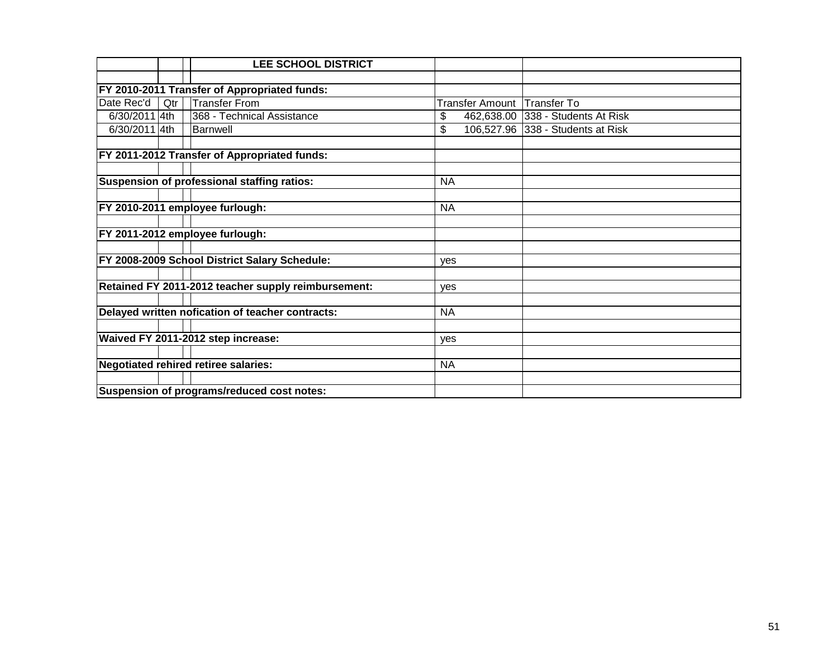|                                            |     | <b>LEE SCHOOL DISTRICT</b>                          |                 |                                   |  |
|--------------------------------------------|-----|-----------------------------------------------------|-----------------|-----------------------------------|--|
|                                            |     |                                                     |                 |                                   |  |
|                                            |     | FY 2010-2011 Transfer of Appropriated funds:        |                 |                                   |  |
| Date Rec'd                                 | Qtr | <b>Transfer From</b>                                | Transfer Amount | <b>Transfer To</b>                |  |
| 6/30/2011 4th                              |     | 368 - Technical Assistance                          | \$              | 462,638.00 338 - Students At Risk |  |
| 6/30/2011 4th                              |     | Barnwell                                            | \$              | 106,527.96 338 - Students at Risk |  |
|                                            |     |                                                     |                 |                                   |  |
|                                            |     | FY 2011-2012 Transfer of Appropriated funds:        |                 |                                   |  |
|                                            |     |                                                     |                 |                                   |  |
|                                            |     | Suspension of professional staffing ratios:         | <b>NA</b>       |                                   |  |
|                                            |     |                                                     |                 |                                   |  |
|                                            |     | FY 2010-2011 employee furlough:                     | <b>NA</b>       |                                   |  |
|                                            |     |                                                     |                 |                                   |  |
|                                            |     | FY 2011-2012 employee furlough:                     |                 |                                   |  |
|                                            |     |                                                     |                 |                                   |  |
|                                            |     | FY 2008-2009 School District Salary Schedule:       | yes             |                                   |  |
|                                            |     |                                                     |                 |                                   |  |
|                                            |     | Retained FY 2011-2012 teacher supply reimbursement: | <b>ves</b>      |                                   |  |
|                                            |     |                                                     |                 |                                   |  |
|                                            |     | Delayed written nofication of teacher contracts:    | <b>NA</b>       |                                   |  |
|                                            |     |                                                     |                 |                                   |  |
|                                            |     | Waived FY 2011-2012 step increase:                  | yes             |                                   |  |
|                                            |     |                                                     |                 |                                   |  |
|                                            |     | Negotiated rehired retiree salaries:                | <b>NA</b>       |                                   |  |
|                                            |     |                                                     |                 |                                   |  |
| Suspension of programs/reduced cost notes: |     |                                                     |                 |                                   |  |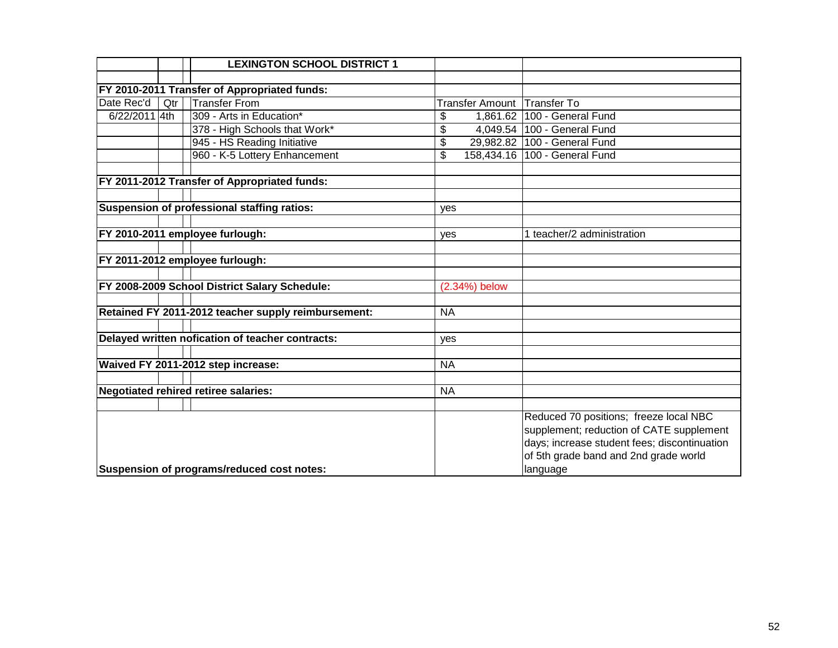|                                              |     | <b>LEXINGTON SCHOOL DISTRICT 1</b>                  |           |                        |                                                                                                                                                                                         |
|----------------------------------------------|-----|-----------------------------------------------------|-----------|------------------------|-----------------------------------------------------------------------------------------------------------------------------------------------------------------------------------------|
|                                              |     |                                                     |           |                        |                                                                                                                                                                                         |
| FY 2010-2011 Transfer of Appropriated funds: |     |                                                     |           |                        |                                                                                                                                                                                         |
| Date Rec'd                                   | Qtr | <b>Transfer From</b>                                |           | <b>Transfer Amount</b> | Transfer To                                                                                                                                                                             |
| 6/22/2011 4th                                |     | 309 - Arts in Education*                            | \$        |                        | 1,861.62 100 - General Fund                                                                                                                                                             |
|                                              |     | 378 - High Schools that Work*                       | \$        |                        | 4,049.54 100 - General Fund                                                                                                                                                             |
|                                              |     | 945 - HS Reading Initiative                         | \$        |                        | 29,982.82   100 - General Fund                                                                                                                                                          |
|                                              |     | 960 - K-5 Lottery Enhancement                       | \$        |                        | 158,434.16   100 - General Fund                                                                                                                                                         |
|                                              |     |                                                     |           |                        |                                                                                                                                                                                         |
|                                              |     | FY 2011-2012 Transfer of Appropriated funds:        |           |                        |                                                                                                                                                                                         |
|                                              |     |                                                     |           |                        |                                                                                                                                                                                         |
|                                              |     | Suspension of professional staffing ratios:         | yes       |                        |                                                                                                                                                                                         |
|                                              |     |                                                     |           |                        |                                                                                                                                                                                         |
|                                              |     | FY 2010-2011 employee furlough:                     | yes       |                        | 1 teacher/2 administration                                                                                                                                                              |
|                                              |     |                                                     |           |                        |                                                                                                                                                                                         |
|                                              |     | FY 2011-2012 employee furlough:                     |           |                        |                                                                                                                                                                                         |
|                                              |     |                                                     |           |                        |                                                                                                                                                                                         |
|                                              |     | FY 2008-2009 School District Salary Schedule:       |           | (2.34%) below          |                                                                                                                                                                                         |
|                                              |     |                                                     |           |                        |                                                                                                                                                                                         |
|                                              |     | Retained FY 2011-2012 teacher supply reimbursement: | <b>NA</b> |                        |                                                                                                                                                                                         |
|                                              |     |                                                     |           |                        |                                                                                                                                                                                         |
|                                              |     | Delayed written nofication of teacher contracts:    | yes       |                        |                                                                                                                                                                                         |
|                                              |     | Waived FY 2011-2012 step increase:                  | <b>NA</b> |                        |                                                                                                                                                                                         |
|                                              |     |                                                     |           |                        |                                                                                                                                                                                         |
|                                              |     | <b>Negotiated rehired retiree salaries:</b>         | <b>NA</b> |                        |                                                                                                                                                                                         |
|                                              |     |                                                     |           |                        |                                                                                                                                                                                         |
|                                              |     | Suspension of programs/reduced cost notes:          |           |                        | Reduced 70 positions; freeze local NBC<br>supplement; reduction of CATE supplement<br>days; increase student fees; discontinuation<br>of 5th grade band and 2nd grade world<br>language |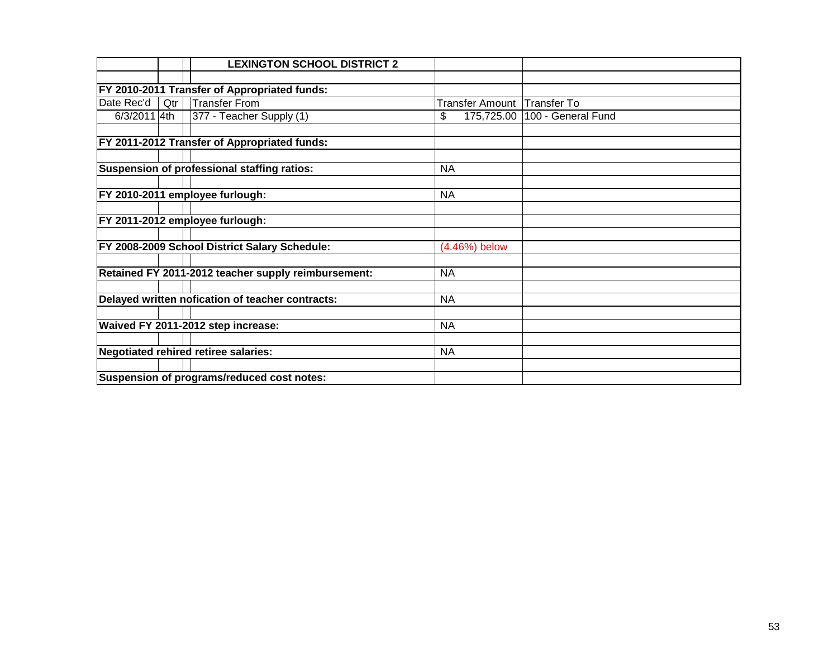|              |                                             | <b>LEXINGTON SCHOOL DISTRICT 2</b>                  |                  |                    |
|--------------|---------------------------------------------|-----------------------------------------------------|------------------|--------------------|
|              |                                             |                                                     |                  |                    |
|              |                                             | FY 2010-2011 Transfer of Appropriated funds:        |                  |                    |
| Date Rec'd   | Qtr                                         | <b>Transfer From</b>                                | Transfer Amount  | Transfer To        |
| 6/3/2011 4th |                                             | 377 - Teacher Supply (1)                            | \$<br>175,725.00 | 100 - General Fund |
|              |                                             |                                                     |                  |                    |
|              |                                             | FY 2011-2012 Transfer of Appropriated funds:        |                  |                    |
|              |                                             |                                                     |                  |                    |
|              |                                             | Suspension of professional staffing ratios:         | <b>NA</b>        |                    |
|              |                                             |                                                     |                  |                    |
|              |                                             | FY 2010-2011 employee furlough:                     | <b>NA</b>        |                    |
|              |                                             |                                                     |                  |                    |
|              |                                             | FY 2011-2012 employee furlough:                     |                  |                    |
|              |                                             |                                                     |                  |                    |
|              |                                             | FY 2008-2009 School District Salary Schedule:       | (4.46%) below    |                    |
|              |                                             |                                                     |                  |                    |
|              |                                             | Retained FY 2011-2012 teacher supply reimbursement: | <b>NA</b>        |                    |
|              |                                             |                                                     |                  |                    |
|              |                                             | Delayed written nofication of teacher contracts:    | <b>NA</b>        |                    |
|              |                                             |                                                     |                  |                    |
|              |                                             | Waived FY 2011-2012 step increase:                  | <b>NA</b>        |                    |
|              |                                             |                                                     |                  |                    |
|              | <b>Negotiated rehired retiree salaries:</b> |                                                     | <b>NA</b>        |                    |
|              |                                             |                                                     |                  |                    |
|              |                                             | Suspension of programs/reduced cost notes:          |                  |                    |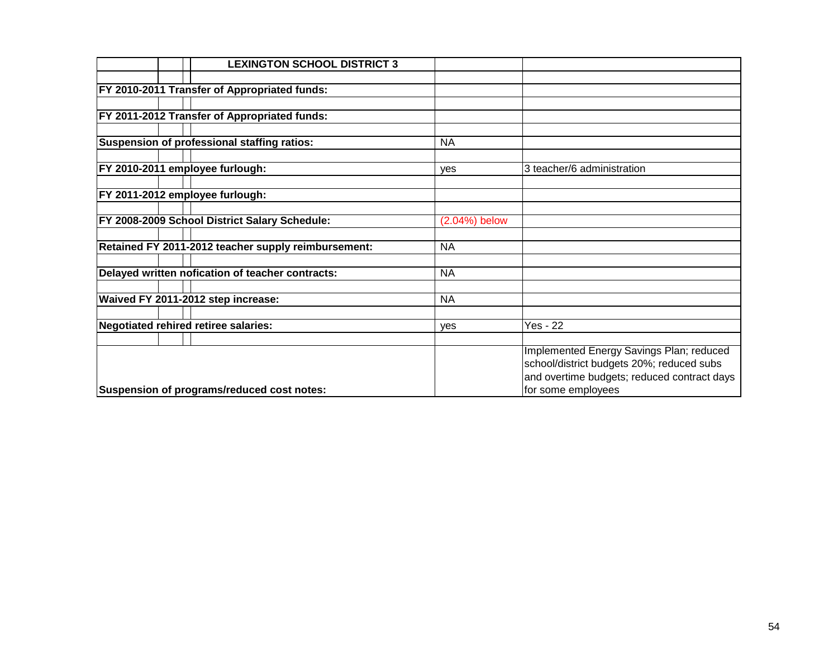|  | <b>LEXINGTON SCHOOL DISTRICT 3</b>                   |               |                                             |
|--|------------------------------------------------------|---------------|---------------------------------------------|
|  |                                                      |               |                                             |
|  | <b>FY 2010-2011 Transfer of Appropriated funds:</b>  |               |                                             |
|  |                                                      |               |                                             |
|  | FY 2011-2012 Transfer of Appropriated funds:         |               |                                             |
|  |                                                      |               |                                             |
|  | Suspension of professional staffing ratios:          | <b>NA</b>     |                                             |
|  |                                                      |               |                                             |
|  | FY 2010-2011 employee furlough:                      | yes           | 3 teacher/6 administration                  |
|  |                                                      |               |                                             |
|  | FY 2011-2012 employee furlough:                      |               |                                             |
|  |                                                      |               |                                             |
|  | <b>FY 2008-2009 School District Salary Schedule:</b> | (2.04%) below |                                             |
|  | Retained FY 2011-2012 teacher supply reimbursement:  | <b>NA</b>     |                                             |
|  |                                                      |               |                                             |
|  | Delayed written nofication of teacher contracts:     | <b>NA</b>     |                                             |
|  |                                                      |               |                                             |
|  | Waived FY 2011-2012 step increase:                   | <b>NA</b>     |                                             |
|  |                                                      |               |                                             |
|  | Negotiated rehired retiree salaries:                 | yes           | <b>Yes - 22</b>                             |
|  |                                                      |               |                                             |
|  |                                                      |               | Implemented Energy Savings Plan; reduced    |
|  |                                                      |               | school/district budgets 20%; reduced subs   |
|  |                                                      |               | and overtime budgets; reduced contract days |
|  | Suspension of programs/reduced cost notes:           |               | for some employees                          |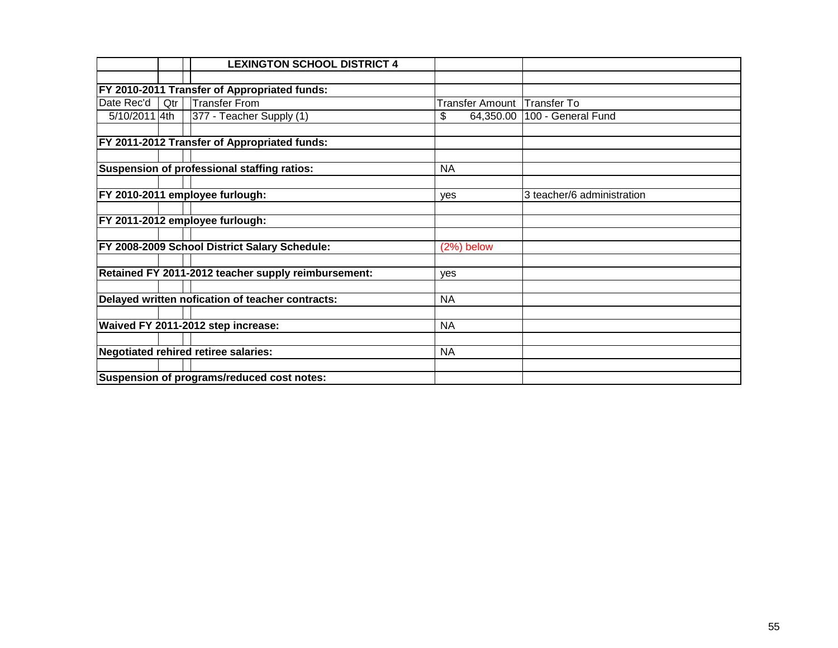|               |     | <b>LEXINGTON SCHOOL DISTRICT 4</b>                  |                 |                            |
|---------------|-----|-----------------------------------------------------|-----------------|----------------------------|
|               |     |                                                     |                 |                            |
|               |     | FY 2010-2011 Transfer of Appropriated funds:        |                 |                            |
| Date Rec'd    | Qtr | <b>Transfer From</b>                                | Transfer Amount | Transfer To                |
| 5/10/2011 4th |     | 377 - Teacher Supply (1)                            | \$<br>64,350.00 | 100 - General Fund         |
|               |     |                                                     |                 |                            |
|               |     | FY 2011-2012 Transfer of Appropriated funds:        |                 |                            |
|               |     |                                                     |                 |                            |
|               |     | Suspension of professional staffing ratios:         | <b>NA</b>       |                            |
|               |     |                                                     |                 |                            |
|               |     | FY 2010-2011 employee furlough:                     | ves             | 3 teacher/6 administration |
|               |     |                                                     |                 |                            |
|               |     | FY 2011-2012 employee furlough:                     |                 |                            |
|               |     |                                                     |                 |                            |
|               |     | FY 2008-2009 School District Salary Schedule:       | (2%) below      |                            |
|               |     |                                                     |                 |                            |
|               |     | Retained FY 2011-2012 teacher supply reimbursement: | ves             |                            |
|               |     |                                                     |                 |                            |
|               |     | Delayed written nofication of teacher contracts:    | <b>NA</b>       |                            |
|               |     |                                                     |                 |                            |
|               |     | Waived FY 2011-2012 step increase:                  | <b>NA</b>       |                            |
|               |     |                                                     |                 |                            |
|               |     | <b>Negotiated rehired retiree salaries:</b>         | <b>NA</b>       |                            |
|               |     |                                                     |                 |                            |
|               |     | Suspension of programs/reduced cost notes:          |                 |                            |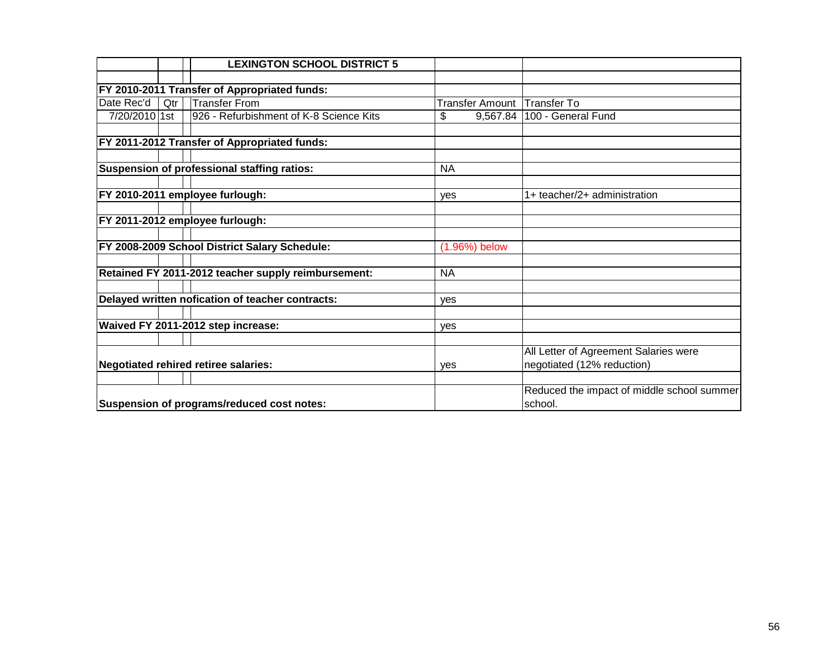|               |     | <b>LEXINGTON SCHOOL DISTRICT 5</b>                  |                        |                                            |
|---------------|-----|-----------------------------------------------------|------------------------|--------------------------------------------|
|               |     |                                                     |                        |                                            |
|               |     | FY 2010-2011 Transfer of Appropriated funds:        |                        |                                            |
| Date Rec'd    | Qtr | <b>Transfer From</b>                                | <b>Transfer Amount</b> | <b>Transfer To</b>                         |
| 7/20/2010 1st |     | 926 - Refurbishment of K-8 Science Kits             | \$<br>9,567.84         | 100 - General Fund                         |
|               |     |                                                     |                        |                                            |
|               |     | FY 2011-2012 Transfer of Appropriated funds:        |                        |                                            |
|               |     |                                                     |                        |                                            |
|               |     | Suspension of professional staffing ratios:         | <b>NA</b>              |                                            |
|               |     |                                                     |                        |                                            |
|               |     | FY 2010-2011 employee furlough:                     | ves                    | 1+ teacher/2+ administration               |
|               |     |                                                     |                        |                                            |
|               |     | FY 2011-2012 employee furlough:                     |                        |                                            |
|               |     |                                                     |                        |                                            |
|               |     | FY 2008-2009 School District Salary Schedule:       | $(1.96\%)$ below       |                                            |
|               |     |                                                     |                        |                                            |
|               |     | Retained FY 2011-2012 teacher supply reimbursement: | <b>NA</b>              |                                            |
|               |     |                                                     |                        |                                            |
|               |     | Delayed written nofication of teacher contracts:    | yes                    |                                            |
|               |     |                                                     |                        |                                            |
|               |     | Waived FY 2011-2012 step increase:                  | yes                    |                                            |
|               |     |                                                     |                        |                                            |
|               |     |                                                     |                        | All Letter of Agreement Salaries were      |
|               |     | Negotiated rehired retiree salaries:                | ves                    | negotiated (12% reduction)                 |
|               |     |                                                     |                        |                                            |
|               |     |                                                     |                        | Reduced the impact of middle school summer |
|               |     | Suspension of programs/reduced cost notes:          |                        | school.                                    |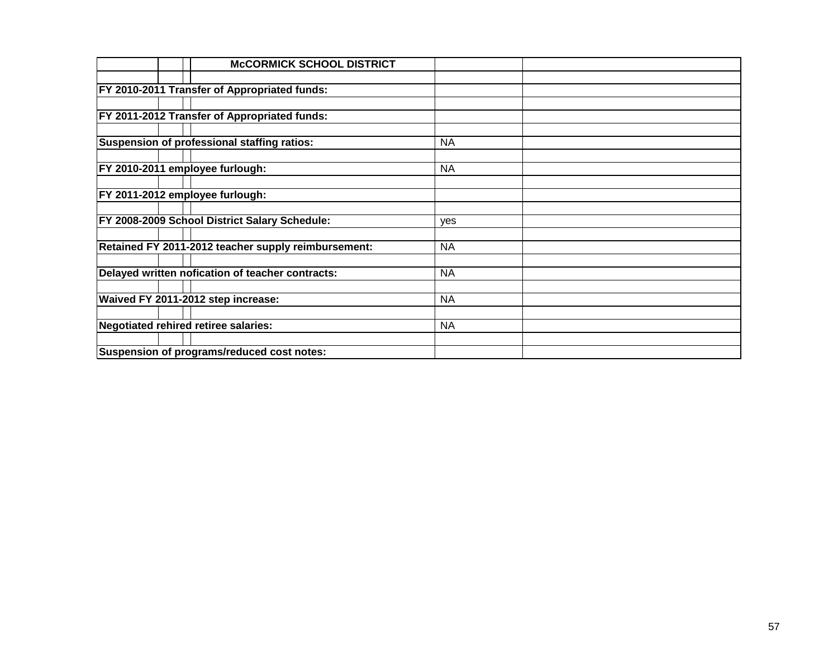| <b>McCORMICK SCHOOL DISTRICT</b>                     |           |  |
|------------------------------------------------------|-----------|--|
|                                                      |           |  |
| <b>FY 2010-2011 Transfer of Appropriated funds:</b>  |           |  |
|                                                      |           |  |
| FY 2011-2012 Transfer of Appropriated funds:         |           |  |
|                                                      |           |  |
| Suspension of professional staffing ratios:          | <b>NA</b> |  |
|                                                      |           |  |
| FY 2010-2011 employee furlough:                      | <b>NA</b> |  |
|                                                      |           |  |
| FY 2011-2012 employee furlough:                      |           |  |
|                                                      |           |  |
| <b>FY 2008-2009 School District Salary Schedule:</b> | yes       |  |
|                                                      |           |  |
| Retained FY 2011-2012 teacher supply reimbursement:  | <b>NA</b> |  |
|                                                      |           |  |
| Delayed written nofication of teacher contracts:     | <b>NA</b> |  |
|                                                      |           |  |
| Waived FY 2011-2012 step increase:                   | <b>NA</b> |  |
|                                                      |           |  |
| Negotiated rehired retiree salaries:                 | <b>NA</b> |  |
|                                                      |           |  |
| Suspension of programs/reduced cost notes:           |           |  |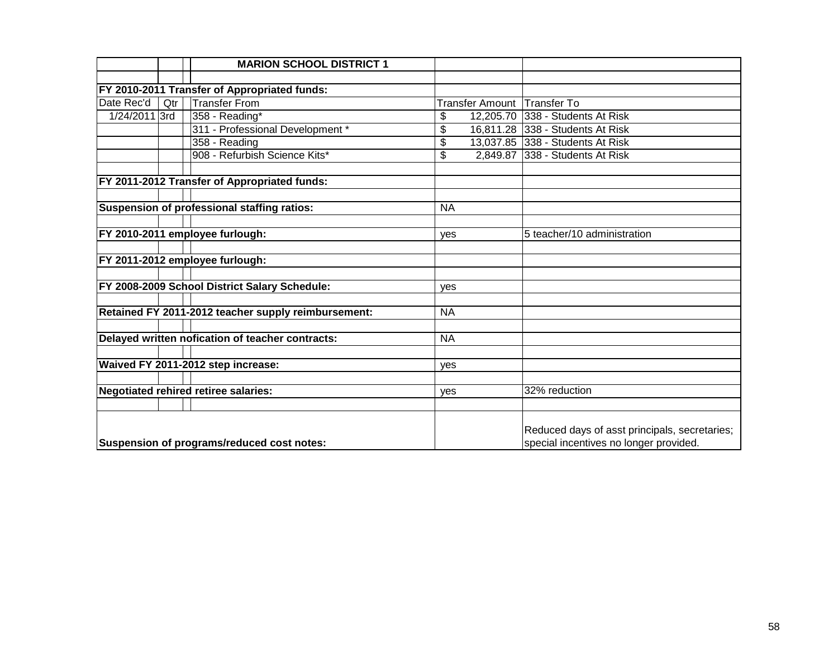|               |     | <b>MARION SCHOOL DISTRICT 1</b>                     |           |           |                                                                                         |
|---------------|-----|-----------------------------------------------------|-----------|-----------|-----------------------------------------------------------------------------------------|
|               |     |                                                     |           |           |                                                                                         |
|               |     | FY 2010-2011 Transfer of Appropriated funds:        |           |           |                                                                                         |
| Date Rec'd    | Qtr | <b>Transfer From</b>                                |           |           | Transfer Amount Transfer To                                                             |
| 1/24/2011 3rd |     | 358 - Reading*                                      | \$        | 12,205.70 | 338 - Students At Risk                                                                  |
|               |     | 311 - Professional Development *                    | \$        |           | 16,811.28 338 - Students At Risk                                                        |
|               |     | 358 - Reading                                       | \$        |           | 13,037.85 338 - Students At Risk                                                        |
|               |     | 908 - Refurbish Science Kits*                       | \$        |           | 2,849.87 338 - Students At Risk                                                         |
|               |     |                                                     |           |           |                                                                                         |
|               |     | FY 2011-2012 Transfer of Appropriated funds:        |           |           |                                                                                         |
|               |     |                                                     |           |           |                                                                                         |
|               |     | Suspension of professional staffing ratios:         | <b>NA</b> |           |                                                                                         |
|               |     |                                                     |           |           |                                                                                         |
|               |     | FY 2010-2011 employee furlough:                     | yes       |           | 5 teacher/10 administration                                                             |
|               |     | FY 2011-2012 employee furlough:                     |           |           |                                                                                         |
|               |     |                                                     |           |           |                                                                                         |
|               |     | FY 2008-2009 School District Salary Schedule:       | yes       |           |                                                                                         |
|               |     |                                                     |           |           |                                                                                         |
|               |     | Retained FY 2011-2012 teacher supply reimbursement: | <b>NA</b> |           |                                                                                         |
|               |     |                                                     |           |           |                                                                                         |
|               |     | Delayed written nofication of teacher contracts:    | <b>NA</b> |           |                                                                                         |
|               |     |                                                     |           |           |                                                                                         |
|               |     | Waived FY 2011-2012 step increase:                  | ves       |           |                                                                                         |
|               |     | <b>Negotiated rehired retiree salaries:</b>         | yes       |           | 32% reduction                                                                           |
|               |     |                                                     |           |           |                                                                                         |
|               |     |                                                     |           |           |                                                                                         |
|               |     | Suspension of programs/reduced cost notes:          |           |           | Reduced days of asst principals, secretaries;<br>special incentives no longer provided. |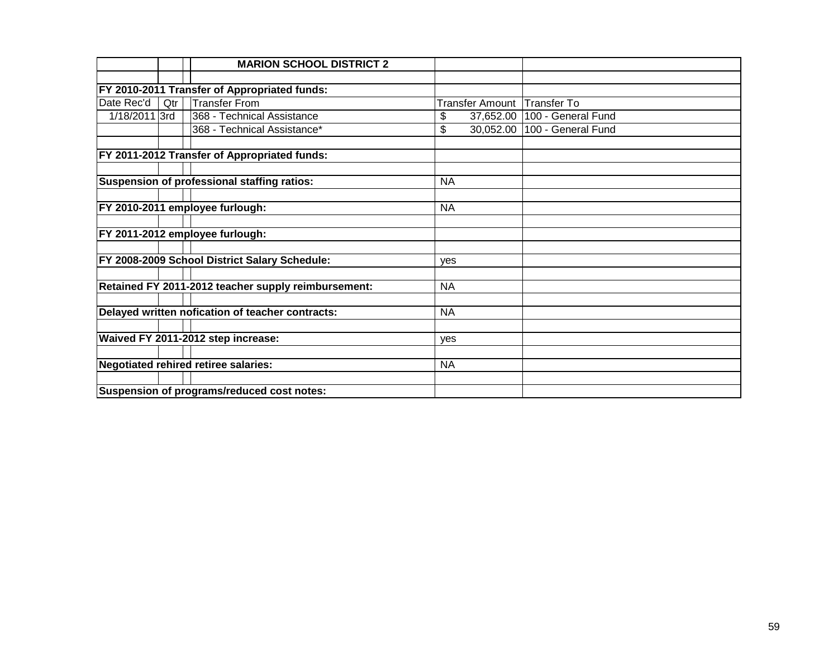|               |     | <b>MARION SCHOOL DISTRICT 2</b>                     |                              |                    |
|---------------|-----|-----------------------------------------------------|------------------------------|--------------------|
|               |     |                                                     |                              |                    |
|               |     | FY 2010-2011 Transfer of Appropriated funds:        |                              |                    |
| Date Rec'd    | Qtr | <b>Transfer From</b>                                | Transfer Amount              | <b>Transfer To</b> |
| 1/18/2011 3rd |     | 368 - Technical Assistance                          | 37,652.00<br>\$              | 100 - General Fund |
|               |     | 368 - Technical Assistance*                         | $\overline{30,052.00}$<br>\$ | 100 - General Fund |
|               |     |                                                     |                              |                    |
|               |     | FY 2011-2012 Transfer of Appropriated funds:        |                              |                    |
|               |     |                                                     |                              |                    |
|               |     | Suspension of professional staffing ratios:         | <b>NA</b>                    |                    |
|               |     |                                                     |                              |                    |
|               |     | FY 2010-2011 employee furlough:                     | <b>NA</b>                    |                    |
|               |     |                                                     |                              |                    |
|               |     | FY 2011-2012 employee furlough:                     |                              |                    |
|               |     |                                                     |                              |                    |
|               |     | FY 2008-2009 School District Salary Schedule:       | yes                          |                    |
|               |     |                                                     |                              |                    |
|               |     | Retained FY 2011-2012 teacher supply reimbursement: | <b>NA</b>                    |                    |
|               |     |                                                     |                              |                    |
|               |     | Delayed written nofication of teacher contracts:    | <b>NA</b>                    |                    |
|               |     |                                                     |                              |                    |
|               |     | Waived FY 2011-2012 step increase:                  | yes                          |                    |
|               |     |                                                     |                              |                    |
|               |     | Negotiated rehired retiree salaries:                | <b>NA</b>                    |                    |
|               |     |                                                     |                              |                    |
|               |     | Suspension of programs/reduced cost notes:          |                              |                    |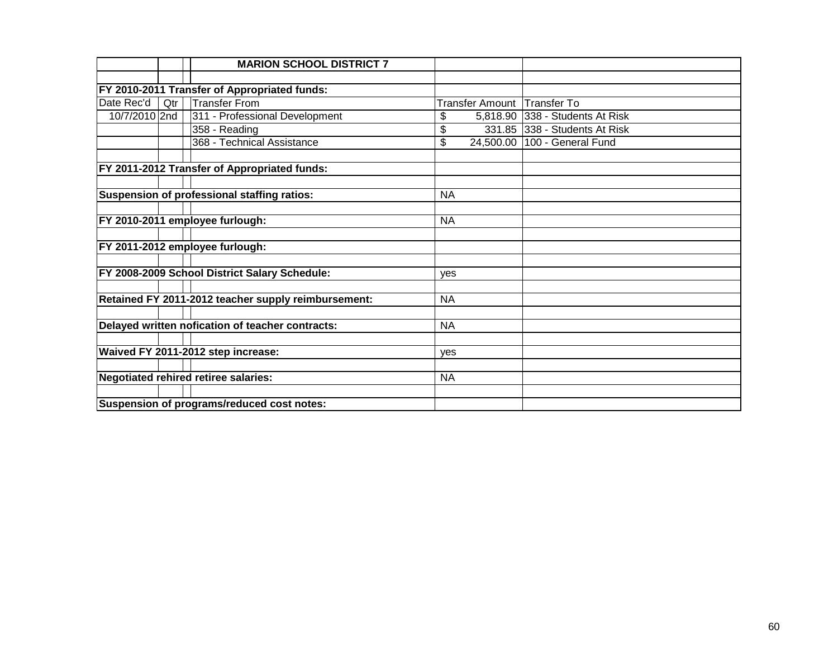|               |     | <b>MARION SCHOOL DISTRICT 7</b>                     |            |                        |                                 |
|---------------|-----|-----------------------------------------------------|------------|------------------------|---------------------------------|
|               |     |                                                     |            |                        |                                 |
|               |     | FY 2010-2011 Transfer of Appropriated funds:        |            |                        |                                 |
| Date Rec'd    | Qtr | <b>Transfer From</b>                                |            | <b>Transfer Amount</b> | Transfer To                     |
| 10/7/2010 2nd |     | 311 - Professional Development                      | \$         |                        | 5,818.90 338 - Students At Risk |
|               |     | 358 - Reading                                       | \$         |                        | 331.85 338 - Students At Risk   |
|               |     | 368 - Technical Assistance                          | \$         |                        | 24,500.00   100 - General Fund  |
|               |     |                                                     |            |                        |                                 |
|               |     | FY 2011-2012 Transfer of Appropriated funds:        |            |                        |                                 |
|               |     |                                                     |            |                        |                                 |
|               |     | Suspension of professional staffing ratios:         | <b>NA</b>  |                        |                                 |
|               |     |                                                     |            |                        |                                 |
|               |     | FY 2010-2011 employee furlough:                     | <b>NA</b>  |                        |                                 |
|               |     |                                                     |            |                        |                                 |
|               |     | FY 2011-2012 employee furlough:                     |            |                        |                                 |
|               |     |                                                     |            |                        |                                 |
|               |     | FY 2008-2009 School District Salary Schedule:       | yes        |                        |                                 |
|               |     |                                                     |            |                        |                                 |
|               |     | Retained FY 2011-2012 teacher supply reimbursement: | <b>NA</b>  |                        |                                 |
|               |     |                                                     |            |                        |                                 |
|               |     | Delayed written nofication of teacher contracts:    | <b>NA</b>  |                        |                                 |
|               |     |                                                     |            |                        |                                 |
|               |     | Waived FY 2011-2012 step increase:                  | <b>ves</b> |                        |                                 |
|               |     |                                                     |            |                        |                                 |
|               |     | <b>Negotiated rehired retiree salaries:</b>         | <b>NA</b>  |                        |                                 |
|               |     |                                                     |            |                        |                                 |
|               |     | Suspension of programs/reduced cost notes:          |            |                        |                                 |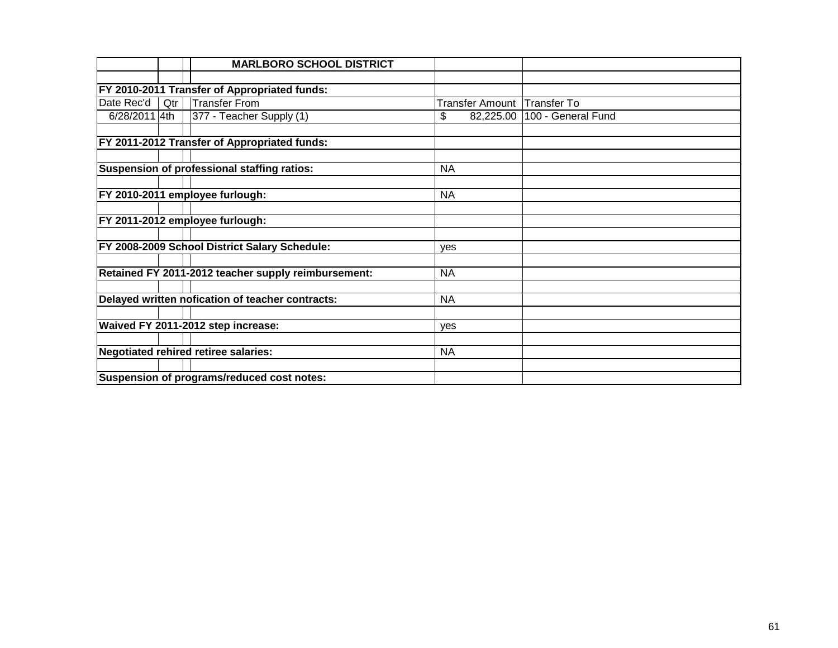|               |     | <b>MARLBORO SCHOOL DISTRICT</b>                     |                 |                    |
|---------------|-----|-----------------------------------------------------|-----------------|--------------------|
|               |     |                                                     |                 |                    |
|               |     | FY 2010-2011 Transfer of Appropriated funds:        |                 |                    |
| Date Rec'd    | Qtr | <b>Transfer From</b>                                | Transfer Amount | Transfer To        |
| 6/28/2011 4th |     | 377 - Teacher Supply (1)                            | \$<br>82,225.00 | 100 - General Fund |
|               |     | FY 2011-2012 Transfer of Appropriated funds:        |                 |                    |
|               |     |                                                     |                 |                    |
|               |     | Suspension of professional staffing ratios:         | <b>NA</b>       |                    |
|               |     |                                                     |                 |                    |
|               |     | FY 2010-2011 employee furlough:                     | <b>NA</b>       |                    |
|               |     | FY 2011-2012 employee furlough:                     |                 |                    |
|               |     | FY 2008-2009 School District Salary Schedule:       | yes             |                    |
|               |     | Retained FY 2011-2012 teacher supply reimbursement: | <b>NA</b>       |                    |
|               |     | Delayed written nofication of teacher contracts:    | <b>NA</b>       |                    |
|               |     | Waived FY 2011-2012 step increase:                  | <b>ves</b>      |                    |
|               |     |                                                     |                 |                    |
|               |     | <b>Negotiated rehired retiree salaries:</b>         | <b>NA</b>       |                    |
|               |     |                                                     |                 |                    |
|               |     | Suspension of programs/reduced cost notes:          |                 |                    |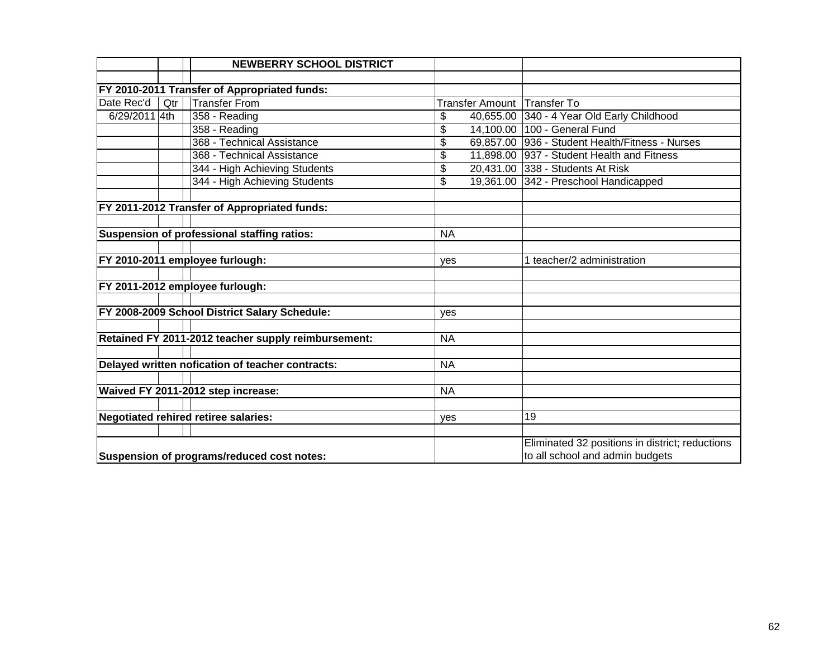|                                            |     | <b>NEWBERRY SCHOOL DISTRICT</b>                     |                                 |                                                 |
|--------------------------------------------|-----|-----------------------------------------------------|---------------------------------|-------------------------------------------------|
|                                            |     |                                                     |                                 |                                                 |
|                                            |     | FY 2010-2011 Transfer of Appropriated funds:        |                                 |                                                 |
| Date Rec'd                                 | Qtr | <b>Transfer From</b>                                |                                 | Transfer Amount Transfer To                     |
| 6/29/2011 4th                              |     | 358 - Reading                                       | \$                              | 40,655.00 340 - 4 Year Old Early Childhood      |
|                                            |     | 358 - Reading                                       | \$                              | 14,100.00 100 - General Fund                    |
|                                            |     | 368 - Technical Assistance                          | \$                              | 69,857.00 936 - Student Health/Fitness - Nurses |
|                                            |     | 368 - Technical Assistance                          | \$                              | 11,898.00 937 - Student Health and Fitness      |
|                                            |     | 344 - High Achieving Students                       | \$                              | 20,431.00 338 - Students At Risk                |
|                                            |     | 344 - High Achieving Students                       | \$                              | 19,361.00 342 - Preschool Handicapped           |
|                                            |     |                                                     |                                 |                                                 |
|                                            |     | FY 2011-2012 Transfer of Appropriated funds:        |                                 |                                                 |
|                                            |     |                                                     |                                 |                                                 |
|                                            |     | Suspension of professional staffing ratios:         | <b>NA</b>                       |                                                 |
|                                            |     |                                                     |                                 |                                                 |
|                                            |     | FY 2010-2011 employee furlough:                     | yes                             | 1 teacher/2 administration                      |
|                                            |     |                                                     |                                 |                                                 |
|                                            |     | FY 2011-2012 employee furlough:                     |                                 |                                                 |
|                                            |     |                                                     |                                 |                                                 |
|                                            |     | FY 2008-2009 School District Salary Schedule:       | yes                             |                                                 |
|                                            |     |                                                     |                                 |                                                 |
|                                            |     | Retained FY 2011-2012 teacher supply reimbursement: | <b>NA</b>                       |                                                 |
|                                            |     |                                                     |                                 |                                                 |
|                                            |     | Delayed written nofication of teacher contracts:    | <b>NA</b>                       |                                                 |
|                                            |     |                                                     |                                 |                                                 |
|                                            |     | Waived FY 2011-2012 step increase:                  | <b>NA</b>                       |                                                 |
|                                            |     |                                                     |                                 |                                                 |
|                                            |     | <b>Negotiated rehired retiree salaries:</b>         | yes                             | 19                                              |
|                                            |     |                                                     |                                 |                                                 |
|                                            |     |                                                     |                                 | Eliminated 32 positions in district; reductions |
| Suspension of programs/reduced cost notes: |     |                                                     | to all school and admin budgets |                                                 |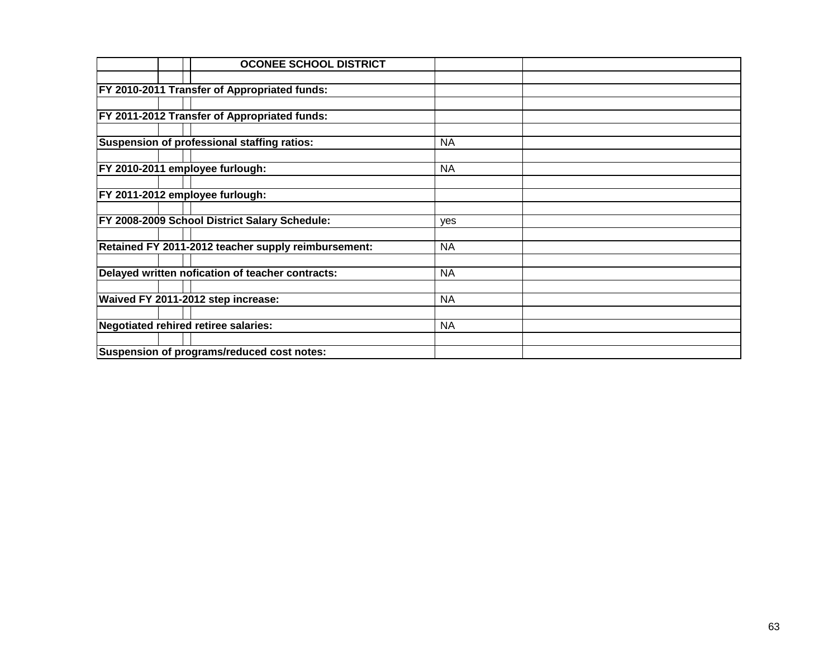| <b>OCONEE SCHOOL DISTRICT</b>                       |           |  |
|-----------------------------------------------------|-----------|--|
|                                                     |           |  |
| FY 2010-2011 Transfer of Appropriated funds:        |           |  |
|                                                     |           |  |
| FY 2011-2012 Transfer of Appropriated funds:        |           |  |
|                                                     |           |  |
| Suspension of professional staffing ratios:         | <b>NA</b> |  |
|                                                     |           |  |
| FY 2010-2011 employee furlough:                     | <b>NA</b> |  |
|                                                     |           |  |
| FY 2011-2012 employee furlough:                     |           |  |
|                                                     |           |  |
| FY 2008-2009 School District Salary Schedule:       | yes       |  |
|                                                     |           |  |
| Retained FY 2011-2012 teacher supply reimbursement: | <b>NA</b> |  |
|                                                     |           |  |
| Delayed written nofication of teacher contracts:    | <b>NA</b> |  |
|                                                     |           |  |
| Waived FY 2011-2012 step increase:                  | <b>NA</b> |  |
| Negotiated rehired retiree salaries:                | <b>NA</b> |  |
|                                                     |           |  |
| Suspension of programs/reduced cost notes:          |           |  |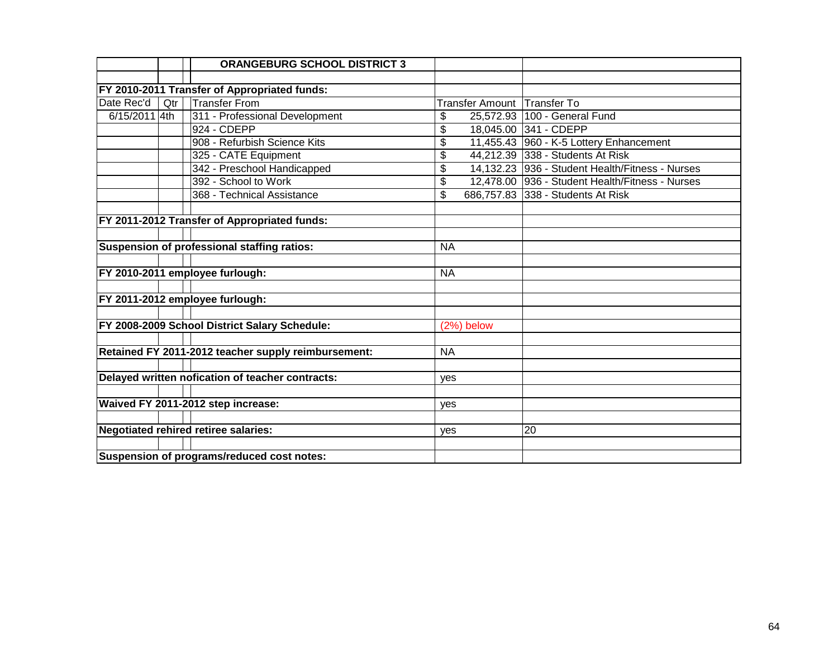|               |                                            | <b>ORANGEBURG SCHOOL DISTRICT 3</b>                 |           |                             |                                                 |  |
|---------------|--------------------------------------------|-----------------------------------------------------|-----------|-----------------------------|-------------------------------------------------|--|
|               |                                            |                                                     |           |                             |                                                 |  |
|               |                                            | FY 2010-2011 Transfer of Appropriated funds:        |           |                             |                                                 |  |
| Date Rec'd    | Qtr                                        | <b>Transfer From</b>                                |           | Transfer Amount Transfer To |                                                 |  |
| 6/15/2011 4th |                                            | 311 - Professional Development                      | \$        |                             | 25,572.93   100 - General Fund                  |  |
|               |                                            | 924 - CDEPP                                         | \$        |                             | 18,045.00 341 - CDEPP                           |  |
|               |                                            | 908 - Refurbish Science Kits                        | \$        |                             | 11,455.43 960 - K-5 Lottery Enhancement         |  |
|               |                                            | 325 - CATE Equipment                                | \$        |                             | 44,212.39 338 - Students At Risk                |  |
|               |                                            | 342 - Preschool Handicapped                         | \$        |                             | 14,132.23 936 - Student Health/Fitness - Nurses |  |
|               |                                            | 392 - School to Work                                | \$        |                             | 12,478.00 936 - Student Health/Fitness - Nurses |  |
|               |                                            | 368 - Technical Assistance                          | \$        |                             | 686,757.83 338 - Students At Risk               |  |
|               |                                            |                                                     |           |                             |                                                 |  |
|               |                                            | FY 2011-2012 Transfer of Appropriated funds:        |           |                             |                                                 |  |
|               |                                            |                                                     |           |                             |                                                 |  |
|               |                                            | Suspension of professional staffing ratios:         | <b>NA</b> |                             |                                                 |  |
|               |                                            |                                                     |           |                             |                                                 |  |
|               |                                            | FY 2010-2011 employee furlough:                     | <b>NA</b> |                             |                                                 |  |
|               |                                            |                                                     |           |                             |                                                 |  |
|               |                                            | FY 2011-2012 employee furlough:                     |           |                             |                                                 |  |
|               |                                            |                                                     |           |                             |                                                 |  |
|               |                                            | FY 2008-2009 School District Salary Schedule:       |           | (2%) below                  |                                                 |  |
|               |                                            |                                                     |           |                             |                                                 |  |
|               |                                            | Retained FY 2011-2012 teacher supply reimbursement: | <b>NA</b> |                             |                                                 |  |
|               |                                            |                                                     |           |                             |                                                 |  |
|               |                                            | Delayed written nofication of teacher contracts:    | yes       |                             |                                                 |  |
|               |                                            |                                                     |           |                             |                                                 |  |
|               |                                            | Waived FY 2011-2012 step increase:                  | yes       |                             |                                                 |  |
|               |                                            |                                                     |           |                             |                                                 |  |
|               |                                            | Negotiated rehired retiree salaries:                | yes       |                             | 20                                              |  |
|               |                                            |                                                     |           |                             |                                                 |  |
|               | Suspension of programs/reduced cost notes: |                                                     |           |                             |                                                 |  |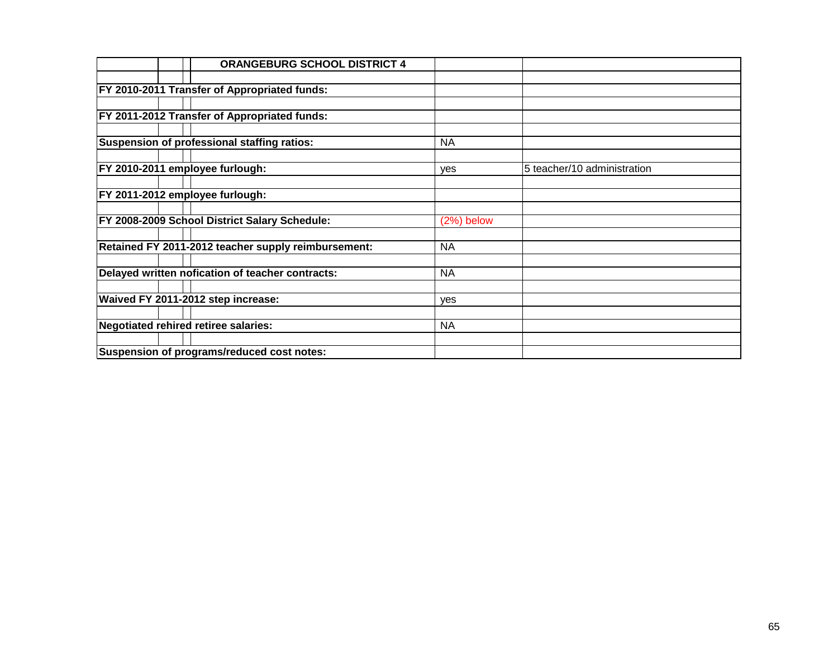|  | <b>ORANGEBURG SCHOOL DISTRICT 4</b>                  |              |                             |
|--|------------------------------------------------------|--------------|-----------------------------|
|  |                                                      |              |                             |
|  | FY 2010-2011 Transfer of Appropriated funds:         |              |                             |
|  |                                                      |              |                             |
|  | FY 2011-2012 Transfer of Appropriated funds:         |              |                             |
|  |                                                      |              |                             |
|  | Suspension of professional staffing ratios:          | <b>NA</b>    |                             |
|  |                                                      |              |                             |
|  | FY 2010-2011 employee furlough:                      | yes          | 5 teacher/10 administration |
|  |                                                      |              |                             |
|  | FY 2011-2012 employee furlough:                      |              |                             |
|  |                                                      |              |                             |
|  | <b>FY 2008-2009 School District Salary Schedule:</b> | $(2%)$ below |                             |
|  |                                                      |              |                             |
|  | Retained FY 2011-2012 teacher supply reimbursement:  | <b>NA</b>    |                             |
|  |                                                      |              |                             |
|  | Delayed written nofication of teacher contracts:     | <b>NA</b>    |                             |
|  |                                                      |              |                             |
|  | Waived FY 2011-2012 step increase:                   | yes          |                             |
|  | Negotiated rehired retiree salaries:                 | <b>NA</b>    |                             |
|  |                                                      |              |                             |
|  | Suspension of programs/reduced cost notes:           |              |                             |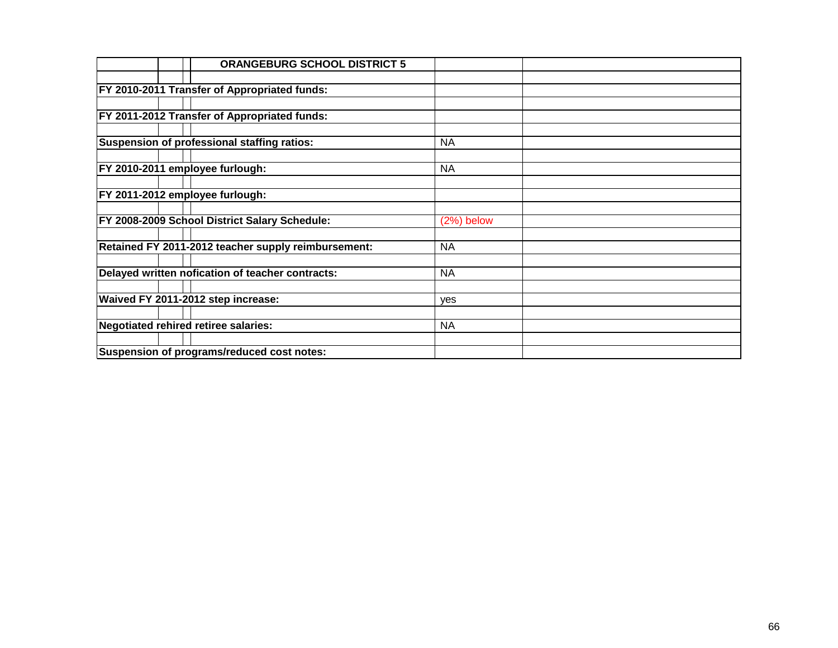|                                 | <b>ORANGEBURG SCHOOL DISTRICT 5</b>                  |              |  |
|---------------------------------|------------------------------------------------------|--------------|--|
|                                 |                                                      |              |  |
|                                 | FY 2010-2011 Transfer of Appropriated funds:         |              |  |
|                                 |                                                      |              |  |
|                                 | FY 2011-2012 Transfer of Appropriated funds:         |              |  |
|                                 |                                                      |              |  |
|                                 | Suspension of professional staffing ratios:          | <b>NA</b>    |  |
|                                 |                                                      |              |  |
| FY 2010-2011 employee furlough: |                                                      | <b>NA</b>    |  |
|                                 |                                                      |              |  |
| FY 2011-2012 employee furlough: |                                                      |              |  |
|                                 |                                                      |              |  |
|                                 | <b>FY 2008-2009 School District Salary Schedule:</b> | $(2%)$ below |  |
|                                 |                                                      |              |  |
|                                 | Retained FY 2011-2012 teacher supply reimbursement:  | <b>NA</b>    |  |
|                                 |                                                      |              |  |
|                                 | Delayed written nofication of teacher contracts:     | <b>NA</b>    |  |
|                                 |                                                      |              |  |
|                                 | Waived FY 2011-2012 step increase:                   | <b>ves</b>   |  |
|                                 |                                                      |              |  |
|                                 | Negotiated rehired retiree salaries:                 | <b>NA</b>    |  |
|                                 | Suspension of programs/reduced cost notes:           |              |  |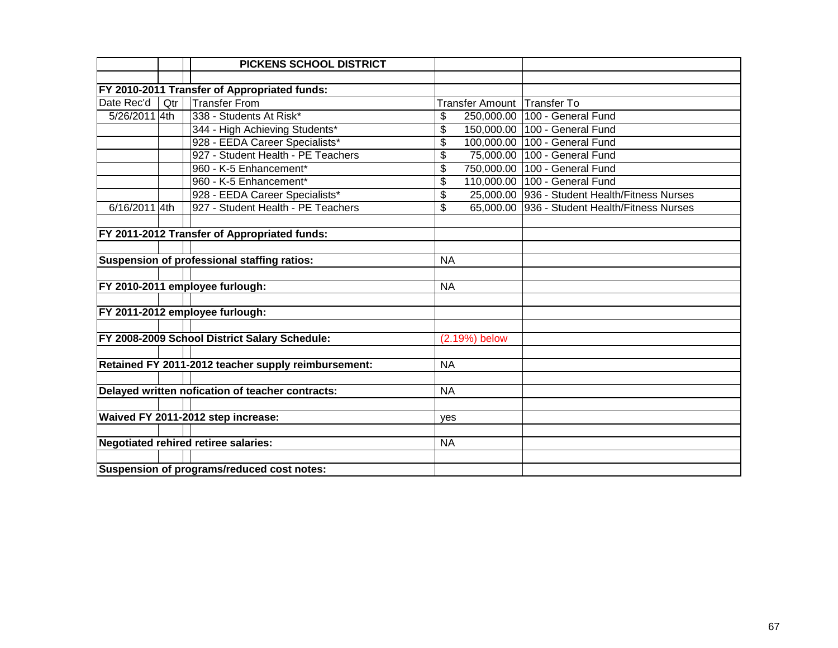|               |                                            | <b>PICKENS SCHOOL DISTRICT</b>                      |                          |                                               |  |  |  |  |
|---------------|--------------------------------------------|-----------------------------------------------------|--------------------------|-----------------------------------------------|--|--|--|--|
|               |                                            |                                                     |                          |                                               |  |  |  |  |
|               |                                            | FY 2010-2011 Transfer of Appropriated funds:        |                          |                                               |  |  |  |  |
| Date Rec'd    | Qtr                                        | <b>Transfer From</b>                                | Transfer Amount          | <b>Transfer To</b>                            |  |  |  |  |
| 5/26/2011 4th |                                            | 338 - Students At Risk*                             | 250,000.00<br>\$         | 100 - General Fund                            |  |  |  |  |
|               |                                            | 344 - High Achieving Students*                      | \$                       | 150,000.00 100 - General Fund                 |  |  |  |  |
|               |                                            | 928 - EEDA Career Specialists*                      | \$<br>100,000.00         | 100 - General Fund                            |  |  |  |  |
|               |                                            | 927 - Student Health - PE Teachers                  | \$                       | 75,000.00 100 - General Fund                  |  |  |  |  |
|               |                                            | 960 - K-5 Enhancement*                              | \$                       | 750,000.00 100 - General Fund                 |  |  |  |  |
|               |                                            | 960 - K-5 Enhancement*                              | \$                       | 110,000.00 100 - General Fund                 |  |  |  |  |
|               |                                            | 928 - EEDA Career Specialists*                      | \$                       | 25,000.00 936 - Student Health/Fitness Nurses |  |  |  |  |
| 6/16/2011 4th |                                            | 927 - Student Health - PE Teachers                  | $\overline{\mathcal{L}}$ | 65,000.00 936 - Student Health/Fitness Nurses |  |  |  |  |
|               |                                            |                                                     |                          |                                               |  |  |  |  |
|               |                                            | FY 2011-2012 Transfer of Appropriated funds:        |                          |                                               |  |  |  |  |
|               |                                            |                                                     |                          |                                               |  |  |  |  |
|               |                                            | Suspension of professional staffing ratios:         | <b>NA</b>                |                                               |  |  |  |  |
|               |                                            |                                                     |                          |                                               |  |  |  |  |
|               |                                            | FY 2010-2011 employee furlough:                     | <b>NA</b>                |                                               |  |  |  |  |
|               |                                            |                                                     |                          |                                               |  |  |  |  |
|               |                                            | FY 2011-2012 employee furlough:                     |                          |                                               |  |  |  |  |
|               |                                            |                                                     |                          |                                               |  |  |  |  |
|               |                                            | FY 2008-2009 School District Salary Schedule:       | (2.19%) below            |                                               |  |  |  |  |
|               |                                            |                                                     |                          |                                               |  |  |  |  |
|               |                                            | Retained FY 2011-2012 teacher supply reimbursement: | <b>NA</b>                |                                               |  |  |  |  |
|               |                                            |                                                     |                          |                                               |  |  |  |  |
|               |                                            | Delayed written nofication of teacher contracts:    | <b>NA</b>                |                                               |  |  |  |  |
|               |                                            |                                                     |                          |                                               |  |  |  |  |
|               |                                            | Waived FY 2011-2012 step increase:                  | yes                      |                                               |  |  |  |  |
|               |                                            |                                                     |                          |                                               |  |  |  |  |
|               |                                            | <b>Negotiated rehired retiree salaries:</b>         | <b>NA</b>                |                                               |  |  |  |  |
|               |                                            |                                                     |                          |                                               |  |  |  |  |
|               | Suspension of programs/reduced cost notes: |                                                     |                          |                                               |  |  |  |  |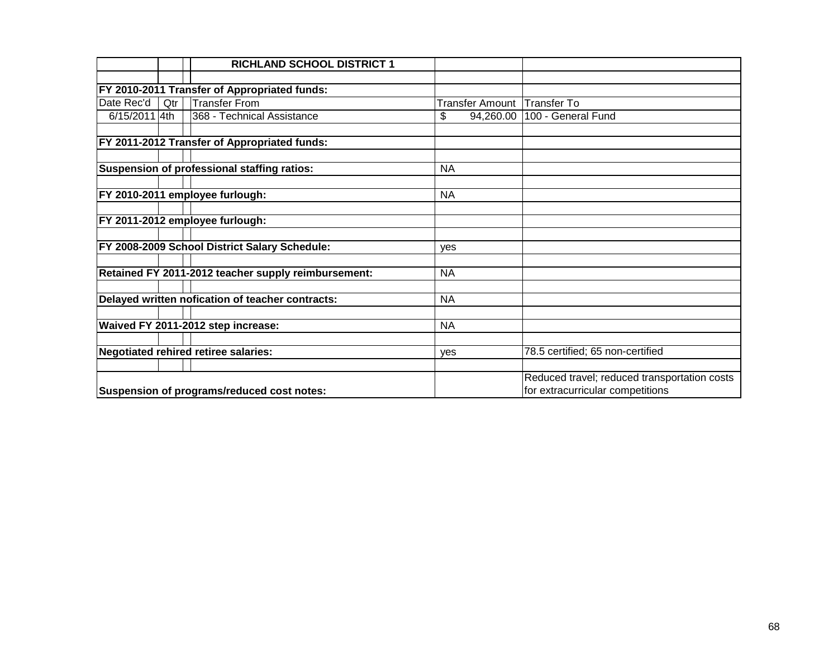|               |     | <b>RICHLAND SCHOOL DISTRICT 1</b>                   |                        |                                              |
|---------------|-----|-----------------------------------------------------|------------------------|----------------------------------------------|
|               |     |                                                     |                        |                                              |
|               |     | FY 2010-2011 Transfer of Appropriated funds:        |                        |                                              |
| Date Rec'd    | Qtr | <b>Transfer From</b>                                | <b>Transfer Amount</b> | Transfer To                                  |
| 6/15/2011 4th |     | 368 - Technical Assistance                          | \$<br>94,260.00        | 100 - General Fund                           |
|               |     |                                                     |                        |                                              |
|               |     | FY 2011-2012 Transfer of Appropriated funds:        |                        |                                              |
|               |     |                                                     |                        |                                              |
|               |     | Suspension of professional staffing ratios:         | <b>NA</b>              |                                              |
|               |     |                                                     |                        |                                              |
|               |     | FY 2010-2011 employee furlough:                     | <b>NA</b>              |                                              |
|               |     |                                                     |                        |                                              |
|               |     | FY 2011-2012 employee furlough:                     |                        |                                              |
|               |     |                                                     |                        |                                              |
|               |     | FY 2008-2009 School District Salary Schedule:       | yes                    |                                              |
|               |     |                                                     |                        |                                              |
|               |     | Retained FY 2011-2012 teacher supply reimbursement: | <b>NA</b>              |                                              |
|               |     |                                                     |                        |                                              |
|               |     | Delayed written nofication of teacher contracts:    | <b>NA</b>              |                                              |
|               |     |                                                     |                        |                                              |
|               |     | Waived FY 2011-2012 step increase:                  | <b>NA</b>              |                                              |
|               |     |                                                     |                        |                                              |
|               |     | <b>Negotiated rehired retiree salaries:</b>         | yes                    | 78.5 certified; 65 non-certified             |
|               |     |                                                     |                        |                                              |
|               |     |                                                     |                        | Reduced travel; reduced transportation costs |
|               |     | Suspension of programs/reduced cost notes:          |                        | for extracurricular competitions             |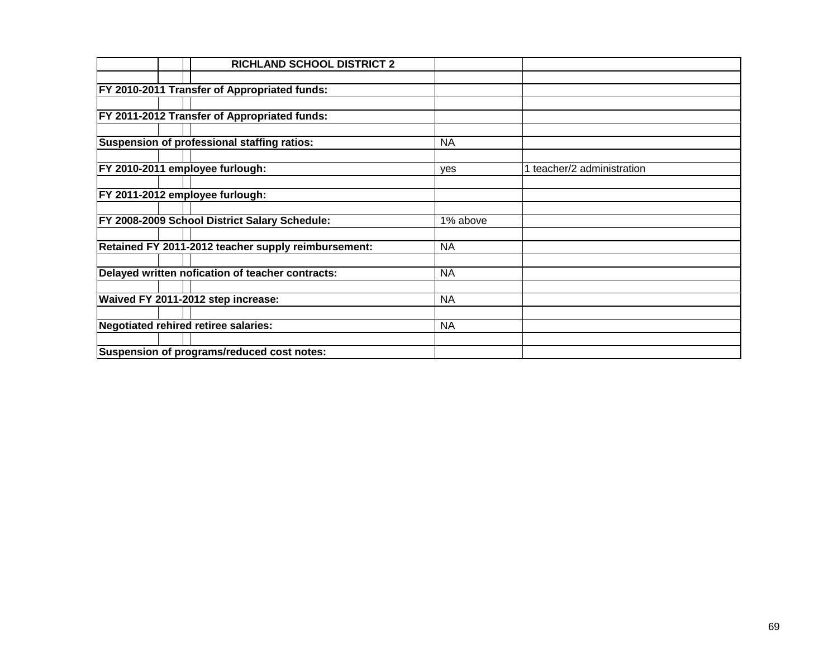|  | <b>RICHLAND SCHOOL DISTRICT 2</b>                    |           |                            |
|--|------------------------------------------------------|-----------|----------------------------|
|  |                                                      |           |                            |
|  | <b>FY 2010-2011 Transfer of Appropriated funds:</b>  |           |                            |
|  |                                                      |           |                            |
|  | FY 2011-2012 Transfer of Appropriated funds:         |           |                            |
|  |                                                      |           |                            |
|  | Suspension of professional staffing ratios:          | <b>NA</b> |                            |
|  |                                                      |           |                            |
|  | FY 2010-2011 employee furlough:                      | yes       | 1 teacher/2 administration |
|  |                                                      |           |                            |
|  | FY 2011-2012 employee furlough:                      |           |                            |
|  |                                                      |           |                            |
|  | <b>FY 2008-2009 School District Salary Schedule:</b> | 1% above  |                            |
|  |                                                      |           |                            |
|  | Retained FY 2011-2012 teacher supply reimbursement:  | <b>NA</b> |                            |
|  |                                                      |           |                            |
|  | Delayed written nofication of teacher contracts:     | <b>NA</b> |                            |
|  |                                                      |           |                            |
|  | Waived FY 2011-2012 step increase:                   | <b>NA</b> |                            |
|  |                                                      |           |                            |
|  | Negotiated rehired retiree salaries:                 | <b>NA</b> |                            |
|  |                                                      |           |                            |
|  | Suspension of programs/reduced cost notes:           |           |                            |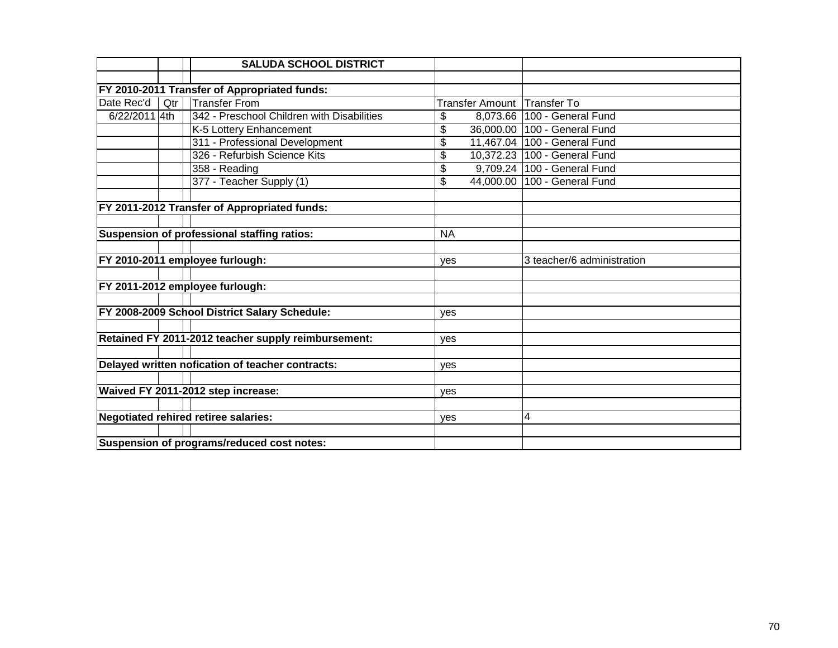|                                            |     | <b>SALUDA SCHOOL DISTRICT</b>                       |                        |                              |
|--------------------------------------------|-----|-----------------------------------------------------|------------------------|------------------------------|
|                                            |     |                                                     |                        |                              |
|                                            |     | FY 2010-2011 Transfer of Appropriated funds:        |                        |                              |
| Date Rec'd                                 | Qtr | <b>Transfer From</b>                                | <b>Transfer Amount</b> | <b>Transfer To</b>           |
| 6/22/2011 4th                              |     | 342 - Preschool Children with Disabilities          | \$<br>8,073.66         | 100 - General Fund           |
|                                            |     | K-5 Lottery Enhancement                             | \$<br>36,000.00        | 100 - General Fund           |
|                                            |     | 311 - Professional Development                      | \$<br>11,467.04        | 100 - General Fund           |
|                                            |     | 326 - Refurbish Science Kits                        | \$                     | 10,372.23 100 - General Fund |
|                                            |     | 358 - Reading                                       | \$                     | 9,709.24 100 - General Fund  |
|                                            |     | 377 - Teacher Supply (1)                            | \$                     | 44,000.00 100 - General Fund |
|                                            |     |                                                     |                        |                              |
|                                            |     | FY 2011-2012 Transfer of Appropriated funds:        |                        |                              |
|                                            |     |                                                     |                        |                              |
|                                            |     | Suspension of professional staffing ratios:         | <b>NA</b>              |                              |
|                                            |     |                                                     |                        |                              |
|                                            |     | FY 2010-2011 employee furlough:                     | yes                    | 3 teacher/6 administration   |
|                                            |     |                                                     |                        |                              |
|                                            |     | FY 2011-2012 employee furlough:                     |                        |                              |
|                                            |     |                                                     |                        |                              |
|                                            |     | FY 2008-2009 School District Salary Schedule:       | ves                    |                              |
|                                            |     |                                                     |                        |                              |
|                                            |     | Retained FY 2011-2012 teacher supply reimbursement: | ves                    |                              |
|                                            |     |                                                     |                        |                              |
|                                            |     | Delayed written nofication of teacher contracts:    | <b>ves</b>             |                              |
|                                            |     |                                                     |                        |                              |
|                                            |     | Waived FY 2011-2012 step increase:                  | yes                    |                              |
|                                            |     |                                                     |                        |                              |
|                                            |     | Negotiated rehired retiree salaries:                | yes                    | 4                            |
|                                            |     |                                                     |                        |                              |
| Suspension of programs/reduced cost notes: |     |                                                     |                        |                              |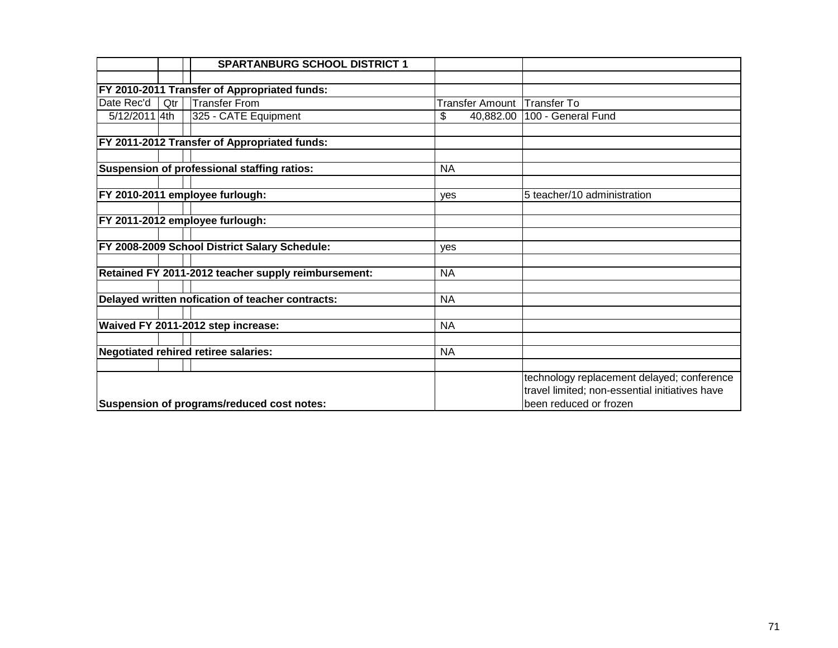|               |     | <b>SPARTANBURG SCHOOL DISTRICT 1</b>                |            |                        |                                                |
|---------------|-----|-----------------------------------------------------|------------|------------------------|------------------------------------------------|
|               |     |                                                     |            |                        |                                                |
|               |     | FY 2010-2011 Transfer of Appropriated funds:        |            |                        |                                                |
| Date Rec'd    | Qtr | <b>Transfer From</b>                                |            | <b>Transfer Amount</b> | <b>Transfer To</b>                             |
| 5/12/2011 4th |     | 325 - CATE Equipment                                | \$         | 40,882.00              | 100 - General Fund                             |
|               |     |                                                     |            |                        |                                                |
|               |     | FY 2011-2012 Transfer of Appropriated funds:        |            |                        |                                                |
|               |     |                                                     |            |                        |                                                |
|               |     | Suspension of professional staffing ratios:         | <b>NA</b>  |                        |                                                |
|               |     |                                                     |            |                        |                                                |
|               |     | FY 2010-2011 employee furlough:                     | <b>ves</b> |                        | 5 teacher/10 administration                    |
|               |     |                                                     |            |                        |                                                |
|               |     | FY 2011-2012 employee furlough:                     |            |                        |                                                |
|               |     |                                                     |            |                        |                                                |
|               |     | FY 2008-2009 School District Salary Schedule:       | ves        |                        |                                                |
|               |     |                                                     |            |                        |                                                |
|               |     | Retained FY 2011-2012 teacher supply reimbursement: | <b>NA</b>  |                        |                                                |
|               |     |                                                     |            |                        |                                                |
|               |     | Delayed written nofication of teacher contracts:    | <b>NA</b>  |                        |                                                |
|               |     |                                                     |            |                        |                                                |
|               |     | Waived FY 2011-2012 step increase:                  | <b>NA</b>  |                        |                                                |
|               |     |                                                     |            |                        |                                                |
|               |     | <b>Negotiated rehired retiree salaries:</b>         | <b>NA</b>  |                        |                                                |
|               |     |                                                     |            |                        |                                                |
|               |     |                                                     |            |                        | technology replacement delayed; conference     |
|               |     |                                                     |            |                        | travel limited; non-essential initiatives have |
|               |     | Suspension of programs/reduced cost notes:          |            |                        | been reduced or frozen                         |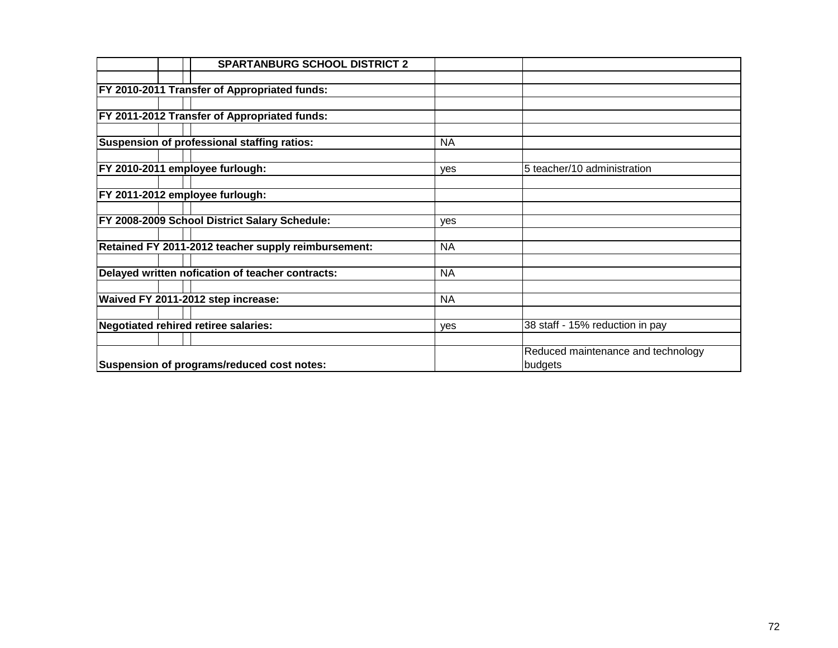|  | <b>SPARTANBURG SCHOOL DISTRICT 2</b>                |           |                                    |
|--|-----------------------------------------------------|-----------|------------------------------------|
|  |                                                     |           |                                    |
|  | <b>FY 2010-2011 Transfer of Appropriated funds:</b> |           |                                    |
|  |                                                     |           |                                    |
|  | <b>FY 2011-2012 Transfer of Appropriated funds:</b> |           |                                    |
|  |                                                     |           |                                    |
|  | Suspension of professional staffing ratios:         | <b>NA</b> |                                    |
|  |                                                     |           |                                    |
|  | FY 2010-2011 employee furlough:                     | yes       | 5 teacher/10 administration        |
|  |                                                     |           |                                    |
|  | FY 2011-2012 employee furlough:                     |           |                                    |
|  |                                                     |           |                                    |
|  | FY 2008-2009 School District Salary Schedule:       | yes       |                                    |
|  |                                                     |           |                                    |
|  | Retained FY 2011-2012 teacher supply reimbursement: | <b>NA</b> |                                    |
|  |                                                     |           |                                    |
|  | Delayed written nofication of teacher contracts:    | <b>NA</b> |                                    |
|  |                                                     |           |                                    |
|  | Waived FY 2011-2012 step increase:                  | <b>NA</b> |                                    |
|  |                                                     |           |                                    |
|  | Negotiated rehired retiree salaries:                | yes       | 38 staff - 15% reduction in pay    |
|  |                                                     |           |                                    |
|  |                                                     |           | Reduced maintenance and technology |
|  | Suspension of programs/reduced cost notes:          |           | budgets                            |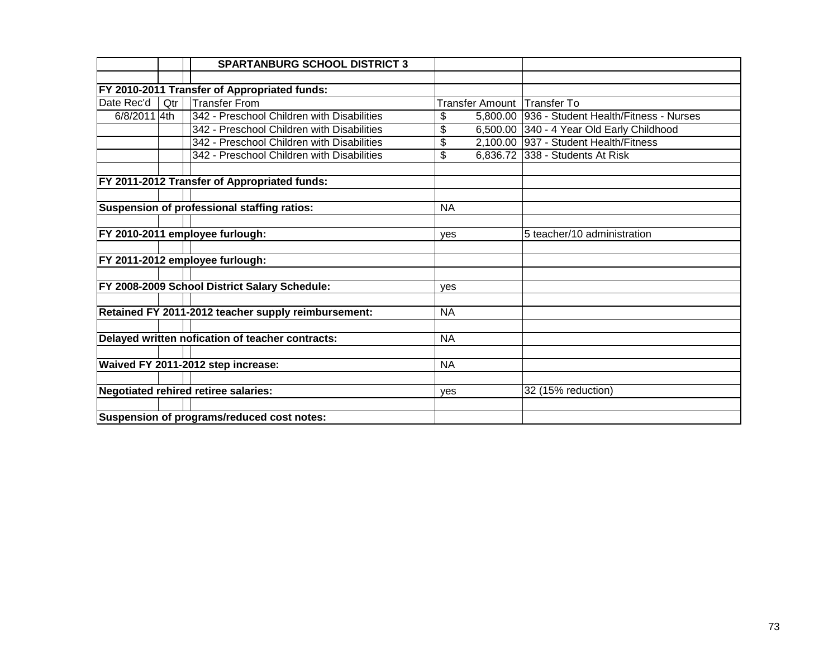|              |     | <b>SPARTANBURG SCHOOL DISTRICT 3</b>                |           |                                                |
|--------------|-----|-----------------------------------------------------|-----------|------------------------------------------------|
|              |     |                                                     |           |                                                |
|              |     | FY 2010-2011 Transfer of Appropriated funds:        |           |                                                |
| Date Rec'd   | Qtr | <b>Transfer From</b>                                |           | Transfer Amount Transfer To                    |
| 6/8/2011 4th |     | 342 - Preschool Children with Disabilities          | \$        | 5,800.00 936 - Student Health/Fitness - Nurses |
|              |     | 342 - Preschool Children with Disabilities          | \$        | 6,500.00 340 - 4 Year Old Early Childhood      |
|              |     | 342 - Preschool Children with Disabilities          | \$        | 2,100.00 937 - Student Health/Fitness          |
|              |     | 342 - Preschool Children with Disabilities          | \$        | 6,836.72 338 - Students At Risk                |
|              |     |                                                     |           |                                                |
|              |     | FY 2011-2012 Transfer of Appropriated funds:        |           |                                                |
|              |     |                                                     |           |                                                |
|              |     | Suspension of professional staffing ratios:         | <b>NA</b> |                                                |
|              |     | FY 2010-2011 employee furlough:                     |           | 5 teacher/10 administration                    |
|              |     |                                                     | yes       |                                                |
|              |     | FY 2011-2012 employee furlough:                     |           |                                                |
|              |     |                                                     |           |                                                |
|              |     | FY 2008-2009 School District Salary Schedule:       | yes       |                                                |
|              |     |                                                     |           |                                                |
|              |     | Retained FY 2011-2012 teacher supply reimbursement: | <b>NA</b> |                                                |
|              |     |                                                     |           |                                                |
|              |     | Delayed written nofication of teacher contracts:    | <b>NA</b> |                                                |
|              |     |                                                     |           |                                                |
|              |     | Waived FY 2011-2012 step increase:                  | <b>NA</b> |                                                |
|              |     |                                                     |           |                                                |
|              |     | <b>Negotiated rehired retiree salaries:</b>         | yes       | 32 (15% reduction)                             |
|              |     |                                                     |           |                                                |
|              |     | Suspension of programs/reduced cost notes:          |           |                                                |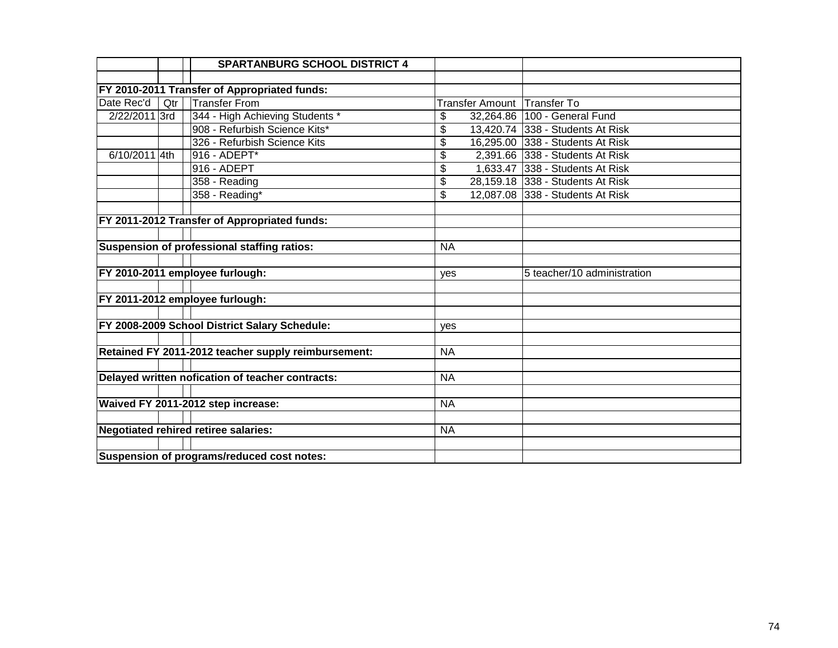|               |     | <b>SPARTANBURG SCHOOL DISTRICT 4</b>                |                 |                                  |
|---------------|-----|-----------------------------------------------------|-----------------|----------------------------------|
|               |     |                                                     |                 |                                  |
|               |     | FY 2010-2011 Transfer of Appropriated funds:        |                 |                                  |
| Date Rec'd    | Qtr | <b>Transfer From</b>                                |                 | Transfer Amount Transfer To      |
| 2/22/2011 3rd |     | 344 - High Achieving Students *                     | \$              | 32,264.86   100 - General Fund   |
|               |     | 908 - Refurbish Science Kits*                       | \$              | 13,420.74 338 - Students At Risk |
|               |     | 326 - Refurbish Science Kits                        | \$              | 16,295.00 338 - Students At Risk |
| 6/10/2011 4th |     | 916 - ADEPT*                                        | \$              | 2,391.66 338 - Students At Risk  |
|               |     | $916 - ADEPT$                                       | \$              | 1,633.47 338 - Students At Risk  |
|               |     | 358 - Reading                                       | $\overline{\$}$ | 28,159.18 338 - Students At Risk |
|               |     | 358 - Reading*                                      | \$              | 12,087.08 338 - Students At Risk |
|               |     |                                                     |                 |                                  |
|               |     | FY 2011-2012 Transfer of Appropriated funds:        |                 |                                  |
|               |     |                                                     |                 |                                  |
|               |     | Suspension of professional staffing ratios:         | <b>NA</b>       |                                  |
|               |     |                                                     |                 |                                  |
|               |     | FY 2010-2011 employee furlough:                     | yes             | 5 teacher/10 administration      |
|               |     |                                                     |                 |                                  |
|               |     | FY 2011-2012 employee furlough:                     |                 |                                  |
|               |     |                                                     |                 |                                  |
|               |     | FY 2008-2009 School District Salary Schedule:       | ves             |                                  |
|               |     |                                                     |                 |                                  |
|               |     | Retained FY 2011-2012 teacher supply reimbursement: | <b>NA</b>       |                                  |
|               |     |                                                     |                 |                                  |
|               |     | Delayed written nofication of teacher contracts:    | <b>NA</b>       |                                  |
|               |     |                                                     |                 |                                  |
|               |     | Waived FY 2011-2012 step increase:                  | <b>NA</b>       |                                  |
|               |     |                                                     |                 |                                  |
|               |     | <b>Negotiated rehired retiree salaries:</b>         | <b>NA</b>       |                                  |
|               |     |                                                     |                 |                                  |
|               |     | Suspension of programs/reduced cost notes:          |                 |                                  |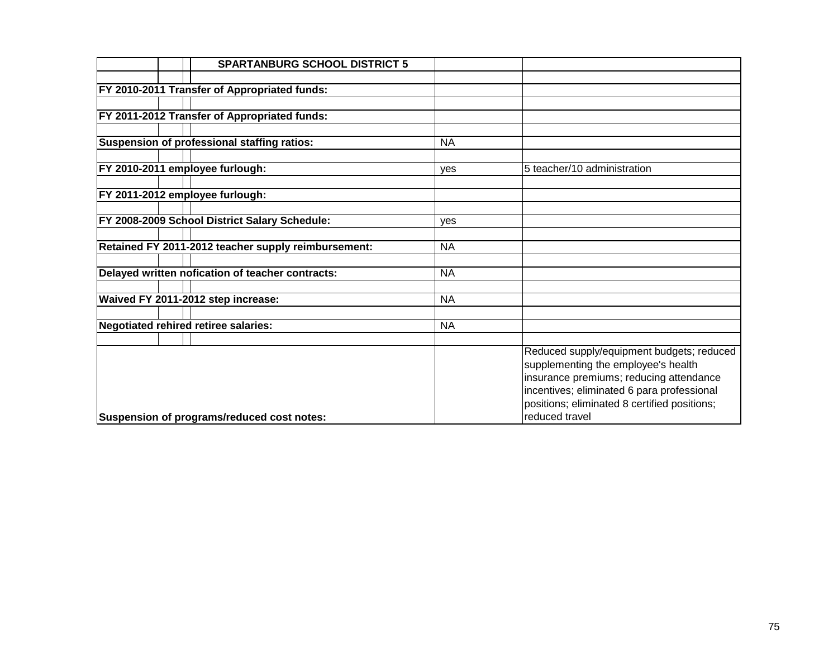| <b>SPARTANBURG SCHOOL DISTRICT 5</b>                |            |                                                                                                                                                                                                                                             |
|-----------------------------------------------------|------------|---------------------------------------------------------------------------------------------------------------------------------------------------------------------------------------------------------------------------------------------|
|                                                     |            |                                                                                                                                                                                                                                             |
| FY 2010-2011 Transfer of Appropriated funds:        |            |                                                                                                                                                                                                                                             |
|                                                     |            |                                                                                                                                                                                                                                             |
| FY 2011-2012 Transfer of Appropriated funds:        |            |                                                                                                                                                                                                                                             |
|                                                     |            |                                                                                                                                                                                                                                             |
| Suspension of professional staffing ratios:         | <b>NA</b>  |                                                                                                                                                                                                                                             |
|                                                     |            |                                                                                                                                                                                                                                             |
| FY 2010-2011 employee furlough:                     | yes        | 5 teacher/10 administration                                                                                                                                                                                                                 |
|                                                     |            |                                                                                                                                                                                                                                             |
| FY 2011-2012 employee furlough:                     |            |                                                                                                                                                                                                                                             |
| FY 2008-2009 School District Salary Schedule:       | <b>ves</b> |                                                                                                                                                                                                                                             |
|                                                     |            |                                                                                                                                                                                                                                             |
| Retained FY 2011-2012 teacher supply reimbursement: | <b>NA</b>  |                                                                                                                                                                                                                                             |
|                                                     |            |                                                                                                                                                                                                                                             |
| Delayed written nofication of teacher contracts:    | <b>NA</b>  |                                                                                                                                                                                                                                             |
|                                                     |            |                                                                                                                                                                                                                                             |
| Waived FY 2011-2012 step increase:                  | <b>NA</b>  |                                                                                                                                                                                                                                             |
|                                                     |            |                                                                                                                                                                                                                                             |
| Negotiated rehired retiree salaries:                | <b>NA</b>  |                                                                                                                                                                                                                                             |
|                                                     |            |                                                                                                                                                                                                                                             |
| Suspension of programs/reduced cost notes:          |            | Reduced supply/equipment budgets; reduced<br>supplementing the employee's health<br>insurance premiums; reducing attendance<br>incentives; eliminated 6 para professional<br>positions; eliminated 8 certified positions;<br>reduced travel |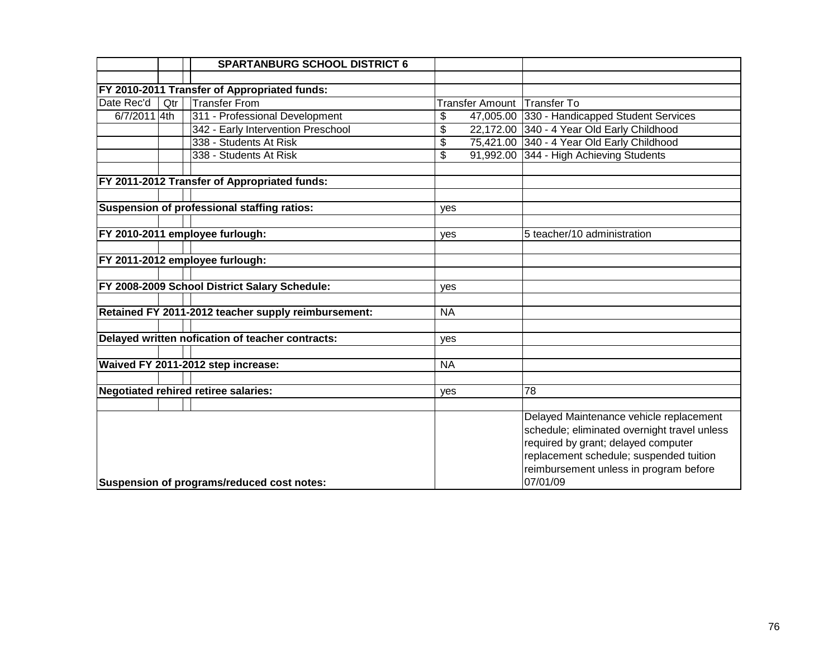|              |     | <b>SPARTANBURG SCHOOL DISTRICT 6</b>                |           |                                                                                                                                                                                                                                 |
|--------------|-----|-----------------------------------------------------|-----------|---------------------------------------------------------------------------------------------------------------------------------------------------------------------------------------------------------------------------------|
|              |     |                                                     |           |                                                                                                                                                                                                                                 |
|              |     | FY 2010-2011 Transfer of Appropriated funds:        |           |                                                                                                                                                                                                                                 |
| Date Rec'd   | Qtr | <b>Transfer From</b>                                |           | Transfer Amount Transfer To                                                                                                                                                                                                     |
| 6/7/2011 4th |     | 311 - Professional Development                      | \$        | 47,005.00 330 - Handicapped Student Services                                                                                                                                                                                    |
|              |     | 342 - Early Intervention Preschool                  | \$        | 22,172.00 340 - 4 Year Old Early Childhood                                                                                                                                                                                      |
|              |     | 338 - Students At Risk                              | \$        | 75,421.00 340 - 4 Year Old Early Childhood                                                                                                                                                                                      |
|              |     | 338 - Students At Risk                              | \$        | 91,992.00 344 - High Achieving Students                                                                                                                                                                                         |
|              |     | FY 2011-2012 Transfer of Appropriated funds:        |           |                                                                                                                                                                                                                                 |
|              |     |                                                     |           |                                                                                                                                                                                                                                 |
|              |     | Suspension of professional staffing ratios:         | yes       |                                                                                                                                                                                                                                 |
|              |     | FY 2010-2011 employee furlough:                     | yes       | 5 teacher/10 administration                                                                                                                                                                                                     |
|              |     | FY 2011-2012 employee furlough:                     |           |                                                                                                                                                                                                                                 |
|              |     |                                                     |           |                                                                                                                                                                                                                                 |
|              |     | FY 2008-2009 School District Salary Schedule:       | yes       |                                                                                                                                                                                                                                 |
|              |     |                                                     |           |                                                                                                                                                                                                                                 |
|              |     | Retained FY 2011-2012 teacher supply reimbursement: | <b>NA</b> |                                                                                                                                                                                                                                 |
|              |     | Delayed written nofication of teacher contracts:    |           |                                                                                                                                                                                                                                 |
|              |     |                                                     | yes       |                                                                                                                                                                                                                                 |
|              |     | Waived FY 2011-2012 step increase:                  | <b>NA</b> |                                                                                                                                                                                                                                 |
|              |     |                                                     |           |                                                                                                                                                                                                                                 |
|              |     | <b>Negotiated rehired retiree salaries:</b>         | yes       | 78                                                                                                                                                                                                                              |
|              |     |                                                     |           |                                                                                                                                                                                                                                 |
|              |     | Suspension of programs/reduced cost notes:          |           | Delayed Maintenance vehicle replacement<br>schedule; eliminated overnight travel unless<br>required by grant; delayed computer<br>replacement schedule; suspended tuition<br>reimbursement unless in program before<br>07/01/09 |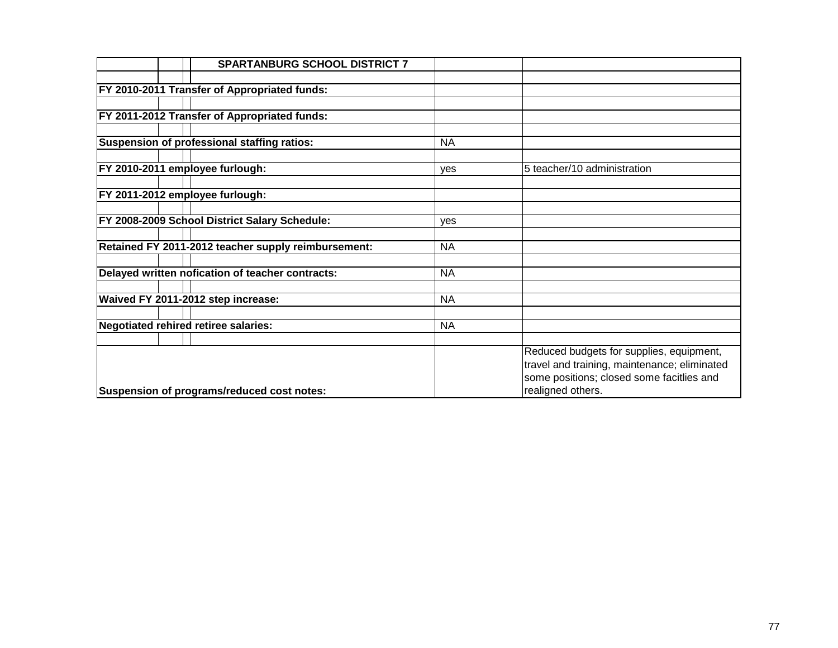| <b>SPARTANBURG SCHOOL DISTRICT 7</b>                |           |                                              |
|-----------------------------------------------------|-----------|----------------------------------------------|
|                                                     |           |                                              |
| <b>FY 2010-2011 Transfer of Appropriated funds:</b> |           |                                              |
|                                                     |           |                                              |
| <b>FY 2011-2012 Transfer of Appropriated funds:</b> |           |                                              |
|                                                     |           |                                              |
| Suspension of professional staffing ratios:         | <b>NA</b> |                                              |
|                                                     |           |                                              |
| FY 2010-2011 employee furlough:                     | yes       | 5 teacher/10 administration                  |
|                                                     |           |                                              |
| FY 2011-2012 employee furlough:                     |           |                                              |
|                                                     |           |                                              |
| FY 2008-2009 School District Salary Schedule:       | yes       |                                              |
| Retained FY 2011-2012 teacher supply reimbursement: | <b>NA</b> |                                              |
|                                                     |           |                                              |
| Delayed written nofication of teacher contracts:    | <b>NA</b> |                                              |
|                                                     |           |                                              |
| Waived FY 2011-2012 step increase:                  | <b>NA</b> |                                              |
|                                                     |           |                                              |
| Negotiated rehired retiree salaries:                | <b>NA</b> |                                              |
|                                                     |           |                                              |
|                                                     |           | Reduced budgets for supplies, equipment,     |
|                                                     |           | travel and training, maintenance; eliminated |
|                                                     |           | some positions; closed some facitlies and    |
| Suspension of programs/reduced cost notes:          |           | realigned others.                            |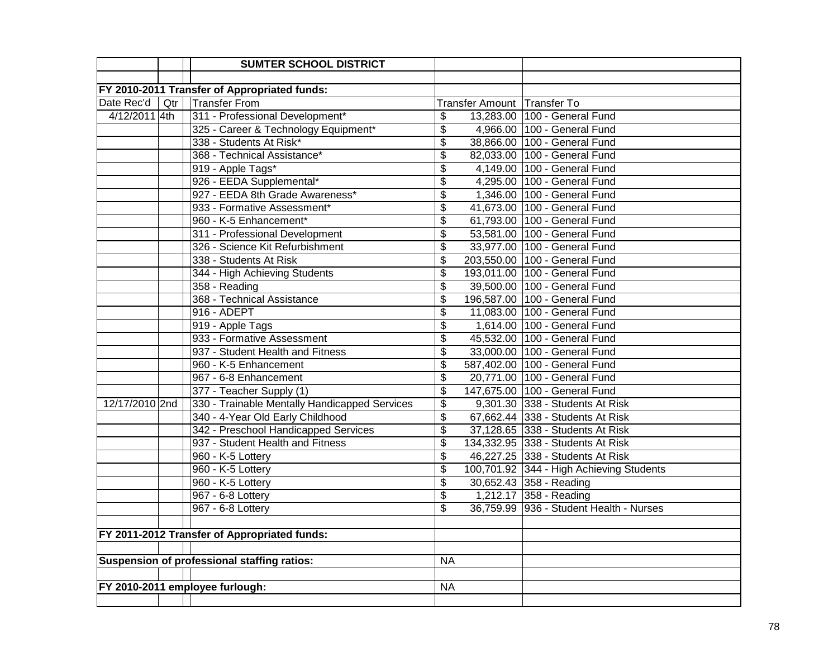|                |     | <b>SUMTER SCHOOL DISTRICT</b>                 |                                                                  |
|----------------|-----|-----------------------------------------------|------------------------------------------------------------------|
|                |     |                                               |                                                                  |
|                |     | FY 2010-2011 Transfer of Appropriated funds:  |                                                                  |
| Date Rec'd     | Qtr | <b>Transfer From</b>                          | Transfer Amount Transfer To                                      |
| 4/12/2011 4th  |     | 311 - Professional Development*               | \$<br>13,283.00 100 - General Fund                               |
|                |     | 325 - Career & Technology Equipment*          | \$<br>4,966.00 100 - General Fund                                |
|                |     | 338 - Students At Risk*                       | 38,866.00 100 - General Fund<br>\$                               |
|                |     | 368 - Technical Assistance*                   | \$<br>82,033.00 100 - General Fund                               |
|                |     | 919 - Apple Tags*                             | 4,149.00 100 - General Fund<br>\$                                |
|                |     | 926 - EEDA Supplemental*                      | \$<br>4,295.00 100 - General Fund                                |
|                |     | 927 - EEDA 8th Grade Awareness*               | $\overline{\$}$<br>1,346.00 100 - General Fund                   |
|                |     | 933 - Formative Assessment*                   | $\overline{\boldsymbol{\theta}}$<br>41,673.00 100 - General Fund |
|                |     | 960 - K-5 Enhancement*                        | $\overline{\mathcal{L}}$<br>61,793.00 100 - General Fund         |
|                |     | 311 - Professional Development                | 53,581.00 100 - General Fund<br>\$                               |
|                |     | 326 - Science Kit Refurbishment               | 33,977.00 100 - General Fund<br>\$                               |
|                |     | 338 - Students At Risk                        | 203,550.00 100 - General Fund<br>\$                              |
|                |     | 344 - High Achieving Students                 | \$<br>193,011.00 100 - General Fund                              |
|                |     | 358 - Reading                                 | 39,500.00 100 - General Fund<br>\$                               |
|                |     | 368 - Technical Assistance                    | \$<br>196,587.00 100 - General Fund                              |
|                |     | 916 - ADEPT                                   | \$<br>11,083.00 100 - General Fund                               |
|                |     | 919 - Apple Tags                              | 1,614.00 100 - General Fund<br>\$                                |
|                |     | 933 - Formative Assessment                    | 45,532.00 100 - General Fund<br>\$                               |
|                |     | 937 - Student Health and Fitness              | \$<br>33,000.00 100 - General Fund                               |
|                |     | 960 - K-5 Enhancement                         | \$<br>587,402.00 100 - General Fund                              |
|                |     | 967 - 6-8 Enhancement                         | 20,771.00 100 - General Fund<br>\$                               |
|                |     | 377 - Teacher Supply (1)                      | 147,675.00 100 - General Fund<br>\$                              |
| 12/17/2010 2nd |     | 330 - Trainable Mentally Handicapped Services | \$<br>9,301.30 338 - Students At Risk                            |
|                |     | 340 - 4-Year Old Early Childhood              | $\overline{\mathbf{e}}$<br>67,662.44 338 - Students At Risk      |
|                |     | 342 - Preschool Handicapped Services          | \$<br>37,128.65 338 - Students At Risk                           |
|                |     | 937 - Student Health and Fitness              | \$<br>134,332.95 338 - Students At Risk                          |
|                |     | 960 - K-5 Lottery                             | \$<br>46,227.25 338 - Students At Risk                           |
|                |     | 960 - K-5 Lottery                             | \$<br>100,701.92 344 - High Achieving Students                   |
|                |     | 960 - K-5 Lottery                             | $\overline{\mathbf{e}}$<br>30,652.43 358 - Reading               |
|                |     | 967 - 6-8 Lottery                             | 1,212.17 358 - Reading<br>\$                                     |
|                |     | 967 - 6-8 Lottery                             | 36,759.99 936 - Student Health - Nurses<br>\$                    |
|                |     |                                               |                                                                  |
|                |     | FY 2011-2012 Transfer of Appropriated funds:  |                                                                  |
|                |     |                                               |                                                                  |
|                |     | Suspension of professional staffing ratios:   | <b>NA</b>                                                        |
|                |     |                                               |                                                                  |
|                |     | FY 2010-2011 employee furlough:               | <b>NA</b>                                                        |
|                |     |                                               |                                                                  |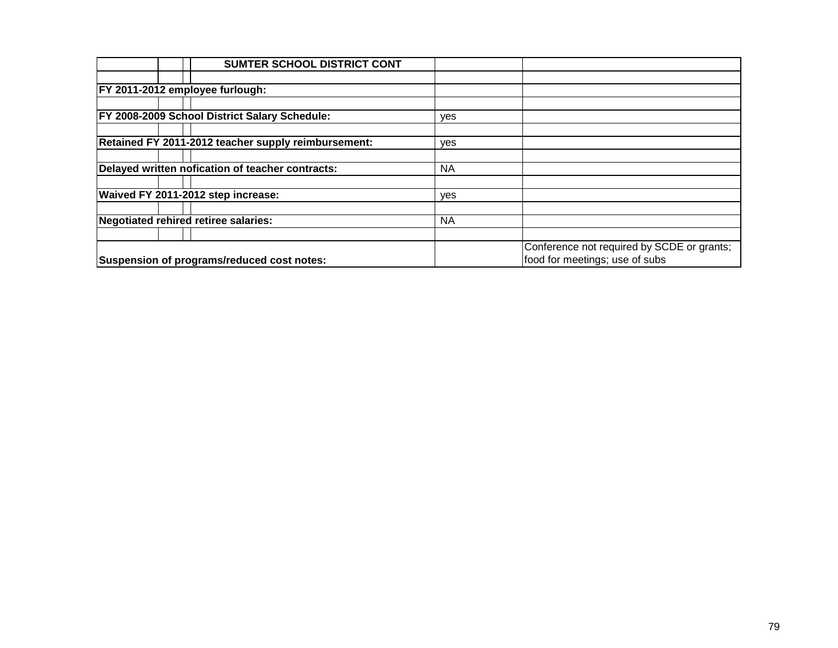| SUMTER SCHOOL DISTRICT CONT                         |           |                                            |
|-----------------------------------------------------|-----------|--------------------------------------------|
|                                                     |           |                                            |
| FY 2011-2012 employee furlough:                     |           |                                            |
|                                                     |           |                                            |
| FY 2008-2009 School District Salary Schedule:       | yes       |                                            |
|                                                     |           |                                            |
| Retained FY 2011-2012 teacher supply reimbursement: | yes       |                                            |
|                                                     |           |                                            |
| Delayed written nofication of teacher contracts:    | <b>NA</b> |                                            |
|                                                     |           |                                            |
| Waived FY 2011-2012 step increase:                  | yes       |                                            |
|                                                     |           |                                            |
| Negotiated rehired retiree salaries:                | <b>NA</b> |                                            |
|                                                     |           |                                            |
|                                                     |           | Conference not required by SCDE or grants; |
| Suspension of programs/reduced cost notes:          |           | food for meetings; use of subs             |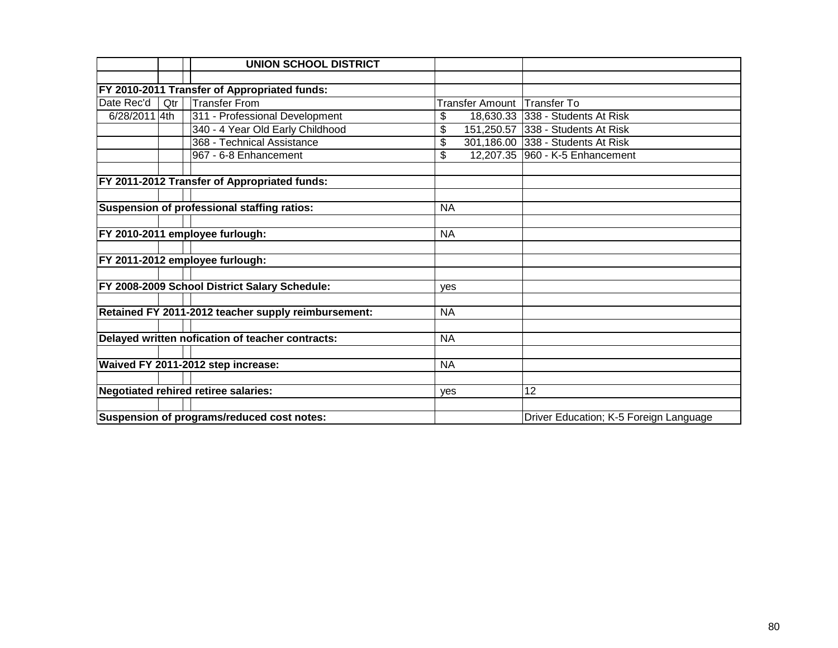|               |     | <b>UNION SCHOOL DISTRICT</b>                        |                        |                                        |
|---------------|-----|-----------------------------------------------------|------------------------|----------------------------------------|
|               |     |                                                     |                        |                                        |
|               |     | FY 2010-2011 Transfer of Appropriated funds:        |                        |                                        |
| Date Rec'd    | Qtr | <b>Transfer From</b>                                | <b>Transfer Amount</b> | <b>Transfer To</b>                     |
| 6/28/2011 4th |     | 311 - Professional Development                      | \$                     | 18,630.33 338 - Students At Risk       |
|               |     | 340 - 4 Year Old Early Childhood                    | \$                     | 151,250.57 338 - Students At Risk      |
|               |     | 368 - Technical Assistance                          | \$                     | 301,186.00 338 - Students At Risk      |
|               |     | 967 - 6-8 Enhancement                               | \$                     | 12,207.35 960 - K-5 Enhancement        |
|               |     |                                                     |                        |                                        |
|               |     | FY 2011-2012 Transfer of Appropriated funds:        |                        |                                        |
|               |     |                                                     |                        |                                        |
|               |     | Suspension of professional staffing ratios:         | <b>NA</b>              |                                        |
|               |     |                                                     |                        |                                        |
|               |     | FY 2010-2011 employee furlough:                     | <b>NA</b>              |                                        |
|               |     |                                                     |                        |                                        |
|               |     | FY 2011-2012 employee furlough:                     |                        |                                        |
|               |     |                                                     |                        |                                        |
|               |     | FY 2008-2009 School District Salary Schedule:       | ves                    |                                        |
|               |     |                                                     |                        |                                        |
|               |     | Retained FY 2011-2012 teacher supply reimbursement: | <b>NA</b>              |                                        |
|               |     |                                                     |                        |                                        |
|               |     | Delayed written nofication of teacher contracts:    | <b>NA</b>              |                                        |
|               |     |                                                     |                        |                                        |
|               |     | Waived FY 2011-2012 step increase:                  | <b>NA</b>              |                                        |
|               |     |                                                     |                        |                                        |
|               |     | <b>Negotiated rehired retiree salaries:</b>         | yes                    | 12                                     |
|               |     |                                                     |                        |                                        |
|               |     | Suspension of programs/reduced cost notes:          |                        | Driver Education; K-5 Foreign Language |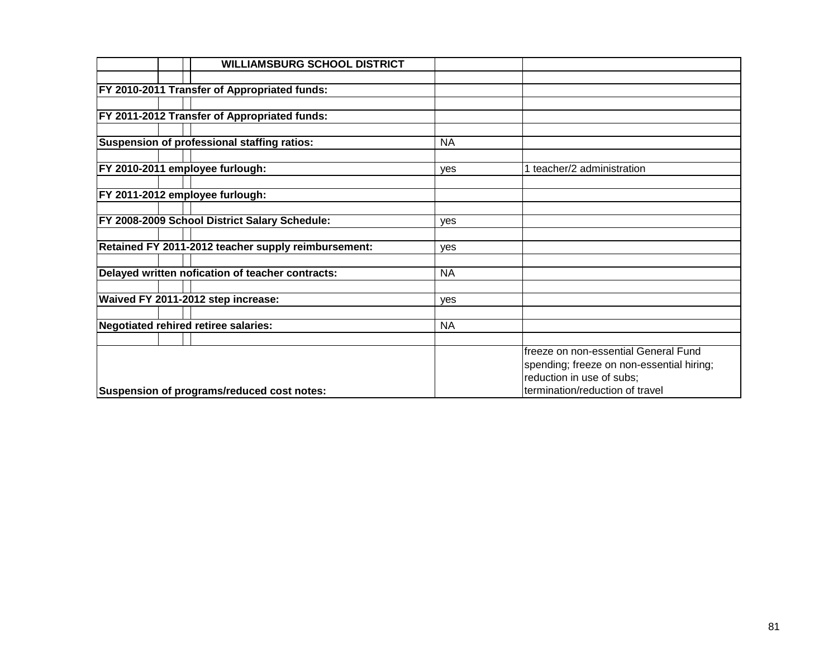| <b>WILLIAMSBURG SCHOOL DISTRICT</b>                 |           |                                           |
|-----------------------------------------------------|-----------|-------------------------------------------|
|                                                     |           |                                           |
| <b>FY 2010-2011 Transfer of Appropriated funds:</b> |           |                                           |
|                                                     |           |                                           |
| <b>FY 2011-2012 Transfer of Appropriated funds:</b> |           |                                           |
|                                                     |           |                                           |
| Suspension of professional staffing ratios:         | <b>NA</b> |                                           |
|                                                     |           |                                           |
| FY 2010-2011 employee furlough:                     | yes       | 1 teacher/2 administration                |
|                                                     |           |                                           |
| FY 2011-2012 employee furlough:                     |           |                                           |
|                                                     |           |                                           |
| FY 2008-2009 School District Salary Schedule:       | yes       |                                           |
|                                                     |           |                                           |
| Retained FY 2011-2012 teacher supply reimbursement: | yes       |                                           |
| Delayed written nofication of teacher contracts:    | <b>NA</b> |                                           |
|                                                     |           |                                           |
| Waived FY 2011-2012 step increase:                  | yes       |                                           |
|                                                     |           |                                           |
| Negotiated rehired retiree salaries:                | <b>NA</b> |                                           |
|                                                     |           |                                           |
|                                                     |           | freeze on non-essential General Fund      |
|                                                     |           | spending; freeze on non-essential hiring; |
|                                                     |           | reduction in use of subs;                 |
| Suspension of programs/reduced cost notes:          |           | termination/reduction of travel           |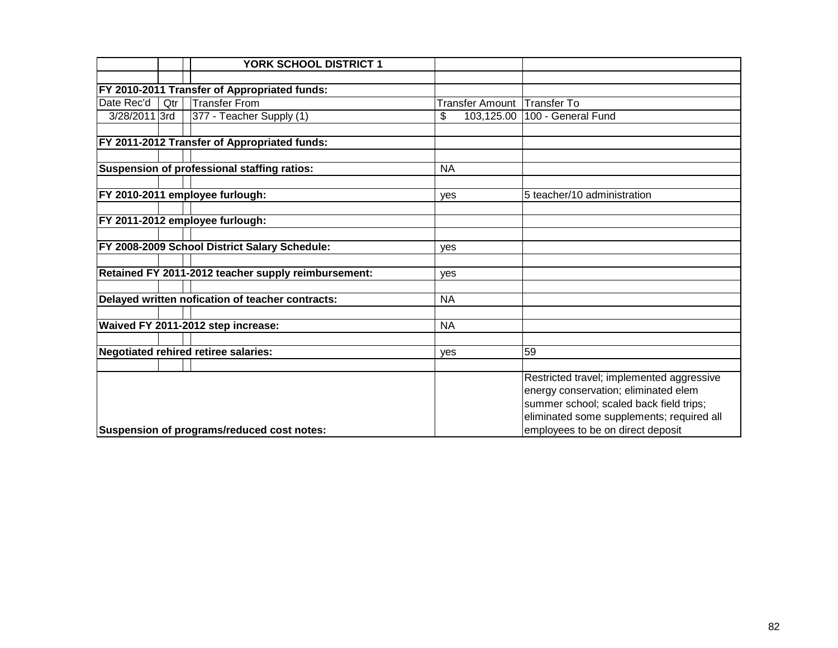|               |     | <b>YORK SCHOOL DISTRICT 1</b>                       |                        |                                                                                                                                                                                                                |
|---------------|-----|-----------------------------------------------------|------------------------|----------------------------------------------------------------------------------------------------------------------------------------------------------------------------------------------------------------|
|               |     |                                                     |                        |                                                                                                                                                                                                                |
|               |     | FY 2010-2011 Transfer of Appropriated funds:        |                        |                                                                                                                                                                                                                |
| Date Rec'd    | Qtr | <b>Transfer From</b>                                | <b>Transfer Amount</b> | <b>Transfer To</b>                                                                                                                                                                                             |
| 3/28/2011 3rd |     | 377 - Teacher Supply (1)                            | 103,125.00<br>\$       | 100 - General Fund                                                                                                                                                                                             |
|               |     |                                                     |                        |                                                                                                                                                                                                                |
|               |     | FY 2011-2012 Transfer of Appropriated funds:        |                        |                                                                                                                                                                                                                |
|               |     |                                                     |                        |                                                                                                                                                                                                                |
|               |     | <b>Suspension of professional staffing ratios:</b>  | <b>NA</b>              |                                                                                                                                                                                                                |
|               |     |                                                     |                        |                                                                                                                                                                                                                |
|               |     | FY 2010-2011 employee furlough:                     | yes                    | 5 teacher/10 administration                                                                                                                                                                                    |
|               |     |                                                     |                        |                                                                                                                                                                                                                |
|               |     | FY 2011-2012 employee furlough:                     |                        |                                                                                                                                                                                                                |
|               |     |                                                     |                        |                                                                                                                                                                                                                |
|               |     | FY 2008-2009 School District Salary Schedule:       | ves                    |                                                                                                                                                                                                                |
|               |     |                                                     |                        |                                                                                                                                                                                                                |
|               |     | Retained FY 2011-2012 teacher supply reimbursement: | yes                    |                                                                                                                                                                                                                |
|               |     |                                                     |                        |                                                                                                                                                                                                                |
|               |     | Delayed written nofication of teacher contracts:    | <b>NA</b>              |                                                                                                                                                                                                                |
|               |     |                                                     |                        |                                                                                                                                                                                                                |
|               |     | Waived FY 2011-2012 step increase:                  | <b>NA</b>              |                                                                                                                                                                                                                |
|               |     |                                                     |                        |                                                                                                                                                                                                                |
|               |     | <b>Negotiated rehired retiree salaries:</b>         | yes                    | 59                                                                                                                                                                                                             |
|               |     |                                                     |                        |                                                                                                                                                                                                                |
|               |     | Suspension of programs/reduced cost notes:          |                        | Restricted travel; implemented aggressive<br>energy conservation; eliminated elem<br>summer school; scaled back field trips;<br>eliminated some supplements; required all<br>employees to be on direct deposit |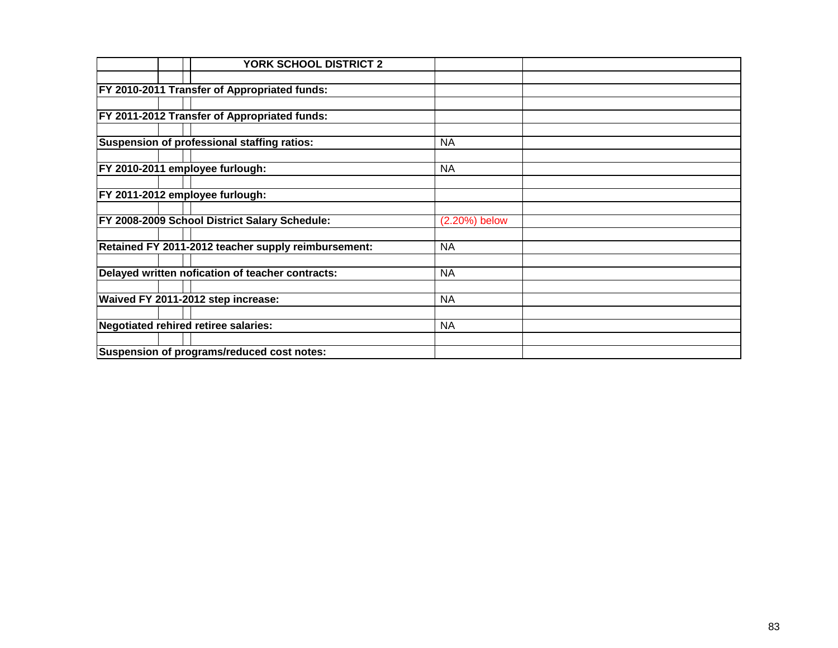|                                                     | <b>YORK SCHOOL DISTRICT 2</b> |                  |  |
|-----------------------------------------------------|-------------------------------|------------------|--|
|                                                     |                               |                  |  |
| <b>FY 2010-2011 Transfer of Appropriated funds:</b> |                               |                  |  |
|                                                     |                               |                  |  |
| FY 2011-2012 Transfer of Appropriated funds:        |                               |                  |  |
|                                                     |                               |                  |  |
| Suspension of professional staffing ratios:         |                               | <b>NA</b>        |  |
|                                                     |                               |                  |  |
| FY 2010-2011 employee furlough:                     |                               | <b>NA</b>        |  |
|                                                     |                               |                  |  |
| FY 2011-2012 employee furlough:                     |                               |                  |  |
|                                                     |                               |                  |  |
| FY 2008-2009 School District Salary Schedule:       |                               | $(2.20\%)$ below |  |
|                                                     |                               |                  |  |
| Retained FY 2011-2012 teacher supply reimbursement: |                               | <b>NA</b>        |  |
| Delayed written nofication of teacher contracts:    |                               | <b>NA</b>        |  |
|                                                     |                               |                  |  |
| Waived FY 2011-2012 step increase:                  |                               | <b>NA</b>        |  |
| <b>Negotiated rehired retiree salaries:</b>         |                               | <b>NA</b>        |  |
|                                                     |                               |                  |  |
| Suspension of programs/reduced cost notes:          |                               |                  |  |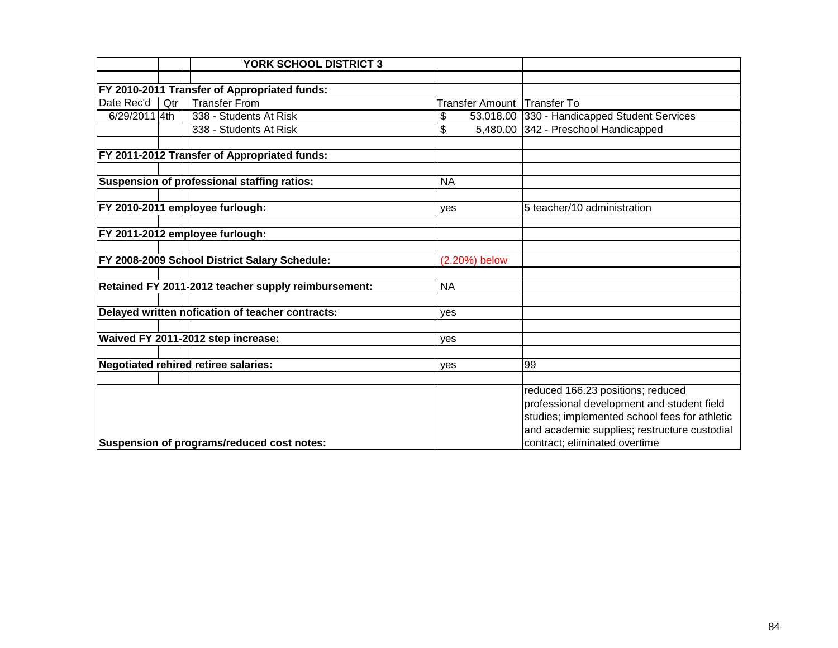|               |     | <b>YORK SCHOOL DISTRICT 3</b>                       |           |                 |                                               |
|---------------|-----|-----------------------------------------------------|-----------|-----------------|-----------------------------------------------|
|               |     |                                                     |           |                 |                                               |
|               |     | FY 2010-2011 Transfer of Appropriated funds:        |           |                 |                                               |
| Date Rec'd    | Qtr | <b>Transfer From</b>                                |           | Transfer Amount | <b>Transfer To</b>                            |
| 6/29/2011 4th |     | 338 - Students At Risk                              | \$        | 53,018.00       | 330 - Handicapped Student Services            |
|               |     | 338 - Students At Risk                              | \$        | 5,480.00        | 342 - Preschool Handicapped                   |
|               |     |                                                     |           |                 |                                               |
|               |     | FY 2011-2012 Transfer of Appropriated funds:        |           |                 |                                               |
|               |     | Suspension of professional staffing ratios:         | <b>NA</b> |                 |                                               |
|               |     |                                                     |           |                 |                                               |
|               |     | FY 2010-2011 employee furlough:                     | yes       |                 | 5 teacher/10 administration                   |
|               |     |                                                     |           |                 |                                               |
|               |     | FY 2011-2012 employee furlough:                     |           |                 |                                               |
|               |     |                                                     |           |                 |                                               |
|               |     | FY 2008-2009 School District Salary Schedule:       |           | (2.20%) below   |                                               |
|               |     |                                                     | <b>NA</b> |                 |                                               |
|               |     | Retained FY 2011-2012 teacher supply reimbursement: |           |                 |                                               |
|               |     | Delayed written nofication of teacher contracts:    | yes       |                 |                                               |
|               |     |                                                     |           |                 |                                               |
|               |     | Waived FY 2011-2012 step increase:                  | yes       |                 |                                               |
|               |     |                                                     |           |                 |                                               |
|               |     | Negotiated rehired retiree salaries:                | yes       |                 | 99                                            |
|               |     |                                                     |           |                 |                                               |
|               |     |                                                     |           |                 | reduced 166.23 positions; reduced             |
|               |     |                                                     |           |                 | professional development and student field    |
|               |     |                                                     |           |                 | studies; implemented school fees for athletic |
|               |     |                                                     |           |                 | and academic supplies; restructure custodial  |
|               |     | Suspension of programs/reduced cost notes:          |           |                 | contract; eliminated overtime                 |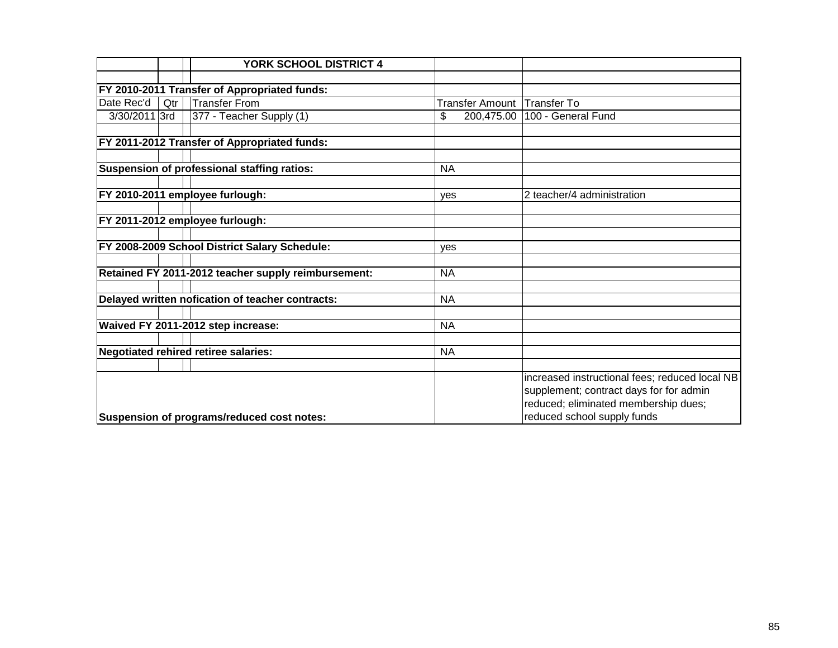|               |     | <b>YORK SCHOOL DISTRICT 4</b>                       |                             |                                                |
|---------------|-----|-----------------------------------------------------|-----------------------------|------------------------------------------------|
|               |     |                                                     |                             |                                                |
|               |     | FY 2010-2011 Transfer of Appropriated funds:        |                             |                                                |
| Date Rec'd    | Qtr | <b>Transfer From</b>                                | Transfer Amount Transfer To |                                                |
| 3/30/2011 3rd |     | 377 - Teacher Supply (1)                            | \$                          | 200,475.00   100 - General Fund                |
|               |     |                                                     |                             |                                                |
|               |     | FY 2011-2012 Transfer of Appropriated funds:        |                             |                                                |
|               |     |                                                     |                             |                                                |
|               |     | Suspension of professional staffing ratios:         | <b>NA</b>                   |                                                |
|               |     |                                                     |                             |                                                |
|               |     | FY 2010-2011 employee furlough:                     | ves                         | 2 teacher/4 administration                     |
|               |     |                                                     |                             |                                                |
|               |     | FY 2011-2012 employee furlough:                     |                             |                                                |
|               |     | FY 2008-2009 School District Salary Schedule:       |                             |                                                |
|               |     |                                                     | ves                         |                                                |
|               |     | Retained FY 2011-2012 teacher supply reimbursement: | <b>NA</b>                   |                                                |
|               |     |                                                     |                             |                                                |
|               |     | Delayed written nofication of teacher contracts:    | <b>NA</b>                   |                                                |
|               |     |                                                     |                             |                                                |
|               |     | Waived FY 2011-2012 step increase:                  | <b>NA</b>                   |                                                |
|               |     |                                                     |                             |                                                |
|               |     | <b>Negotiated rehired retiree salaries:</b>         | <b>NA</b>                   |                                                |
|               |     |                                                     |                             |                                                |
|               |     |                                                     |                             | increased instructional fees; reduced local NB |
|               |     |                                                     |                             | supplement; contract days for for admin        |
|               |     |                                                     |                             | reduced; eliminated membership dues;           |
|               |     | Suspension of programs/reduced cost notes:          |                             | reduced school supply funds                    |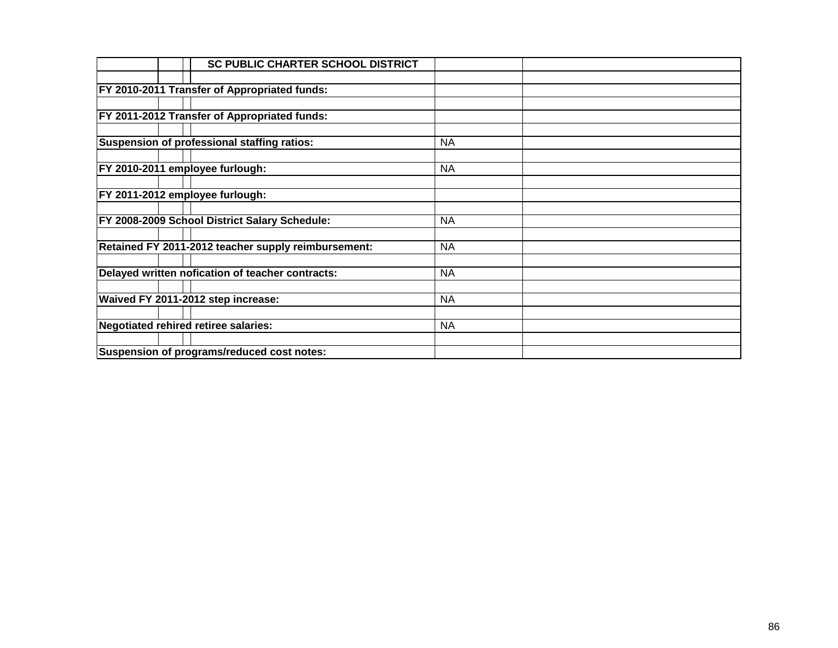|                                      | <b>SC PUBLIC CHARTER SCHOOL DISTRICT</b>            |           |  |
|--------------------------------------|-----------------------------------------------------|-----------|--|
|                                      |                                                     |           |  |
|                                      | <b>FY 2010-2011 Transfer of Appropriated funds:</b> |           |  |
|                                      |                                                     |           |  |
|                                      | FY 2011-2012 Transfer of Appropriated funds:        |           |  |
|                                      |                                                     |           |  |
|                                      | Suspension of professional staffing ratios:         | <b>NA</b> |  |
|                                      |                                                     |           |  |
| FY 2010-2011 employee furlough:      |                                                     | <b>NA</b> |  |
|                                      |                                                     |           |  |
| FY 2011-2012 employee furlough:      |                                                     |           |  |
|                                      |                                                     |           |  |
|                                      | FY 2008-2009 School District Salary Schedule:       | <b>NA</b> |  |
|                                      |                                                     |           |  |
|                                      | Retained FY 2011-2012 teacher supply reimbursement: | <b>NA</b> |  |
|                                      |                                                     |           |  |
|                                      | Delayed written nofication of teacher contracts:    | <b>NA</b> |  |
| Waived FY 2011-2012 step increase:   |                                                     | <b>NA</b> |  |
|                                      |                                                     |           |  |
| Negotiated rehired retiree salaries: |                                                     | <b>NA</b> |  |
|                                      |                                                     |           |  |
|                                      | Suspension of programs/reduced cost notes:          |           |  |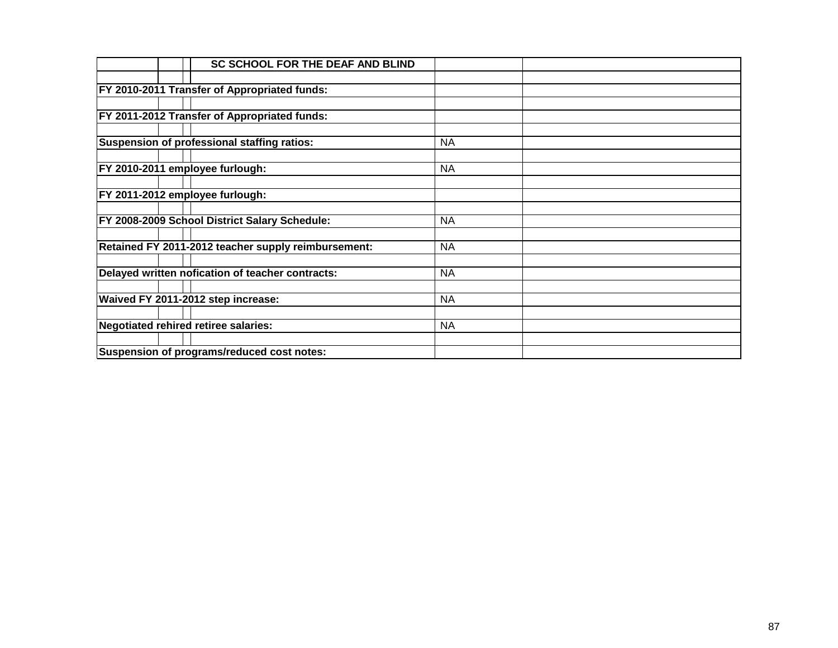| <b>SC SCHOOL FOR THE DEAF AND BLIND</b>             |           |
|-----------------------------------------------------|-----------|
|                                                     |           |
| <b>FY 2010-2011 Transfer of Appropriated funds:</b> |           |
|                                                     |           |
| FY 2011-2012 Transfer of Appropriated funds:        |           |
|                                                     |           |
| Suspension of professional staffing ratios:         | <b>NA</b> |
|                                                     |           |
| FY 2010-2011 employee furlough:                     | <b>NA</b> |
|                                                     |           |
| FY 2011-2012 employee furlough:                     |           |
|                                                     |           |
| FY 2008-2009 School District Salary Schedule:       | <b>NA</b> |
|                                                     |           |
| Retained FY 2011-2012 teacher supply reimbursement: | <b>NA</b> |
|                                                     |           |
| Delayed written nofication of teacher contracts:    | <b>NA</b> |
| Waived FY 2011-2012 step increase:                  | <b>NA</b> |
|                                                     |           |
| Negotiated rehired retiree salaries:                | <b>NA</b> |
|                                                     |           |
| Suspension of programs/reduced cost notes:          |           |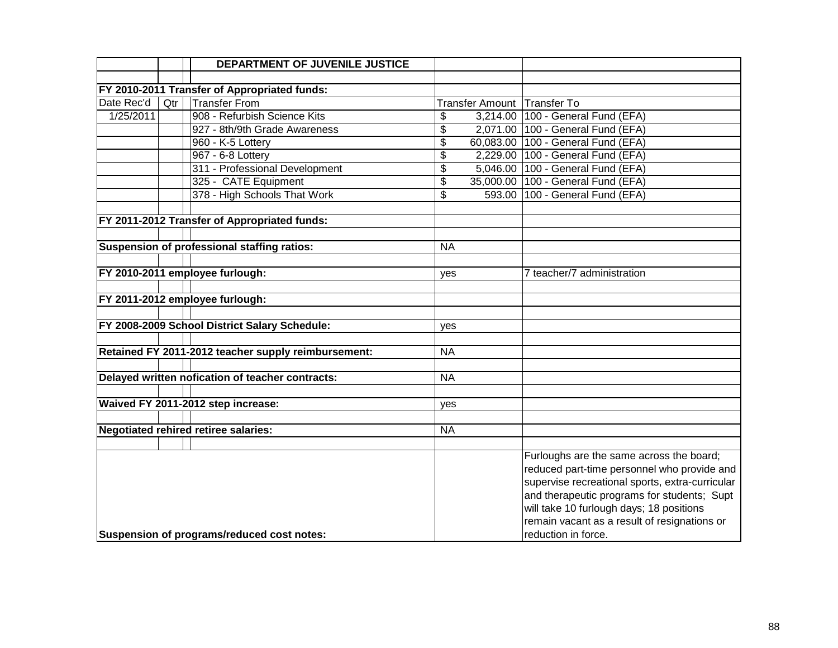|            |     | DEPARTMENT OF JUVENILE JUSTICE                      |                 |                                                 |
|------------|-----|-----------------------------------------------------|-----------------|-------------------------------------------------|
|            |     |                                                     |                 |                                                 |
|            |     | FY 2010-2011 Transfer of Appropriated funds:        |                 |                                                 |
| Date Rec'd | Qtr | <b>Transfer From</b>                                |                 | Transfer Amount Transfer To                     |
| 1/25/2011  |     | 908 - Refurbish Science Kits                        | \$              | 3,214.00 100 - General Fund (EFA)               |
|            |     | 927 - 8th/9th Grade Awareness                       | \$              | 2,071.00 100 - General Fund (EFA)               |
|            |     | 960 - K-5 Lottery                                   | \$              | 60,083.00 100 - General Fund (EFA)              |
|            |     | 967 - 6-8 Lottery                                   | \$              | 2,229.00 100 - General Fund (EFA)               |
|            |     | 311 - Professional Development                      | \$              | 5,046.00 100 - General Fund (EFA)               |
|            |     | 325 - CATE Equipment                                | $\overline{\$}$ | 35,000.00 100 - General Fund (EFA)              |
|            |     | 378 - High Schools That Work                        | \$              | 593.00 100 - General Fund (EFA)                 |
|            |     | FY 2011-2012 Transfer of Appropriated funds:        |                 |                                                 |
|            |     |                                                     |                 |                                                 |
|            |     | Suspension of professional staffing ratios:         | <b>NA</b>       |                                                 |
|            |     |                                                     |                 |                                                 |
|            |     | FY 2010-2011 employee furlough:                     | yes             | 7 teacher/7 administration                      |
|            |     |                                                     |                 |                                                 |
|            |     | FY 2011-2012 employee furlough:                     |                 |                                                 |
|            |     |                                                     |                 |                                                 |
|            |     | FY 2008-2009 School District Salary Schedule:       | yes             |                                                 |
|            |     | Retained FY 2011-2012 teacher supply reimbursement: | <b>NA</b>       |                                                 |
|            |     |                                                     |                 |                                                 |
|            |     | Delayed written nofication of teacher contracts:    | <b>NA</b>       |                                                 |
|            |     |                                                     |                 |                                                 |
|            |     | Waived FY 2011-2012 step increase:                  | yes             |                                                 |
|            |     |                                                     |                 |                                                 |
|            |     | <b>Negotiated rehired retiree salaries:</b>         | <b>NA</b>       |                                                 |
|            |     |                                                     |                 |                                                 |
|            |     |                                                     |                 | Furloughs are the same across the board;        |
|            |     |                                                     |                 | reduced part-time personnel who provide and     |
|            |     |                                                     |                 | supervise recreational sports, extra-curricular |
|            |     |                                                     |                 | and therapeutic programs for students; Supt     |
|            |     |                                                     |                 | will take 10 furlough days; 18 positions        |
|            |     |                                                     |                 | remain vacant as a result of resignations or    |
|            |     | Suspension of programs/reduced cost notes:          |                 | reduction in force.                             |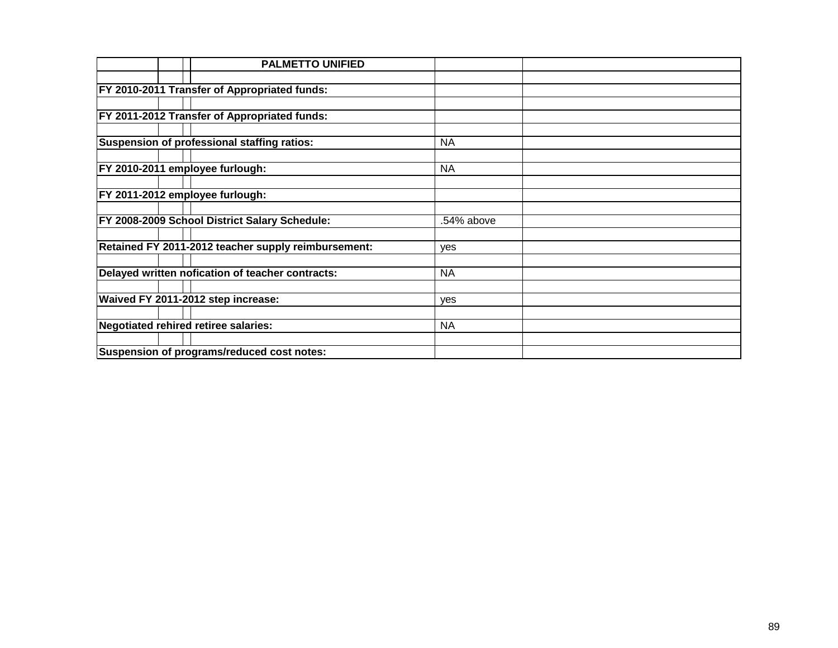| <b>PALMETTO UNIFIED</b>                              |            |  |
|------------------------------------------------------|------------|--|
|                                                      |            |  |
| <b>FY 2010-2011 Transfer of Appropriated funds:</b>  |            |  |
|                                                      |            |  |
| FY 2011-2012 Transfer of Appropriated funds:         |            |  |
|                                                      |            |  |
| Suspension of professional staffing ratios:          | <b>NA</b>  |  |
|                                                      |            |  |
| FY 2010-2011 employee furlough:                      | <b>NA</b>  |  |
|                                                      |            |  |
| FY 2011-2012 employee furlough:                      |            |  |
|                                                      |            |  |
| <b>FY 2008-2009 School District Salary Schedule:</b> | .54% above |  |
|                                                      |            |  |
| Retained FY 2011-2012 teacher supply reimbursement:  | <b>ves</b> |  |
|                                                      |            |  |
| Delayed written nofication of teacher contracts:     | <b>NA</b>  |  |
|                                                      |            |  |
| Waived FY 2011-2012 step increase:                   | yes        |  |
|                                                      |            |  |
| Negotiated rehired retiree salaries:                 | <b>NA</b>  |  |
| Suspension of programs/reduced cost notes:           |            |  |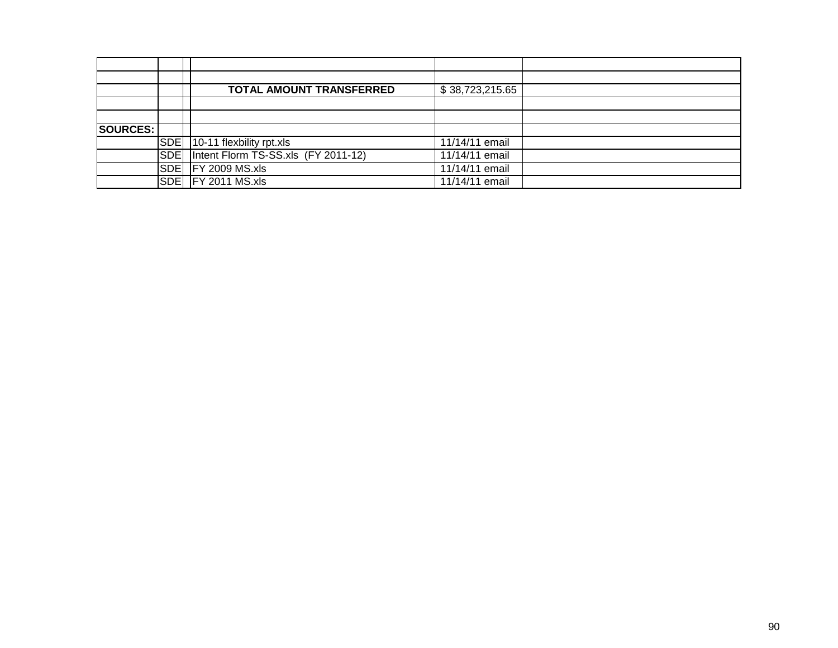|                 |            | <b>TOTAL AMOUNT TRANSFERRED</b>     | \$38,723,215.65 |  |
|-----------------|------------|-------------------------------------|-----------------|--|
|                 |            |                                     |                 |  |
|                 |            |                                     |                 |  |
| <b>SOURCES:</b> |            |                                     |                 |  |
|                 | SDE        | $10-11$ flexbility rpt.xls          | 11/14/11 email  |  |
|                 | <b>SDE</b> | Intent Florm TS-SS.xls (FY 2011-12) | 11/14/11 email  |  |
|                 | <b>SDE</b> | <b>FY 2009 MS.xls</b>               | 11/14/11 email  |  |
|                 | SDE        | <b>FY 2011 MS.xls</b>               | 11/14/11 email  |  |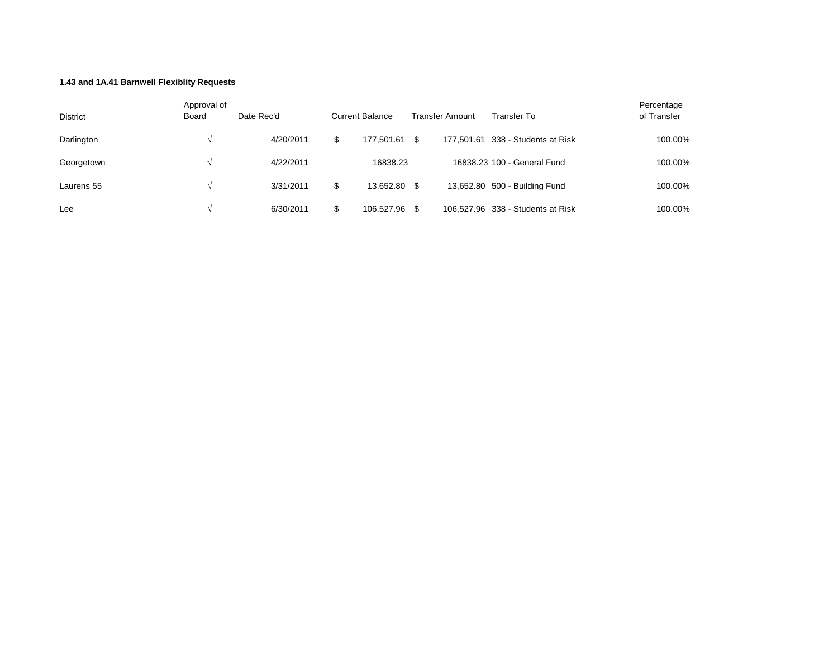## **1.43 and 1A.41 Barnwell Flexiblity Requests**

| District   | Approval of<br><b>Board</b> | Date Rec'd | <b>Current Balance</b> |      | Transfer Amount | Transfer To                       | Percentage<br>of Transfer |
|------------|-----------------------------|------------|------------------------|------|-----------------|-----------------------------------|---------------------------|
| Darlington |                             | 4/20/2011  | \$<br>177.501.61       | -SS  |                 | 177,501,61 338 - Students at Risk | 100.00%                   |
| Georgetown |                             | 4/22/2011  | 16838.23               |      |                 | 16838.23 100 - General Fund       | 100.00%                   |
| Laurens 55 |                             | 3/31/2011  | \$<br>13.652.80        | - \$ |                 | 13,652.80 500 - Building Fund     | 100.00%                   |
| Lee        |                             | 6/30/2011  | 106.527.96             | S    |                 | 106,527.96 338 - Students at Risk | 100.00%                   |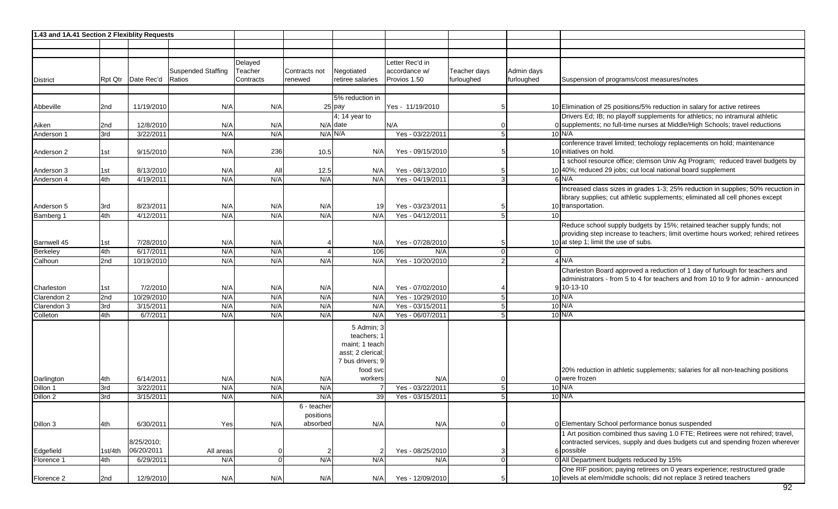| 1.43 and 1A.41 Section 2 Flexiblity Requests |                 |                        |                           |                |                          |                           |                  |              |                      |                                                                                                                                                              |
|----------------------------------------------|-----------------|------------------------|---------------------------|----------------|--------------------------|---------------------------|------------------|--------------|----------------------|--------------------------------------------------------------------------------------------------------------------------------------------------------------|
|                                              |                 |                        |                           |                |                          |                           |                  |              |                      |                                                                                                                                                              |
|                                              |                 |                        |                           |                |                          |                           |                  |              |                      |                                                                                                                                                              |
|                                              |                 |                        |                           | Delayed        |                          |                           | Letter Rec'd in  |              |                      |                                                                                                                                                              |
|                                              |                 |                        | <b>Suspended Staffing</b> | Teacher        | Contracts not            | Negotiated                | accordance w/    | Teacher days | Admin days           |                                                                                                                                                              |
| District                                     |                 | Rpt Qtr Date Rec'd     | Ratios                    | Contracts      | renewed                  | retiree salaries          | Provios 1.50     | furloughed   | furloughed           | Suspension of programs/cost measures/notes                                                                                                                   |
|                                              |                 |                        |                           |                |                          |                           |                  |              |                      |                                                                                                                                                              |
|                                              |                 |                        |                           |                |                          | 5% reduction in           |                  |              |                      |                                                                                                                                                              |
| Abbeville                                    | 2 <sub>nd</sub> | 11/19/2010             | N/A                       | N/A            |                          | $25$ pay                  | Yes - 11/19/2010 |              | 5                    | 10 Elimination of 25 positions/5% reduction in salary for active retirees                                                                                    |
|                                              |                 |                        |                           |                |                          | 4; 14 year to             |                  |              |                      | Drivers Ed; IB; no playoff supplements for athletics; no intramural athletic<br>0 supplements; no full-time nurses at Middle/High Schools; travel reductions |
| Aiken                                        | 2nd<br>3rd      | 12/8/2010<br>3/22/2011 | N/A<br>N/A                | N/A<br>N/A     |                          | $N/A$ date<br>$N/A$ $N/A$ | N/A              |              | 5 <sub>5</sub>       | $10$ N/A                                                                                                                                                     |
| Anderson 1                                   |                 |                        |                           |                |                          |                           | Yes - 03/22/2011 |              |                      | conference travel limited; techology replacements on hold; maintenance                                                                                       |
| Anderson 2                                   | 1st             | 9/15/2010              | N/A                       | 236            | 10.5                     | N/A                       | Yes - 09/15/2010 |              |                      | 10 initiatives on hold.                                                                                                                                      |
|                                              |                 |                        |                           |                |                          |                           |                  |              |                      | 1 school resource office; clemson Univ Ag Program; reduced travel budgets by                                                                                 |
| Anderson 3                                   | 1st             | 8/13/2010              | N/A                       | Al             | 12.5                     | N/A                       | Yes - 08/13/2010 |              | 5                    | 10 40%; reduced 29 jobs; cut local national board supplement                                                                                                 |
| Anderson 4                                   | 4th             | 4/19/2011              | N/A                       | N/A            | N/A                      | N/A                       | Yes - 04/19/2011 |              | $\mathbf{3}$         | $6$ N/A                                                                                                                                                      |
|                                              |                 |                        |                           |                |                          |                           |                  |              |                      | Increased class sizes in grades 1-3; 25% reduction in supplies; 50% recuction in                                                                             |
|                                              |                 |                        |                           |                |                          |                           |                  |              |                      | library supplies; cut athletic supplements; eliminated all cell phones except                                                                                |
| Anderson 5                                   | 3rd             | 8/23/2011              | N/A                       | N/A            | N/A                      | 19                        | Yes - 03/23/2011 |              | 5                    | 10 transportation.                                                                                                                                           |
| Bamberg 1                                    | 4th             | 4/12/2011              | N/A                       | N/A            | N/A                      | N/A                       | Yes - 04/12/2011 |              | 5<br>10 <sup>1</sup> |                                                                                                                                                              |
|                                              |                 |                        |                           |                |                          |                           |                  |              |                      | Reduce school supply budgets by 15%; retained teacher supply funds; not                                                                                      |
|                                              |                 |                        |                           |                |                          |                           |                  |              |                      | providing step increase to teachers; limit overtime hours worked; rehired retirees                                                                           |
| Barnwell 45                                  | 1st             | 7/28/2010              | N/A                       | N/A            |                          | N/A                       | Yes - 07/28/2010 |              | 5                    | 10 at step 1; limit the use of subs.                                                                                                                         |
| Berkeley                                     | 4th             | 6/17/2011              | N/A                       | N/A            |                          | 106                       | N/A              |              | $\overline{0}$       |                                                                                                                                                              |
| Calhoun                                      | 2nd             | 10/19/2010             | N/A                       | N/A            | N/A                      | N/A                       | Yes - 10/20/2010 |              | $\overline{2}$       | $4$ N/A                                                                                                                                                      |
|                                              |                 |                        |                           |                |                          |                           |                  |              |                      | Charleston Board approved a reduction of 1 day of furlough for teachers and                                                                                  |
|                                              |                 |                        |                           |                |                          |                           |                  |              |                      | administrators - from 5 to 4 for teachers and from 10 to 9 for admin - announced                                                                             |
| Charleston                                   | 1st             | 7/2/2010               | N/A                       | N/A            | N/A                      | N/A                       | Yes - 07/02/2010 |              |                      | $9 10-13-10$                                                                                                                                                 |
| Clarendon 2                                  | 2nd             | 10/29/2010             | N/A                       | N/A            | N/A                      | N/A                       | Yes - 10/29/2010 |              | 5 <sup>1</sup>       | $10$ N/A                                                                                                                                                     |
| Clarendon 3                                  | 3rd             | 3/15/2011              | N/A                       | N/A            | N/A                      | N/A                       | Yes - 03/15/2011 |              | 5                    | $10$ N/A                                                                                                                                                     |
| Colleton                                     | 4th             | 6/7/2011               | N/A                       | N/A            | N/A                      | N/A                       | Yes - 06/07/2011 |              | 5                    | $10$ N/A                                                                                                                                                     |
|                                              |                 |                        |                           |                |                          | 5 Admin; 3                |                  |              |                      |                                                                                                                                                              |
|                                              |                 |                        |                           |                |                          | teachers; 1               |                  |              |                      |                                                                                                                                                              |
|                                              |                 |                        |                           |                |                          | maint; 1 teach            |                  |              |                      |                                                                                                                                                              |
|                                              |                 |                        |                           |                |                          | asst; 2 clerical          |                  |              |                      |                                                                                                                                                              |
|                                              |                 |                        |                           |                |                          | 7 bus drivers; 9          |                  |              |                      |                                                                                                                                                              |
|                                              |                 |                        |                           |                |                          | food svc                  |                  |              |                      | 20% reduction in athletic supplements; salaries for all non-teaching positions                                                                               |
| Darlington                                   | 4th             | 6/14/2011              | N/A                       | N/A            | N/A                      | workers                   | N/A              |              |                      | 0 were frozen                                                                                                                                                |
| Dillon 1                                     | 3rd             | 3/22/2011              | N/A                       | N/A            | N/A                      |                           | Yes - 03/22/2011 |              | 5 <sup>1</sup>       | $10$ N/A<br>$10$ N/A                                                                                                                                         |
| Dillon 2                                     | 3rd             | 3/15/2011              | N/A                       | N/A            | N/A                      | 39                        | Yes - 03/15/2011 |              | 5                    |                                                                                                                                                              |
|                                              |                 |                        |                           |                | 6 - teacher<br>positions |                           |                  |              |                      |                                                                                                                                                              |
| Dillon 3                                     | 4th             | 6/30/2011              | Yes                       | N/A            | absorbed                 | N/A                       | N/A              |              | $\overline{0}$       | 0 Elementary School performance bonus suspended                                                                                                              |
|                                              |                 |                        |                           |                |                          |                           |                  |              |                      | 1 Art position combined thus saving 1.0 FTE; Retirees were not rehired; travel,                                                                              |
|                                              |                 | 8/25/2010;             |                           |                |                          |                           |                  |              |                      | contracted services, supply and dues budgets cut and spending frozen wherever                                                                                |
| Edgefield                                    | 1st/4th         | 06/20/2011             | All areas                 | 0              | $\overline{2}$           |                           | Yes - 08/25/2010 |              | $\mathbf{3}$         | 6 possible                                                                                                                                                   |
| Florence 1                                   | 4th             | 6/29/2011              | N/A                       | $\overline{0}$ | N/A                      | N/A                       | N/A              |              | $\overline{0}$       | 0 All Department budgets reduced by 15%                                                                                                                      |
|                                              |                 |                        |                           |                |                          |                           |                  |              |                      | One RIF position; paying retirees on 0 years experience; restructured grade                                                                                  |
| Florence 2                                   | 2nd             | 12/9/2010              | N/A                       | N/A            | N/A                      | N/A                       | Yes - 12/09/2010 |              | 5                    | 10 levels at elem/middle schools; did not replace 3 retired teachers                                                                                         |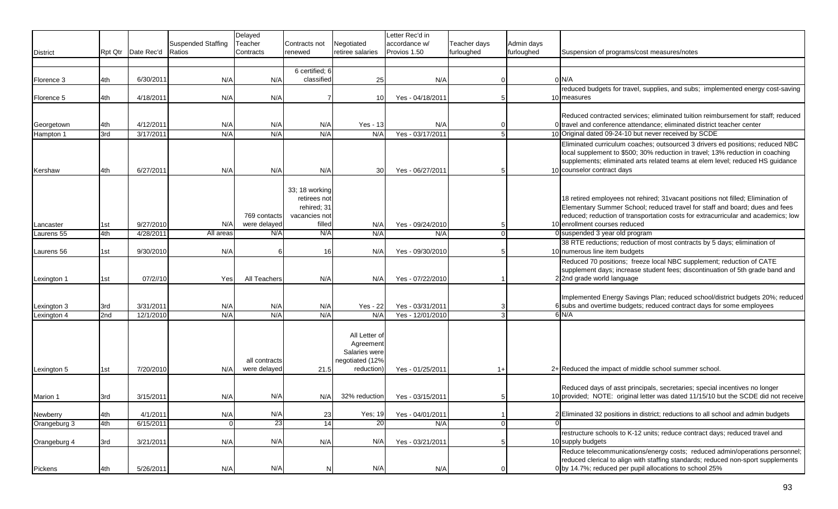|                 |     |                      |                           | Delayed       |                |                  | Letter Rec'd in  |              |                |                                                                                                                                                                  |
|-----------------|-----|----------------------|---------------------------|---------------|----------------|------------------|------------------|--------------|----------------|------------------------------------------------------------------------------------------------------------------------------------------------------------------|
|                 |     |                      | <b>Suspended Staffing</b> | Teacher       | Contracts not  | Negotiated       | accordance w/    | Teacher days | Admin days     |                                                                                                                                                                  |
| <b>District</b> |     | Rpt Qtr   Date Rec'd | Ratios                    | Contracts     | renewed        | retiree salaries | Provios 1.50     | furloughed   | furloughed     | Suspension of programs/cost measures/notes                                                                                                                       |
|                 |     |                      |                           |               |                |                  |                  |              |                |                                                                                                                                                                  |
|                 |     |                      |                           |               | 6 certified; 6 |                  |                  |              |                |                                                                                                                                                                  |
| Florence 3      | 4th | 6/30/2011            | N/A                       | N/A           | classified     | 25               | N/A              |              |                | $0$ N/A                                                                                                                                                          |
|                 |     |                      |                           |               |                |                  |                  |              |                | reduced budgets for travel, supplies, and subs; implemented energy cost-saving                                                                                   |
| Florence 5      | 4th | 4/18/2011            | N/A                       | N/A           |                | 10               | Yes - 04/18/201  |              |                | 10 measures                                                                                                                                                      |
|                 |     |                      |                           |               |                |                  |                  |              |                | Reduced contracted services; eliminated tuition reimbursement for staff; reduced                                                                                 |
| Georgetown      | 4th | 4/12/2011            | N/A                       | N/A           | N/A            | <b>Yes - 13</b>  | N/A              |              |                | 0 travel and conference attendance; eliminated district teacher center                                                                                           |
| Hampton 1       | 3rd | 3/17/2011            | N/A                       | N/A           | N/A            | N/A              | Yes - 03/17/2011 |              | 5              | 10 Original dated 09-24-10 but never received by SCDE                                                                                                            |
|                 |     |                      |                           |               |                |                  |                  |              |                | Eliminated curriculum coaches; outsourced 3 drivers ed positions; reduced NBC                                                                                    |
|                 |     |                      |                           |               |                |                  |                  |              |                | local supplement to \$500; 30% reduction in travel; 13% reduction in coaching                                                                                    |
|                 |     |                      |                           |               |                |                  |                  |              |                | supplements; eliminated arts related teams at elem level; reduced HS guidance                                                                                    |
| Kershaw         | 4th | 6/27/2011            | N/A                       | N/A           | N/A            | 30               | Yes - 06/27/2011 |              | -5             | 10 counselor contract days                                                                                                                                       |
|                 |     |                      |                           |               |                |                  |                  |              |                |                                                                                                                                                                  |
|                 |     |                      |                           |               | 33; 18 working |                  |                  |              |                |                                                                                                                                                                  |
|                 |     |                      |                           |               | retirees not   |                  |                  |              |                | 18 retired employees not rehired; 31 vacant positions not filled; Elimination of                                                                                 |
|                 |     |                      |                           |               | rehired; 31    |                  |                  |              |                | Elementary Summer School; reduced travel for staff and board; dues and fees                                                                                      |
|                 |     |                      |                           | 769 contacts  | vacancies not  |                  |                  |              |                | reduced; reduction of transportation costs for extracurricular and academics; low                                                                                |
| Lancaster       | 1st | 9/27/2010            | N/A                       | were delayed  | filled         | N/A              | Yes - 09/24/2010 |              | -5             | 10 enrollment courses reduced                                                                                                                                    |
| Laurens 55      | 4th | 4/28/2011            | All areas                 | N/A           | N/A            | N/A              | N/A              |              | $\Omega$       | 0 suspended 3 year old program                                                                                                                                   |
|                 |     | 9/30/2010            | N/A                       |               |                |                  | Yes - 09/30/2010 |              |                | 38 RTE reductions; reduction of most contracts by 5 days; elimination of<br>10 numerous line item budgets                                                        |
| Laurens 56      | 1st |                      |                           | 6             | 16             | N/A              |                  |              | -5             |                                                                                                                                                                  |
|                 |     |                      |                           |               |                |                  |                  |              |                | Reduced 70 positions; freeze local NBC supplement; reduction of CATE<br>supplement days; increase student fees; discontinuation of 5th grade band and            |
| Lexington 1     | 1st | 07/2//10             | Yes                       | All Teachers  | N/A            | N/A              | Yes - 07/22/2010 |              |                | 22nd grade world language                                                                                                                                        |
|                 |     |                      |                           |               |                |                  |                  |              |                |                                                                                                                                                                  |
|                 |     |                      |                           |               |                |                  |                  |              |                | Implemented Energy Savings Plan; reduced school/district budgets 20%; reduced                                                                                    |
| Lexington 3     | 3rd | 3/31/2011            | N/A                       | N/A           | N/A            | Yes - 22         | Yes - 03/31/2011 |              | 3              | 6 subs and overtime budgets; reduced contract days for some employees                                                                                            |
| Lexington 4     | 2nd | 12/1/2010            | N/A                       | N/A           | N/A            | N/A              | Yes - 12/01/2010 |              | 3              | $6$ N/A                                                                                                                                                          |
|                 |     |                      |                           |               |                |                  |                  |              |                |                                                                                                                                                                  |
|                 |     |                      |                           |               |                | All Letter of    |                  |              |                |                                                                                                                                                                  |
|                 |     |                      |                           |               |                | Agreement        |                  |              |                |                                                                                                                                                                  |
|                 |     |                      |                           |               |                | Salaries were    |                  |              |                |                                                                                                                                                                  |
|                 |     |                      |                           | all contracts |                | negotiated (12%  |                  |              |                |                                                                                                                                                                  |
| Lexington 5     | 1st | 7/20/2010            | N/A                       | were delayed  | 21.5           | reduction        | Yes - 01/25/2011 |              | $1+$           | 2+ Reduced the impact of middle school summer school.                                                                                                            |
|                 |     |                      |                           |               |                |                  |                  |              |                |                                                                                                                                                                  |
|                 |     | 3/15/2011            |                           | N/A           |                | 32% reduction    |                  |              |                | Reduced days of asst principals, secretaries; special incentives no longer<br>10 provided; NOTE: original letter was dated 11/15/10 but the SCDE did not receive |
| Marion 1        | 3rd |                      | N/A                       |               | N/A            |                  | Yes - 03/15/2011 |              |                |                                                                                                                                                                  |
| Newberry        | 4th | 4/1/2011             | N/A                       | N/A           | 23             | Yes; 19          | Yes - 04/01/2011 |              |                | 2 Eliminated 32 positions in district; reductions to all school and admin budgets                                                                                |
| Orangeburg 3    | 4th | 6/15/2011            | $\overline{0}$            | 23            | 14             | 20               | N/A              |              | $\mathbf 0$    |                                                                                                                                                                  |
|                 |     |                      |                           |               |                |                  |                  |              |                | restructure schools to K-12 units; reduce contract days; reduced travel and                                                                                      |
| Orangeburg 4    | 3rd | 3/21/2011            | N/A                       | N/A           | N/A            | N/A              | Yes - 03/21/2011 |              | 5              | 10 supply budgets                                                                                                                                                |
|                 |     |                      |                           |               |                |                  |                  |              |                | Reduce telecommunications/energy costs; reduced admin/operations personnel;                                                                                      |
|                 |     |                      |                           |               |                |                  |                  |              |                | reduced clerical to align with staffing standards; reduced non-sport supplements                                                                                 |
| Pickens         | 4th | 5/26/2011            | N/A                       | N/A           | N              | N/A              | N/A              |              | $\overline{0}$ | 0 by 14.7%; reduced per pupil allocations to school 25%                                                                                                          |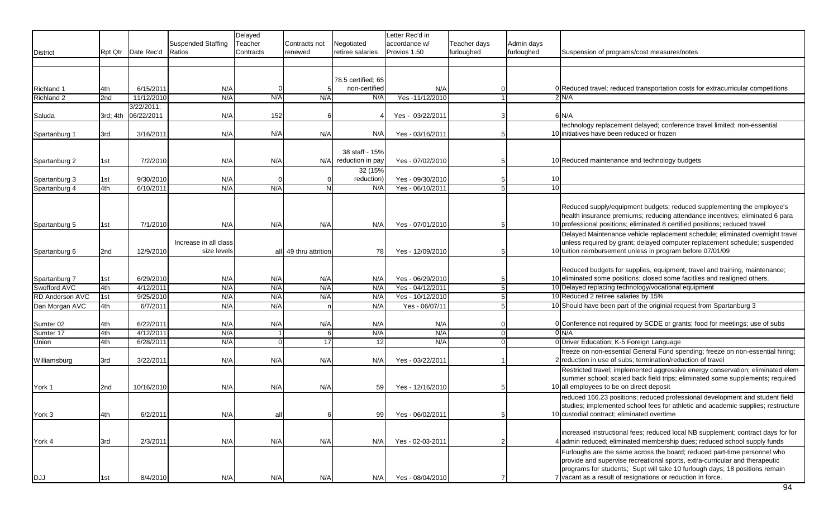|                        |                 |                      |                       | Delayed   |                       |                        | Letter Rec'd in   |              |               |    |                                                                                  |
|------------------------|-----------------|----------------------|-----------------------|-----------|-----------------------|------------------------|-------------------|--------------|---------------|----|----------------------------------------------------------------------------------|
|                        |                 |                      | Suspended Staffing    | Teacher   | Contracts not         | Negotiated             | accordance w/     | Teacher days | Admin days    |    |                                                                                  |
| <b>District</b>        |                 | Rpt Qtr   Date Rec'd | Ratios                | Contracts | renewed               | retiree salaries       | Provios 1.50      | furloughed   | furloughed    |    | Suspension of programs/cost measures/notes                                       |
|                        |                 |                      |                       |           |                       |                        |                   |              |               |    |                                                                                  |
|                        |                 |                      |                       |           |                       |                        |                   |              |               |    |                                                                                  |
|                        |                 |                      |                       |           |                       | 78.5 certified; 65     |                   |              |               |    |                                                                                  |
| Richland 1             | 4th             | 6/15/2011            | N/A                   |           |                       | non-certified          | N/A               |              |               |    | 0 Reduced travel; reduced transportation costs for extracurricular competitions  |
| Richland 2             | 2nd             | 11/12/2010           | N/A                   | N/A       | N/A                   | N/A                    | Yes-11/12/2010    |              |               |    | 2 N/A                                                                            |
|                        |                 | 3/22/2011;           |                       |           |                       |                        |                   |              |               |    |                                                                                  |
| Saluda                 | 3rd; 4th        | 06/22/2011           | N/A                   | 152       |                       |                        | Yes - $03/22/201$ |              | 3             |    | $6$ $N/A$                                                                        |
|                        |                 |                      |                       |           |                       |                        |                   |              |               |    | technology replacement delayed; conference travel limited; non-essential         |
| Spartanburg 1          | 3rd             | 3/16/2011            | N/A                   | N/A       | N/A                   | N/A                    | Yes - 03/16/2011  |              |               |    | 10 initiatives have been reduced or frozen                                       |
|                        |                 |                      |                       |           |                       |                        |                   |              |               |    |                                                                                  |
|                        |                 |                      |                       |           |                       | 38 staff - 15%         |                   |              |               |    |                                                                                  |
| Spartanburg 2          | 1st             | 7/2/2010             | N/A                   | N/A       |                       | $N/A$ reduction in pay | Yes - 07/02/2010  |              | -5            |    | 10 Reduced maintenance and technology budgets                                    |
|                        |                 |                      |                       |           |                       | 32 (15%                |                   |              |               |    |                                                                                  |
| Spartanburg 3          | 1st             | 9/30/2010            | N/A                   |           |                       | reduction)             | Yes - 09/30/2010  |              |               | 10 |                                                                                  |
| Spartanburg 4          | 4th             | 6/10/2011            | N/A                   | N/A       | N                     | N/A                    | Yes - 06/10/2011  |              |               | 10 |                                                                                  |
|                        |                 |                      |                       |           |                       |                        |                   |              |               |    |                                                                                  |
|                        |                 |                      |                       |           |                       |                        |                   |              |               |    | Reduced supply/equipment budgets; reduced supplementing the employee's           |
|                        |                 |                      |                       |           |                       |                        |                   |              |               |    | health insurance premiums; reducing attendance incentives; eliminated 6 para     |
| Spartanburg 5          | 1st             | 7/1/2010             | N/A                   | N/A       | N/A                   | N/A                    | Yes - 07/01/2010  |              |               |    | 10 professional positions; eliminated 8 certified positions; reduced travel      |
|                        |                 |                      |                       |           |                       |                        |                   |              |               |    | Delayed Maintenance vehicle replacement schedule; eliminated overnight travel    |
|                        |                 |                      | Increase in all class |           |                       |                        |                   |              |               |    | unless required by grant; delayed computer replacement schedule; suspended       |
| Spartanburg 6          | 2nd             | 12/9/2010            | size levels           |           | all 49 thru attrition | 78                     | Yes - 12/09/2010  |              |               |    | 10 tuition reimbursement unless in program before 07/01/09                       |
|                        |                 |                      |                       |           |                       |                        |                   |              |               |    |                                                                                  |
|                        |                 |                      |                       |           |                       |                        |                   |              |               |    | Reduced budgets for supplies, equipment, travel and training, maintenance;       |
| Spartanburg 7          | 1st             | 6/29/2010            | N/A                   | N/A       | N/A                   | N/A                    | Yes - 06/29/2010  |              |               |    | 10 eliminated some positions; closed some facitlies and realigned others.        |
| Swofford AVC           | 4th             | 4/12/2011            | N/A                   | N/A       | N/A                   | N/A                    | Yes - 04/12/2011  |              |               |    | 10 Delayed replacing technology/vocational equipment                             |
| <b>RD Anderson AVC</b> | 1st             | 9/25/2010            | N/A                   | N/A       | N/A                   | N/A                    | Yes - 10/12/2010  |              | 5             |    | 10 Reduced 2 retiree salaries by 15%                                             |
| Dan Morgan AVC         | 4th             | 6/7/2011             | N/A                   | N/A       | n                     | N/A                    | Yes - 06/07/11    |              | 5             |    | 10 Should have been part of the originial request from Spartanburg 3             |
|                        |                 |                      |                       |           |                       |                        |                   |              |               |    |                                                                                  |
| Sumter 02              | 4th             | 6/22/2011            | N/A                   | N/A       | N/A                   | N/A                    | N/A               |              |               |    | 0 Conference not required by SCDE or grants; food for meetings; use of subs      |
| Sumter 17              | 4th             | 4/12/2011            | N/A                   |           |                       | N/A                    | N/A               |              | $\Omega$      |    | 0 N/A                                                                            |
| Union                  | 4th             | 6/28/2011            | N/A                   | $\Omega$  | 17                    | 12                     | N/A               |              | $\Omega$      |    | 0 Driver Education; K-5 Foreign Language                                         |
|                        |                 |                      |                       |           |                       |                        |                   |              |               |    | freeze on non-essential General Fund spending; freeze on non-essential hiring;   |
| Williamsburg           | 3rd             | 3/22/2011            | N/A                   | N/A       | N/A                   | N/A                    | Yes - 03/22/2011  |              |               |    | 2 reduction in use of subs; termination/reduction of travel                      |
|                        |                 |                      |                       |           |                       |                        |                   |              |               |    | Restricted travel; implemented aggressive energy conservation; eliminated elem   |
|                        |                 |                      |                       |           |                       |                        |                   |              |               |    | summer school; scaled back field trips; eliminated some supplements; required    |
| York 1                 | 2 <sub>nd</sub> | 10/16/2010           | N/A                   | N/A       | N/A                   | 59                     | Yes - 12/16/2010  |              | 5             |    | 10 all employees to be on direct deposit                                         |
|                        |                 |                      |                       |           |                       |                        |                   |              |               |    | reduced 166.23 positions; reduced professional development and student field     |
|                        |                 |                      |                       |           |                       |                        |                   |              |               |    | studies; implemented school fees for athletic and academic supplies; restructure |
| York 3                 | 4th             | 6/2/2011             | N/A                   | all       |                       | 99                     | Yes - 06/02/2011  |              | 5             |    | 10 custodial contract; eliminated overtime                                       |
|                        |                 |                      |                       |           |                       |                        |                   |              |               |    |                                                                                  |
|                        |                 |                      |                       |           |                       |                        |                   |              |               |    | increased instructional fees; reduced local NB supplement; contract days for for |
| York 4                 | 3rd             | 2/3/2011             | N/A                   | N/A       | N/A                   | N/A                    | Yes - 02-03-2011  |              | $\mathcal{P}$ |    | 4 admin reduced; eliminated membership dues; reduced school supply funds         |
|                        |                 |                      |                       |           |                       |                        |                   |              |               |    | Furloughs are the same across the board; reduced part-time personnel who         |
|                        |                 |                      |                       |           |                       |                        |                   |              |               |    | provide and supervise recreational sports, extra-curricular and therapeutic      |
|                        |                 |                      |                       |           |                       |                        |                   |              |               |    | programs for students; Supt will take 10 furlough days; 18 positions remain      |
| DJJ                    | 1st             | 8/4/2010             | N/A                   | N/A       | N/A                   | N/A                    | Yes - 08/04/2010  |              |               |    | 7 vacant as a result of resignations or reduction in force.                      |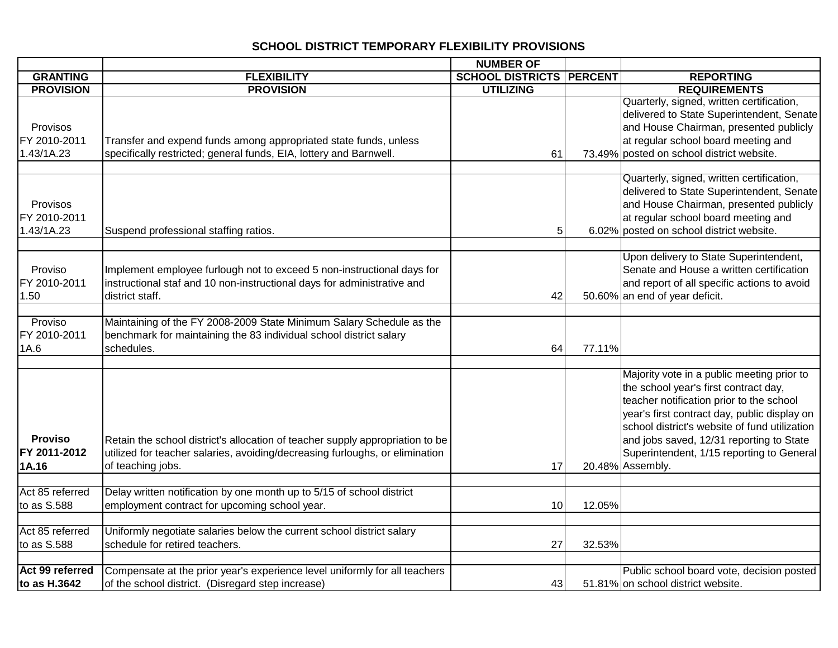## **SCHOOL DISTRICT TEMPORARY FLEXIBILITY PROVISIONS**

|                  |                                                                               | <b>NUMBER OF</b>                |        |                                               |
|------------------|-------------------------------------------------------------------------------|---------------------------------|--------|-----------------------------------------------|
| <b>GRANTING</b>  | <b>FLEXIBILITY</b>                                                            | <b>SCHOOL DISTRICTS PERCENT</b> |        | <b>REPORTING</b>                              |
| <b>PROVISION</b> | <b>PROVISION</b>                                                              | <b>UTILIZING</b>                |        | <b>REQUIREMENTS</b>                           |
|                  |                                                                               |                                 |        | Quarterly, signed, written certification,     |
|                  |                                                                               |                                 |        | delivered to State Superintendent, Senate     |
| Provisos         |                                                                               |                                 |        | and House Chairman, presented publicly        |
| FY 2010-2011     | Transfer and expend funds among appropriated state funds, unless              |                                 |        | at regular school board meeting and           |
| 1.43/1A.23       | specifically restricted; general funds, EIA, lottery and Barnwell.            | 61                              |        | 73.49% posted on school district website.     |
|                  |                                                                               |                                 |        |                                               |
|                  |                                                                               |                                 |        | Quarterly, signed, written certification,     |
|                  |                                                                               |                                 |        | delivered to State Superintendent, Senate     |
| <b>Provisos</b>  |                                                                               |                                 |        | and House Chairman, presented publicly        |
| FY 2010-2011     |                                                                               |                                 |        | at regular school board meeting and           |
| 1.43/1A.23       | Suspend professional staffing ratios.                                         | 5                               |        | 6.02% posted on school district website.      |
|                  |                                                                               |                                 |        | Upon delivery to State Superintendent,        |
| Proviso          | Implement employee furlough not to exceed 5 non-instructional days for        |                                 |        | Senate and House a written certification      |
| FY 2010-2011     | instructional staf and 10 non-instructional days for administrative and       |                                 |        | and report of all specific actions to avoid   |
| 1.50             | district staff.                                                               | 42                              |        | 50.60% an end of year deficit.                |
|                  |                                                                               |                                 |        |                                               |
| Proviso          | Maintaining of the FY 2008-2009 State Minimum Salary Schedule as the          |                                 |        |                                               |
| FY 2010-2011     | benchmark for maintaining the 83 individual school district salary            |                                 |        |                                               |
| 1A.6             | schedules.                                                                    | 64                              | 77.11% |                                               |
|                  |                                                                               |                                 |        |                                               |
|                  |                                                                               |                                 |        | Majority vote in a public meeting prior to    |
|                  |                                                                               |                                 |        | the school year's first contract day,         |
|                  |                                                                               |                                 |        | teacher notification prior to the school      |
|                  |                                                                               |                                 |        | year's first contract day, public display on  |
|                  |                                                                               |                                 |        | school district's website of fund utilization |
| <b>Proviso</b>   | Retain the school district's allocation of teacher supply appropriation to be |                                 |        | and jobs saved, 12/31 reporting to State      |
| FY 2011-2012     | utilized for teacher salaries, avoiding/decreasing furloughs, or elimination  |                                 |        | Superintendent, 1/15 reporting to General     |
| 1A.16            | of teaching jobs.                                                             | 17                              |        | 20.48% Assembly.                              |
| Act 85 referred  | Delay written notification by one month up to 5/15 of school district         |                                 |        |                                               |
| to as S.588      | employment contract for upcoming school year.                                 | 10                              | 12.05% |                                               |
|                  |                                                                               |                                 |        |                                               |
| Act 85 referred  | Uniformly negotiate salaries below the current school district salary         |                                 |        |                                               |
| to as S.588      | schedule for retired teachers.                                                | 27                              | 32.53% |                                               |
|                  |                                                                               |                                 |        |                                               |
| Act 99 referred  | Compensate at the prior year's experience level uniformly for all teachers    |                                 |        | Public school board vote, decision posted     |
| to as H.3642     | of the school district. (Disregard step increase)                             | 43                              |        | 51.81% on school district website.            |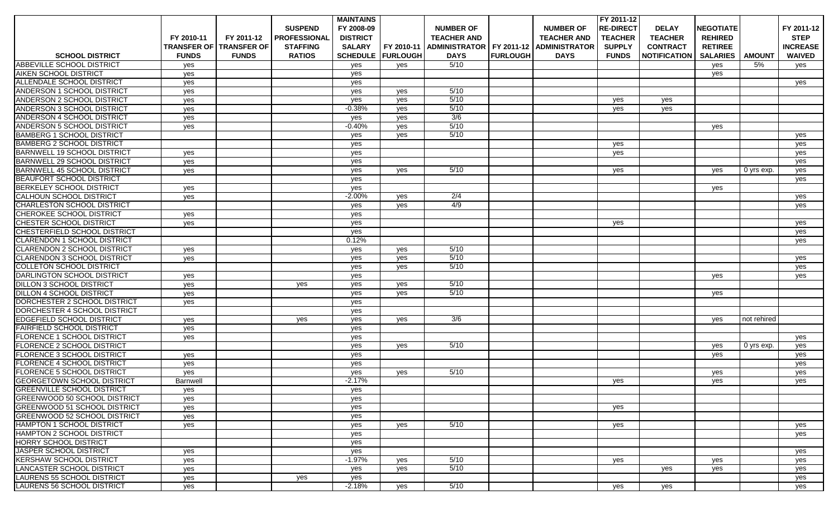|                                     |                 |                                |                     | <b>MAINTAINS</b> |                            |                            |                 |                      | FY 2011-12       |                     |                  |               |                 |
|-------------------------------------|-----------------|--------------------------------|---------------------|------------------|----------------------------|----------------------------|-----------------|----------------------|------------------|---------------------|------------------|---------------|-----------------|
|                                     |                 |                                | <b>SUSPEND</b>      | FY 2008-09       |                            | <b>NUMBER OF</b>           |                 | <b>NUMBER OF</b>     | <b>RE-DIRECT</b> | <b>DELAY</b>        | <b>NEGOTIATE</b> |               | FY 2011-12      |
|                                     | FY 2010-11      | FY 2011-12                     | <b>PROFESSIONAL</b> | <b>DISTRICT</b>  |                            | <b>TEACHER AND</b>         |                 | <b>TEACHER AND</b>   | <b>TEACHER</b>   | <b>TEACHER</b>      | <b>REHIRED</b>   |               | <b>STEP</b>     |
|                                     |                 | <b>TRANSFER OF TRANSFER OF</b> | <b>STAFFING</b>     | <b>SALARY</b>    | FY 2010-11                 | ADMINISTRATOR   FY 2011-12 |                 | <b>ADMINISTRATOR</b> | <b>SUPPLY</b>    | <b>CONTRACT</b>     | <b>RETIREE</b>   |               | <b>INCREASE</b> |
| <b>SCHOOL DISTRICT</b>              | <b>FUNDS</b>    | <b>FUNDS</b>                   | <b>RATIOS</b>       |                  | <b>SCHEDULE   FURLOUGH</b> | <b>DAYS</b>                | <b>FURLOUGH</b> | <b>DAYS</b>          | <b>FUNDS</b>     | <b>NOTIFICATION</b> | <b>SALARIES</b>  | <b>AMOUNT</b> | <b>WAIVED</b>   |
| ABBEVILLE SCHOOL DISTRICT           | yes             |                                |                     | yes              | yes                        | 5/10                       |                 |                      |                  |                     | yes              | 5%            | yes             |
| AIKEN SCHOOL DISTRICT               | yes             |                                |                     | yes              |                            |                            |                 |                      |                  |                     | yes              |               |                 |
| ALLENDALE SCHOOL DISTRICT           | yes             |                                |                     | yes              |                            |                            |                 |                      |                  |                     |                  |               | yes             |
| ANDERSON 1 SCHOOL DISTRICT          | yes             |                                |                     | yes              | yes                        | 5/10                       |                 |                      |                  |                     |                  |               |                 |
| ANDERSON 2 SCHOOL DISTRICT          | yes             |                                |                     | yes              | yes                        | 5/10                       |                 |                      | yes              | yes                 |                  |               |                 |
| ANDERSON 3 SCHOOL DISTRICT          | yes             |                                |                     | $-0.38%$         | yes                        | 5/10                       |                 |                      | yes              | yes                 |                  |               |                 |
| <b>ANDERSON 4 SCHOOL DISTRICT</b>   | yes             |                                |                     | yes              | yes                        | 3/6                        |                 |                      |                  |                     |                  |               |                 |
| <b>ANDERSON 5 SCHOOL DISTRICT</b>   | yes             |                                |                     | $-0.40%$         | yes                        | 5/10                       |                 |                      |                  |                     | yes              |               |                 |
| <b>BAMBERG 1 SCHOOL DISTRICT</b>    |                 |                                |                     | yes              | yes                        | 5/10                       |                 |                      |                  |                     |                  |               | yes             |
| <b>BAMBERG 2 SCHOOL DISTRICT</b>    |                 |                                |                     | yes              |                            |                            |                 |                      | yes              |                     |                  |               | yes             |
| <b>BARNWELL 19 SCHOOL DISTRICT</b>  | yes             |                                |                     | yes              |                            |                            |                 |                      | yes              |                     |                  |               | yes             |
| <b>BARNWELL 29 SCHOOL DISTRICT</b>  | yes             |                                |                     | yes              |                            |                            |                 |                      |                  |                     |                  |               | yes             |
| <b>BARNWELL 45 SCHOOL DISTRICT</b>  | yes             |                                |                     | yes              | yes                        | 5/10                       |                 |                      | yes              |                     | yes              | 0 yrs exp.    | yes             |
| <b>BEAUFORT SCHOOL DISTRICT</b>     |                 |                                |                     | yes              |                            |                            |                 |                      |                  |                     |                  |               | yes             |
| <b>BERKELEY SCHOOL DISTRICT</b>     | yes             |                                |                     | yes              |                            |                            |                 |                      |                  |                     | yes              |               |                 |
| <b>CALHOUN SCHOOL DISTRICT</b>      | yes             |                                |                     | $-2.00%$         | yes                        | 2/4                        |                 |                      |                  |                     |                  |               | yes             |
| CHARLESTON SCHOOL DISTRICT          |                 |                                |                     | yes              | yes                        | 4/9                        |                 |                      |                  |                     |                  |               | yes             |
| CHEROKEE SCHOOL DISTRICT            | yes             |                                |                     | yes              |                            |                            |                 |                      |                  |                     |                  |               |                 |
| CHESTER SCHOOL DISTRICT             | yes             |                                |                     | yes              |                            |                            |                 |                      | yes              |                     |                  |               | yes             |
| CHESTERFIELD SCHOOL DISTRICT        |                 |                                |                     | yes              |                            |                            |                 |                      |                  |                     |                  |               | yes             |
| <b>CLARENDON 1 SCHOOL DISTRICT</b>  |                 |                                |                     | 0.12%            |                            |                            |                 |                      |                  |                     |                  |               | yes             |
| <b>CLARENDON 2 SCHOOL DISTRICT</b>  | yes             |                                |                     | yes              | yes                        | 5/10                       |                 |                      |                  |                     |                  |               |                 |
| <b>CLARENDON 3 SCHOOL DISTRICT</b>  | yes             |                                |                     | yes              | yes                        | 5/10                       |                 |                      |                  |                     |                  |               | yes             |
| <b>COLLETON SCHOOL DISTRICT</b>     |                 |                                |                     | yes              | yes                        | 5/10                       |                 |                      |                  |                     |                  |               | yes             |
| <b>DARLINGTON SCHOOL DISTRICT</b>   | yes             |                                |                     | yes              |                            |                            |                 |                      |                  |                     | yes              |               | yes             |
| <b>DILLON 3 SCHOOL DISTRICT</b>     | yes             |                                | yes                 | yes              | yes                        | 5/10                       |                 |                      |                  |                     |                  |               |                 |
| <b>DILLON 4 SCHOOL DISTRICT</b>     | yes             |                                |                     | yes              | yes                        | 5/10                       |                 |                      |                  |                     | yes              |               |                 |
| DORCHESTER 2 SCHOOL DISTRICT        | yes             |                                |                     | yes              |                            |                            |                 |                      |                  |                     |                  |               |                 |
| DORCHESTER 4 SCHOOL DISTRICT        |                 |                                |                     | yes              |                            |                            |                 |                      |                  |                     |                  |               |                 |
| <b>EDGEFIELD SCHOOL DISTRICT</b>    | yes             |                                | yes                 | yes              | yes                        | 3/6                        |                 |                      |                  |                     | yes              | not rehired   |                 |
| <b>FAIRFIELD SCHOOL DISTRICT</b>    | yes             |                                |                     | yes              |                            |                            |                 |                      |                  |                     |                  |               |                 |
| FLORENCE 1 SCHOOL DISTRICT          | yes             |                                |                     | yes              |                            |                            |                 |                      |                  |                     |                  |               | yes             |
| <b>FLORENCE 2 SCHOOL DISTRICT</b>   |                 |                                |                     | yes              | yes                        | 5/10                       |                 |                      |                  |                     | yes              | 0 yrs exp.    | yes             |
| <b>FLORENCE 3 SCHOOL DISTRICT</b>   | yes             |                                |                     | yes              |                            |                            |                 |                      |                  |                     | yes              |               | yes             |
| FLORENCE 4 SCHOOL DISTRICT          | yes             |                                |                     | yes              |                            |                            |                 |                      |                  |                     |                  |               | yes             |
| <b>FLORENCE 5 SCHOOL DISTRICT</b>   | yes             |                                |                     | yes              | yes                        | 5/10                       |                 |                      |                  |                     | yes              |               | yes             |
| <b>GEORGETOWN SCHOOL DISTRICT</b>   | <b>Barnwell</b> |                                |                     | $-2.17%$         |                            |                            |                 |                      | yes              |                     | yes              |               | yes             |
| <b>GREENVILLE SCHOOL DISTRICT</b>   | yes             |                                |                     | yes              |                            |                            |                 |                      |                  |                     |                  |               |                 |
| <b>GREENWOOD 50 SCHOOL DISTRICT</b> | yes             |                                |                     | yes              |                            |                            |                 |                      |                  |                     |                  |               |                 |
| <b>GREENWOOD 51 SCHOOL DISTRICT</b> | yes             |                                |                     | yes              |                            |                            |                 |                      | yes              |                     |                  |               |                 |
| <b>GREENWOOD 52 SCHOOL DISTRICT</b> | yes             |                                |                     | yes              |                            |                            |                 |                      |                  |                     |                  |               |                 |
| <b>HAMPTON 1 SCHOOL DISTRICT</b>    | yes             |                                |                     | yes              | yes                        | 5/10                       |                 |                      | yes              |                     |                  |               | yes             |
| HAMPTON 2 SCHOOL DISTRICT           |                 |                                |                     | yes              |                            |                            |                 |                      |                  |                     |                  |               | yes             |
| HORRY SCHOOL DISTRICT               |                 |                                |                     | yes              |                            |                            |                 |                      |                  |                     |                  |               |                 |
| JASPER SCHOOL DISTRICT              | yes             |                                |                     | yes              |                            |                            |                 |                      |                  |                     |                  |               | yes             |
| <b>IKERSHAW SCHOOL DISTRICT</b>     | yes             |                                |                     | $-1.97%$         | yes                        | 5/10                       |                 |                      | yes              |                     | yes              |               | yes             |
| LANCASTER SCHOOL DISTRICT           | yes             |                                |                     | yes              | yes                        | 5/10                       |                 |                      |                  | yes                 | yes              |               | yes             |
| LAURENS 55 SCHOOL DISTRICT          | yes             |                                | yes                 | yes              |                            |                            |                 |                      |                  |                     |                  |               | yes             |
| LAURENS 56 SCHOOL DISTRICT          | yes             |                                |                     | $-2.18%$         | yes                        | 5/10                       |                 |                      | yes              | yes                 |                  |               | yes             |